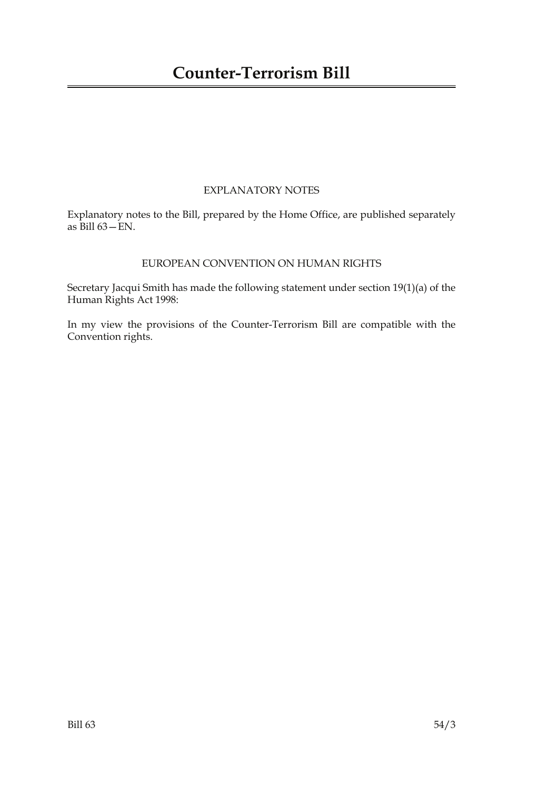## EXPLANATORY NOTES

Explanatory notes to the Bill, prepared by the Home Office, are published separately as Bill 63—EN.

### EUROPEAN CONVENTION ON HUMAN RIGHTS

Secretary Jacqui Smith has made the following statement under section 19(1)(a) of the Human Rights Act 1998:

In my view the provisions of the Counter-Terrorism Bill are compatible with the Convention rights.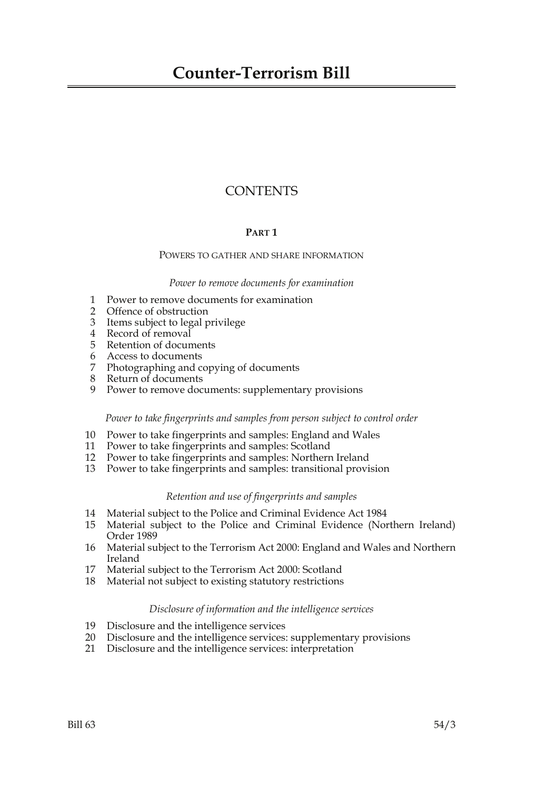# **CONTENTS**

#### **PART 1**

#### POWERS TO GATHER AND SHARE INFORMATION

#### *Power to remove documents for examination*

- 1 Power to remove documents for examination
- 2 Offence of obstruction
- 3 Items subject to legal privilege
- 4 Record of removal
- 5 Retention of documents
- 6 Access to documents
- 7 Photographing and copying of documents
- 8 Return of documents
- 9 Power to remove documents: supplementary provisions

#### *Power to take fingerprints and samples from person subject to control order*

- 10 Power to take fingerprints and samples: England and Wales<br>11 Power to take fingerprints and samples: Scotland
- Power to take fingerprints and samples: Scotland
- 12 Power to take fingerprints and samples: Northern Ireland
- 13 Power to take fingerprints and samples: transitional provision

#### *Retention and use of fingerprints and samples*

- 14 Material subject to the Police and Criminal Evidence Act 1984
- Material subject to the Police and Criminal Evidence (Northern Ireland) Order 1989
- 16 Material subject to the Terrorism Act 2000: England and Wales and Northern Ireland
- 17 Material subject to the Terrorism Act 2000: Scotland
- 18 Material not subject to existing statutory restrictions

#### *Disclosure of information and the intelligence services*

- 19 Disclosure and the intelligence services
- 20 Disclosure and the intelligence services: supplementary provisions
- 21 Disclosure and the intelligence services: interpretation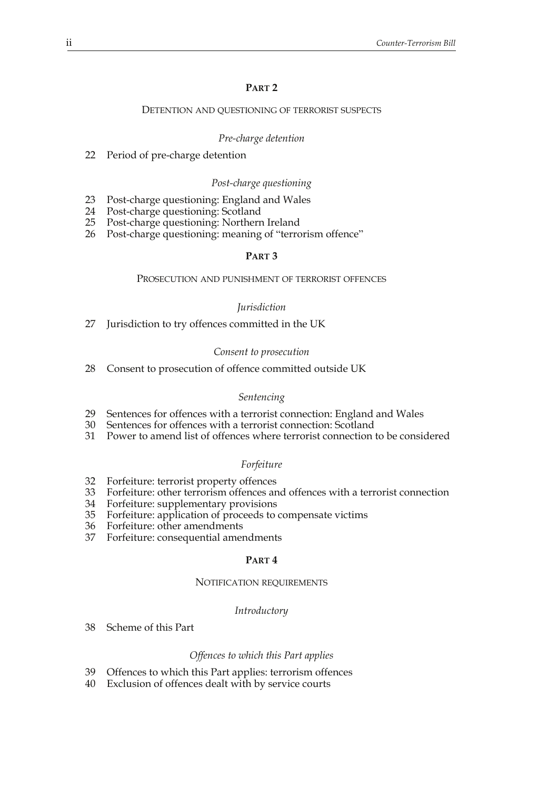#### **PART 2**

#### DETENTION AND QUESTIONING OF TERRORIST SUSPECTS

#### *Pre-charge detention*

22 Period of pre-charge detention

#### *Post-charge questioning*

- 23 Post-charge questioning: England and Wales<br>24 Post-charge questioning: Scotland
- 24 Post-charge questioning: Scotland<br>25 Post-charge questioning: Northern
- Post-charge questioning: Northern Ireland
- 26 Post-charge questioning: meaning of "terrorism offence"

#### **PART 3**

#### PROSECUTION AND PUNISHMENT OF TERRORIST OFFENCES

#### *Jurisdiction*

27 Jurisdiction to try offences committed in the UK

#### *Consent to prosecution*

28 Consent to prosecution of offence committed outside UK

#### *Sentencing*

- 29 Sentences for offences with a terrorist connection: England and Wales
- 30 Sentences for offences with a terrorist connection: Scotland
- 31 Power to amend list of offences where terrorist connection to be considered

#### *Forfeiture*

- 32 Forfeiture: terrorist property offences
- 33 Forfeiture: other terrorism offences and offences with a terrorist connection
- 34 Forfeiture: supplementary provisions
- 35 Forfeiture: application of proceeds to compensate victims
- 36 Forfeiture: other amendments
- 37 Forfeiture: consequential amendments

#### **PART 4**

#### NOTIFICATION REQUIREMENTS

#### *Introductory*

38 Scheme of this Part

#### *Offences to which this Part applies*

- 39 Offences to which this Part applies: terrorism offences
- 40 Exclusion of offences dealt with by service courts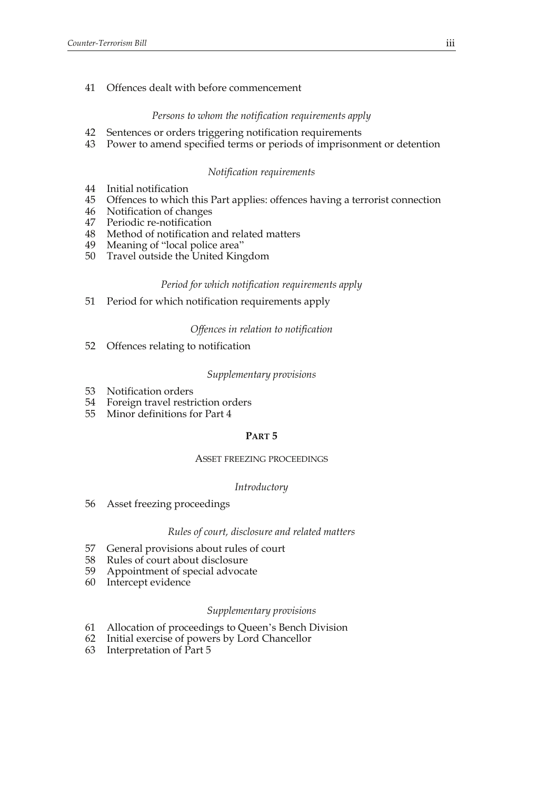#### 41 Offences dealt with before commencement

#### *Persons to whom the notification requirements apply*

- 42 Sentences or orders triggering notification requirements
- 43 Power to amend specified terms or periods of imprisonment or detention

#### *Notification requirements*

- 44 Initial notification
- 45 Offences to which this Part applies: offences having a terrorist connection
- 46 Notification of changes
- 47 Periodic re-notification
- 48 Method of notification and related matters
- 49 Meaning of "local police area"
- 50 Travel outside the United Kingdom

#### *Period for which notification requirements apply*

51 Period for which notification requirements apply

#### *Offences in relation to notification*

52 Offences relating to notification

#### *Supplementary provisions*

- 53 Notification orders
- 54 Foreign travel restriction orders
- 55 Minor definitions for Part 4

#### **PART 5**

#### ASSET FREEZING PROCEEDINGS

#### *Introductory*

56 Asset freezing proceedings

#### *Rules of court, disclosure and related matters*

- 57 General provisions about rules of court
- 58 Rules of court about disclosure
- 59 Appointment of special advocate
- 60 Intercept evidence

#### *Supplementary provisions*

- 61 Allocation of proceedings to Queen's Bench Division
- 62 Initial exercise of powers by Lord Chancellor
- 63 Interpretation of Part 5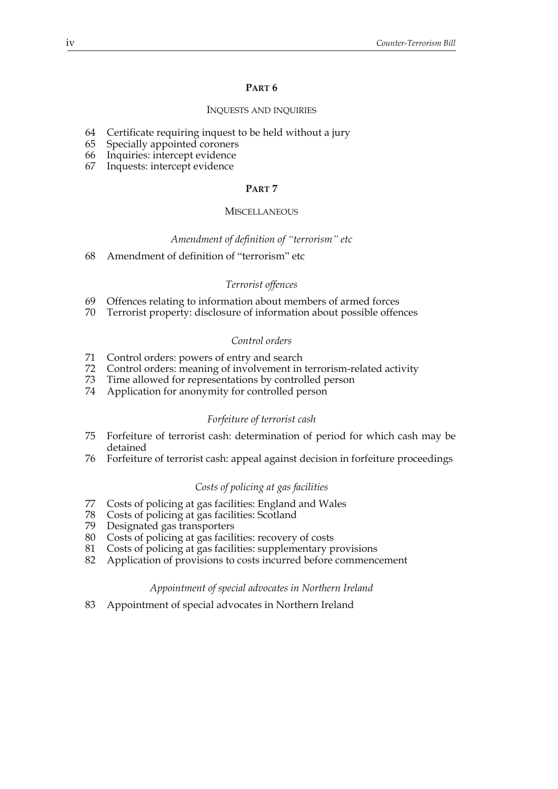#### **PART 6**

#### INQUESTS AND INQUIRIES

- 64 Certificate requiring inquest to be held without a jury
- 65 Specially appointed coroners
- 66 Inquiries: intercept evidence
- 67 Inquests: intercept evidence

#### **PART 7**

#### **MISCELLANEOUS**

#### *Amendment of definition of "terrorism" etc*

68 Amendment of definition of "terrorism" etc

#### *Terrorist offences*

- 69 Offences relating to information about members of armed forces
- 70 Terrorist property: disclosure of information about possible offences

#### *Control orders*

- 71 Control orders: powers of entry and search
- 72 Control orders: meaning of involvement in terrorism-related activity
- 73 Time allowed for representations by controlled person
- 74 Application for anonymity for controlled person

#### *Forfeiture of terrorist cash*

- 75 Forfeiture of terrorist cash: determination of period for which cash may be detained
- 76 Forfeiture of terrorist cash: appeal against decision in forfeiture proceedings

#### *Costs of policing at gas facilities*

- 77 Costs of policing at gas facilities: England and Wales
- 78 Costs of policing at gas facilities: Scotland
- 79 Designated gas transporters
- 80 Costs of policing at gas facilities: recovery of costs
- 81 Costs of policing at gas facilities: supplementary provisions
- 82 Application of provisions to costs incurred before commencement

#### *Appointment of special advocates in Northern Ireland*

83 Appointment of special advocates in Northern Ireland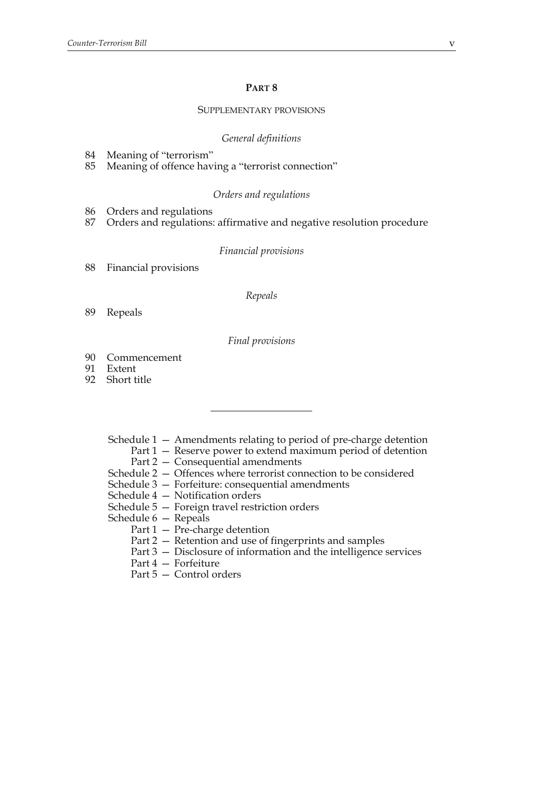#### **PART 8**

#### SUPPLEMENTARY PROVISIONS

#### *General definitions*

- 84 Meaning of "terrorism"
- 85 Meaning of offence having a "terrorist connection"

#### *Orders and regulations*

- 86 Orders and regulations
- 87 Orders and regulations: affirmative and negative resolution procedure

#### *Financial provisions*

88 Financial provisions

#### *Repeals*

89 Repeals

#### *Final provisions*

- 90 Commencement<br>91 Extent
- Extent
- 92 Short title
	- Schedule 1 Amendments relating to period of pre-charge detention
		- Part 1 Reserve power to extend maximum period of detention
		- Part 2 Consequential amendments
	- Schedule 2 Offences where terrorist connection to be considered
	- Schedule 3 Forfeiture: consequential amendments
	- Schedule 4 Notification orders
	- Schedule 5 Foreign travel restriction orders
	- Schedule 6 Repeals
		- Part 1 Pre-charge detention
		- Part 2 Retention and use of fingerprints and samples
		- Part 3 Disclosure of information and the intelligence services
		- Part 4 Forfeiture
		- Part 5 Control orders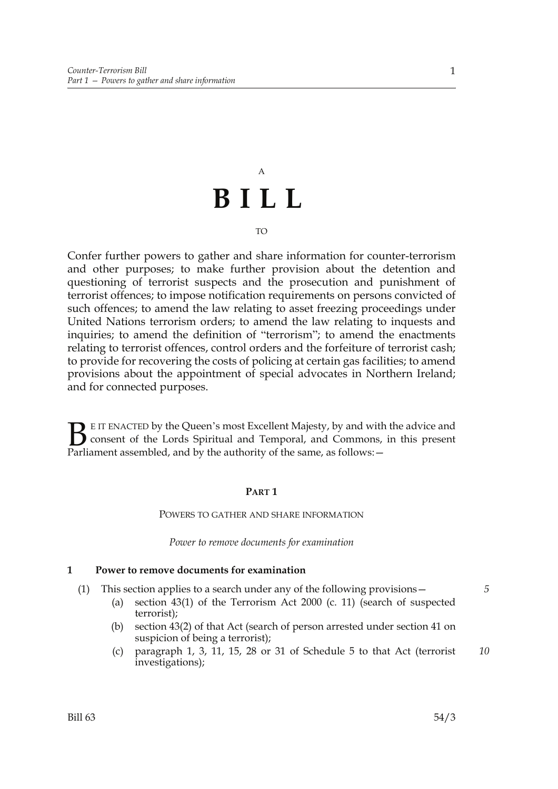# A **BILL**

#### TO

Confer further powers to gather and share information for counter-terrorism and other purposes; to make further provision about the detention and questioning of terrorist suspects and the prosecution and punishment of terrorist offences; to impose notification requirements on persons convicted of such offences; to amend the law relating to asset freezing proceedings under United Nations terrorism orders; to amend the law relating to inquests and inquiries; to amend the definition of "terrorism"; to amend the enactments relating to terrorist offences, control orders and the forfeiture of terrorist cash; to provide for recovering the costs of policing at certain gas facilities; to amend provisions about the appointment of special advocates in Northern Ireland; and for connected purposes.

E IT ENACTED by the Queen's most Excellent Majesty, by and with the advice and consent of the Lords Spiritual and Temporal, and Commons, in this present Parliament assembled, and by the authority of the same, as follows: - $\mathbf{B}_{\text{rel}}$ 

#### **PART 1**

#### POWERS TO GATHER AND SHARE INFORMATION

*Power to remove documents for examination*

#### **1 Power to remove documents for examination**

- (1) This section applies to a search under any of the following provisions—
	- (a) section 43(1) of the Terrorism Act 2000 (c. 11) (search of suspected terrorist);
	- (b) section 43(2) of that Act (search of person arrested under section 41 on suspicion of being a terrorist);
	- (c) paragraph 1, 3, 11, 15, 28 or 31 of Schedule 5 to that Act (terrorist investigations); *10*

1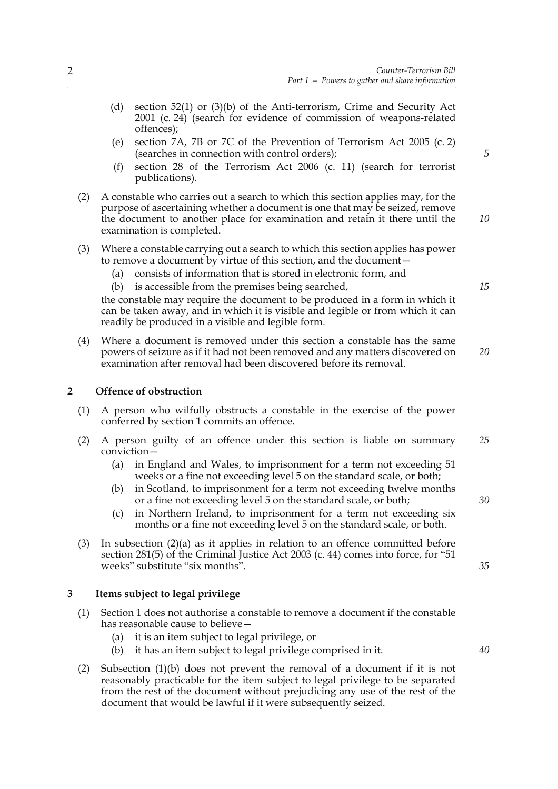- (d) section 52(1) or (3)(b) of the Anti-terrorism, Crime and Security Act 2001 (c. 24) (search for evidence of commission of weapons-related offences);
- (e) section 7A, 7B or 7C of the Prevention of Terrorism Act 2005 (c. 2) (searches in connection with control orders);
- (f) section 28 of the Terrorism Act 2006 (c. 11) (search for terrorist publications).
- (2) A constable who carries out a search to which this section applies may, for the purpose of ascertaining whether a document is one that may be seized, remove the document to another place for examination and retain it there until the examination is completed.
- (3) Where a constable carrying out a search to which this section applies has power to remove a document by virtue of this section, and the document—
	- (a) consists of information that is stored in electronic form, and
	- (b) is accessible from the premises being searched,

the constable may require the document to be produced in a form in which it can be taken away, and in which it is visible and legible or from which it can readily be produced in a visible and legible form.

(4) Where a document is removed under this section a constable has the same powers of seizure as if it had not been removed and any matters discovered on examination after removal had been discovered before its removal. *20*

#### **2 Offence of obstruction**

- (1) A person who wilfully obstructs a constable in the exercise of the power conferred by section 1 commits an offence.
- (2) A person guilty of an offence under this section is liable on summary conviction— *25*
	- (a) in England and Wales, to imprisonment for a term not exceeding 51 weeks or a fine not exceeding level 5 on the standard scale, or both;
	- (b) in Scotland, to imprisonment for a term not exceeding twelve months or a fine not exceeding level 5 on the standard scale, or both;
	- (c) in Northern Ireland, to imprisonment for a term not exceeding six months or a fine not exceeding level 5 on the standard scale, or both.
- (3) In subsection (2)(a) as it applies in relation to an offence committed before section 281(5) of the Criminal Justice Act 2003 (c. 44) comes into force, for "51 weeks" substitute "six months".

#### **3 Items subject to legal privilege**

- (1) Section 1 does not authorise a constable to remove a document if the constable has reasonable cause to believe—
	- (a) it is an item subject to legal privilege, or
	- (b) it has an item subject to legal privilege comprised in it.
- (2) Subsection (1)(b) does not prevent the removal of a document if it is not reasonably practicable for the item subject to legal privilege to be separated from the rest of the document without prejudicing any use of the rest of the document that would be lawful if it were subsequently seized.

*5*

*15*

*10*

*30*

*35*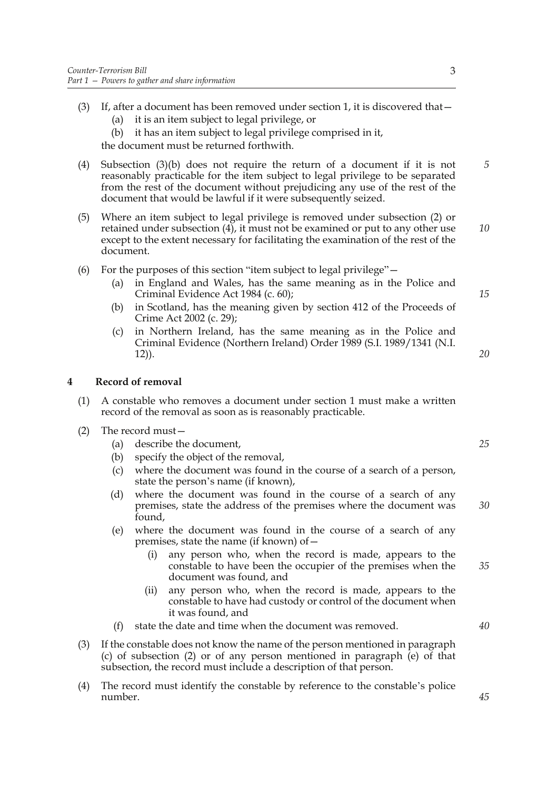- (3) If, after a document has been removed under section 1, it is discovered that—
	- (a) it is an item subject to legal privilege, or
	- (b) it has an item subject to legal privilege comprised in it,

the document must be returned forthwith.

- (4) Subsection (3)(b) does not require the return of a document if it is not reasonably practicable for the item subject to legal privilege to be separated from the rest of the document without prejudicing any use of the rest of the document that would be lawful if it were subsequently seized.
- (5) Where an item subject to legal privilege is removed under subsection (2) or retained under subsection (4), it must not be examined or put to any other use except to the extent necessary for facilitating the examination of the rest of the document.
- (6) For the purposes of this section "item subject to legal privilege"—
	- (a) in England and Wales, has the same meaning as in the Police and Criminal Evidence Act 1984 (c. 60);
	- (b) in Scotland, has the meaning given by section 412 of the Proceeds of Crime Act 2002 (c. 29);
	- (c) in Northern Ireland, has the same meaning as in the Police and Criminal Evidence (Northern Ireland) Order 1989 (S.I. 1989/1341 (N.I. 12)).

#### **4 Record of removal**

- (1) A constable who removes a document under section 1 must make a written record of the removal as soon as is reasonably practicable.
- (2) The record must—
	- (a) describe the document,
	- (b) specify the object of the removal,
	- (c) where the document was found in the course of a search of a person, state the person's name (if known),
	- (d) where the document was found in the course of a search of any premises, state the address of the premises where the document was found,
	- (e) where the document was found in the course of a search of any premises, state the name (if known) of—
		- (i) any person who, when the record is made, appears to the constable to have been the occupier of the premises when the document was found, and
		- (ii) any person who, when the record is made, appears to the constable to have had custody or control of the document when it was found, and
	- (f) state the date and time when the document was removed.
- (3) If the constable does not know the name of the person mentioned in paragraph (c) of subsection (2) or of any person mentioned in paragraph (e) of that subsection, the record must include a description of that person.
- (4) The record must identify the constable by reference to the constable's police number.

*15*

*20*

*10*

*5*

*25*

*30*

*40*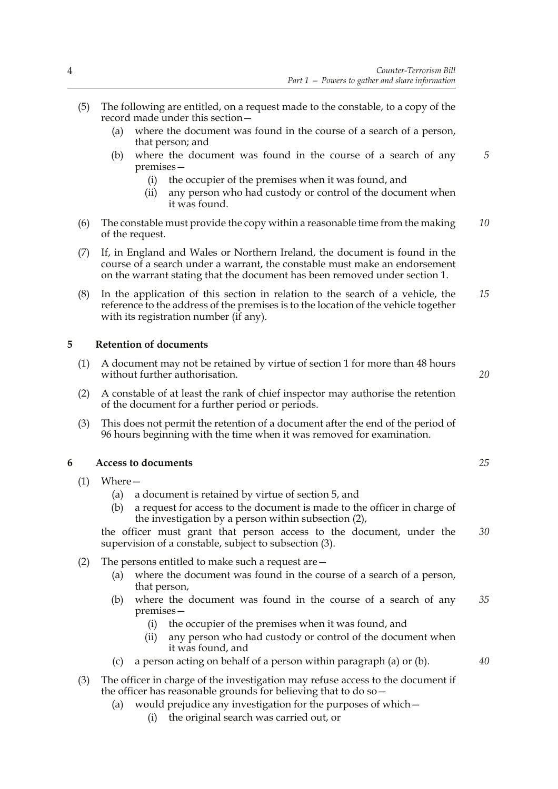- (5) The following are entitled, on a request made to the constable, to a copy of the record made under this section—
	- (a) where the document was found in the course of a search of a person, that person; and
	- (b) where the document was found in the course of a search of any premises—
		- (i) the occupier of the premises when it was found, and
		- (ii) any person who had custody or control of the document when it was found.
- (6) The constable must provide the copy within a reasonable time from the making of the request. *10*
- (7) If, in England and Wales or Northern Ireland, the document is found in the course of a search under a warrant, the constable must make an endorsement on the warrant stating that the document has been removed under section 1.
- (8) In the application of this section in relation to the search of a vehicle, the reference to the address of the premises is to the location of the vehicle together with its registration number (if any). *15*

#### **5 Retention of documents**

- (1) A document may not be retained by virtue of section 1 for more than 48 hours without further authorisation.
- (2) A constable of at least the rank of chief inspector may authorise the retention of the document for a further period or periods.
- (3) This does not permit the retention of a document after the end of the period of 96 hours beginning with the time when it was removed for examination.

#### **6 Access to documents**

- (1) Where—
	- (a) a document is retained by virtue of section 5, and
	- (b) a request for access to the document is made to the officer in charge of the investigation by a person within subsection (2),

the officer must grant that person access to the document, under the supervision of a constable, subject to subsection (3). *30*

- (2) The persons entitled to make such a request are—
	- (a) where the document was found in the course of a search of a person, that person,
	- (b) where the document was found in the course of a search of any premises— *35*
		- (i) the occupier of the premises when it was found, and
		- (ii) any person who had custody or control of the document when it was found, and
	- (c) a person acting on behalf of a person within paragraph (a) or (b).
- (3) The officer in charge of the investigation may refuse access to the document if the officer has reasonable grounds for believing that to do so—
	- (a) would prejudice any investigation for the purposes of which—
		- (i) the original search was carried out, or

*25*

*20*

*5*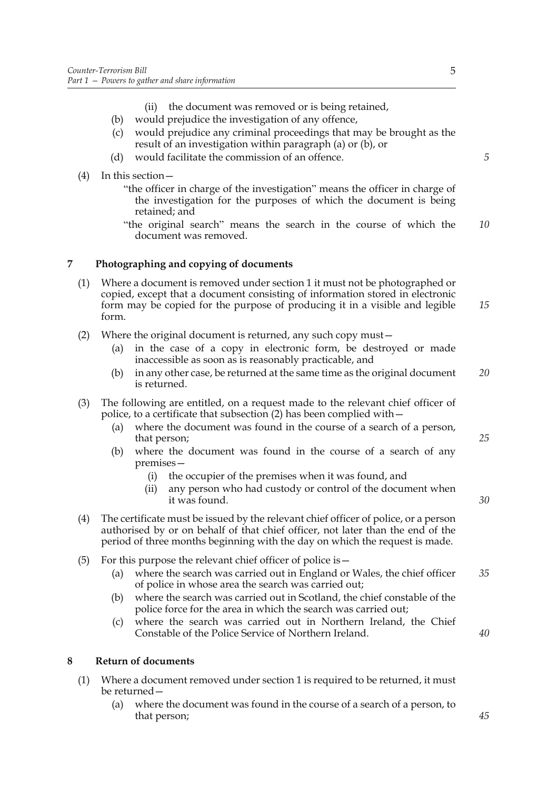- (ii) the document was removed or is being retained,
- (b) would prejudice the investigation of any offence,
- (c) would prejudice any criminal proceedings that may be brought as the result of an investigation within paragraph (a) or (b), or
- (d) would facilitate the commission of an offence.
- (4) In this section—

"the officer in charge of the investigation" means the officer in charge of the investigation for the purposes of which the document is being retained; and

"the original search" means the search in the course of which the document was removed. *10*

#### **7 Photographing and copying of documents**

- (1) Where a document is removed under section 1 it must not be photographed or copied, except that a document consisting of information stored in electronic form may be copied for the purpose of producing it in a visible and legible form. *15*
- (2) Where the original document is returned, any such copy must—
	- (a) in the case of a copy in electronic form, be destroyed or made inaccessible as soon as is reasonably practicable, and
	- (b) in any other case, be returned at the same time as the original document is returned. *20*
- (3) The following are entitled, on a request made to the relevant chief officer of police, to a certificate that subsection (2) has been complied with—
	- (a) where the document was found in the course of a search of a person, that person;
	- (b) where the document was found in the course of a search of any premises—
		- (i) the occupier of the premises when it was found, and
		- (ii) any person who had custody or control of the document when it was found.
- (4) The certificate must be issued by the relevant chief officer of police, or a person authorised by or on behalf of that chief officer, not later than the end of the period of three months beginning with the day on which the request is made.
- (5) For this purpose the relevant chief officer of police is  $-$ 
	- (a) where the search was carried out in England or Wales, the chief officer of police in whose area the search was carried out; *35*
	- (b) where the search was carried out in Scotland, the chief constable of the police force for the area in which the search was carried out;
	- (c) where the search was carried out in Northern Ireland, the Chief Constable of the Police Service of Northern Ireland.

#### **8 Return of documents**

- (1) Where a document removed under section 1 is required to be returned, it must be returned—
	- (a) where the document was found in the course of a search of a person, to that person;

*5*

*25*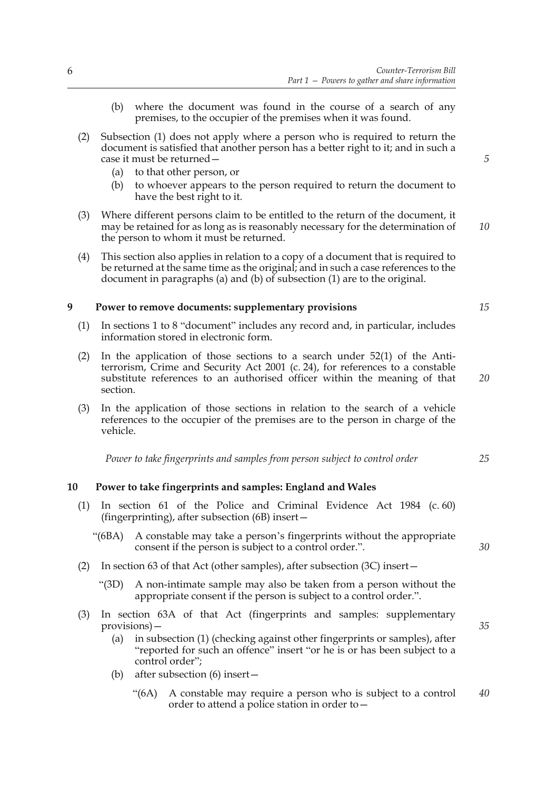- (b) where the document was found in the course of a search of any premises, to the occupier of the premises when it was found.
- (2) Subsection (1) does not apply where a person who is required to return the document is satisfied that another person has a better right to it; and in such a case it must be returned—
	- (a) to that other person, or
	- (b) to whoever appears to the person required to return the document to have the best right to it.
- (3) Where different persons claim to be entitled to the return of the document, it may be retained for as long as is reasonably necessary for the determination of the person to whom it must be returned. *10*
- (4) This section also applies in relation to a copy of a document that is required to be returned at the same time as the original; and in such a case references to the document in paragraphs (a) and (b) of subsection (1) are to the original.

#### **9 Power to remove documents: supplementary provisions**

- (1) In sections 1 to 8 "document" includes any record and, in particular, includes information stored in electronic form.
- (2) In the application of those sections to a search under 52(1) of the Antiterrorism, Crime and Security Act 2001 (c. 24), for references to a constable substitute references to an authorised officer within the meaning of that section.
- (3) In the application of those sections in relation to the search of a vehicle references to the occupier of the premises are to the person in charge of the vehicle.

*Power to take fingerprints and samples from person subject to control order*

#### **10 Power to take fingerprints and samples: England and Wales**

- (1) In section 61 of the Police and Criminal Evidence Act 1984 (c. 60) (fingerprinting), after subsection (6B) insert—
	- "(6BA) A constable may take a person's fingerprints without the appropriate consent if the person is subject to a control order.".
- (2) In section 63 of that Act (other samples), after subsection (3C) insert—
	- "(3D) A non-intimate sample may also be taken from a person without the appropriate consent if the person is subject to a control order.".
- (3) In section 63A of that Act (fingerprints and samples: supplementary provisions)—
	- (a) in subsection (1) (checking against other fingerprints or samples), after "reported for such an offence" insert "or he is or has been subject to a control order";
	- (b) after subsection (6) insert—
		- "(6A) A constable may require a person who is subject to a control order to attend a police station in order to— *40*

*15*

*20*

*5*

*25*

*30*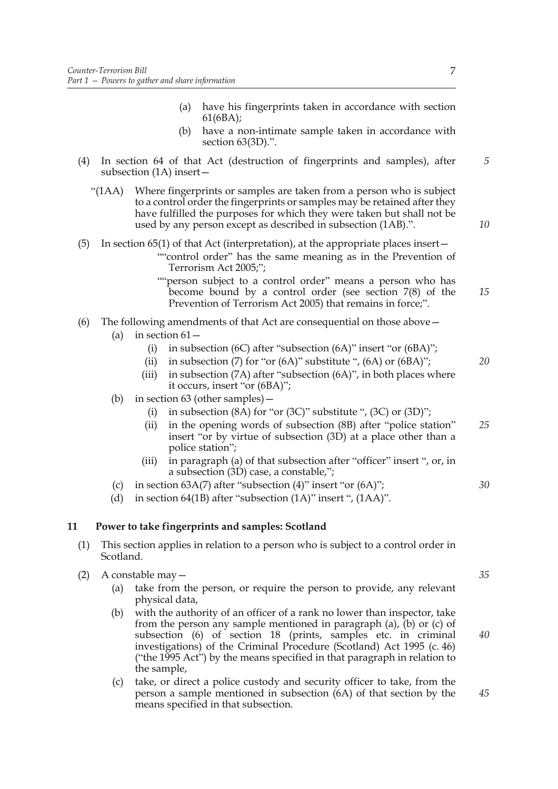- (a) have his fingerprints taken in accordance with section 61(6BA);
- (b) have a non-intimate sample taken in accordance with section 63(3D).".
- (4) In section 64 of that Act (destruction of fingerprints and samples), after subsection (1A) insert—
	- "(1AA) Where fingerprints or samples are taken from a person who is subject to a control order the fingerprints or samples may be retained after they have fulfilled the purposes for which they were taken but shall not be used by any person except as described in subsection (1AB).".
- (5) In section 65(1) of that Act (interpretation), at the appropriate places insert— ""control order" has the same meaning as in the Prevention of Terrorism Act 2005;";
	- ""person subject to a control order" means a person who has become bound by a control order (see section 7(8) of the Prevention of Terrorism Act 2005) that remains in force;".

#### (6) The following amendments of that Act are consequential on those above—

- (a) in section  $61-$ 
	- (i) in subsection (6C) after "subsection (6A)" insert "or (6BA)";
	- (ii) in subsection (7) for "or  $(6A)$ " substitute ",  $(6A)$  or  $(6BA)$ ";
	- (iii) in subsection  $(7A)$  after "subsection  $(6A)$ ", in both places where it occurs, insert "or (6BA)";
- (b) in section 63 (other samples)—
	- (i) in subsection  $(8A)$  for "or  $(3C)$ " substitute ",  $(3C)$  or  $(3D)$ ";
	- (ii) in the opening words of subsection (8B) after "police station" insert "or by virtue of subsection (3D) at a place other than a police station"; *25*
	- (iii) in paragraph (a) of that subsection after "officer" insert ", or, in a subsection (3D) case, a constable,";
- (c) in section  $63A(7)$  after "subsection  $(4)$ " insert "or  $(6A)$ ";
- (d) in section 64(1B) after "subsection (1A)" insert ", (1AA)".

#### **11 Power to take fingerprints and samples: Scotland**

- (1) This section applies in relation to a person who is subject to a control order in Scotland.
- (2) A constable may—
	- (a) take from the person, or require the person to provide, any relevant physical data,
	- (b) with the authority of an officer of a rank no lower than inspector, take from the person any sample mentioned in paragraph (a), (b) or (c) of subsection (6) of section 18 (prints, samples etc. in criminal investigations) of the Criminal Procedure (Scotland) Act 1995 (c. 46) ("the 1995 Act") by the means specified in that paragraph in relation to the sample,
	- (c) take, or direct a police custody and security officer to take, from the person a sample mentioned in subsection (6A) of that section by the means specified in that subsection.

*5*

*10*

*15*

*20*

*35*

*30*

*40*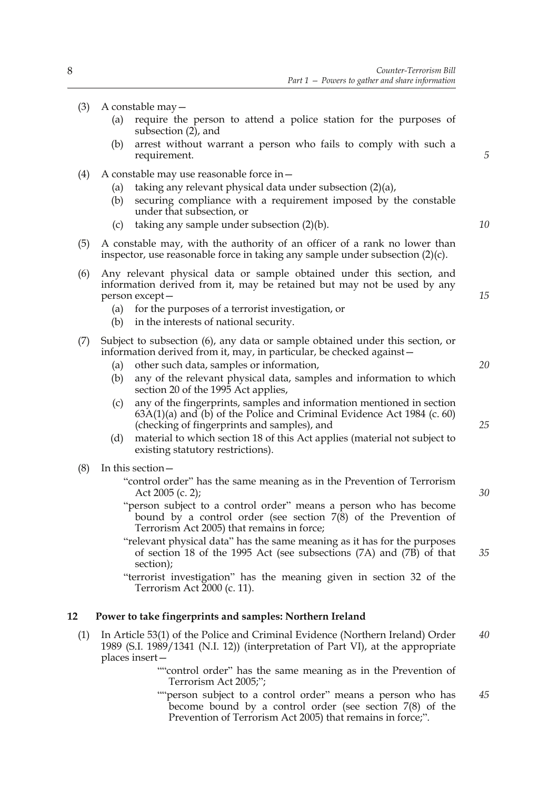- (3) A constable may—
	- (a) require the person to attend a police station for the purposes of subsection  $(2)$ , and
	- (b) arrest without warrant a person who fails to comply with such a requirement.
- (4) A constable may use reasonable force in—
	- (a) taking any relevant physical data under subsection (2)(a),
	- (b) securing compliance with a requirement imposed by the constable under that subsection, or
	- (c) taking any sample under subsection (2)(b).
- (5) A constable may, with the authority of an officer of a rank no lower than inspector, use reasonable force in taking any sample under subsection (2)(c).
- (6) Any relevant physical data or sample obtained under this section, and information derived from it, may be retained but may not be used by any person except—
	- (a) for the purposes of a terrorist investigation, or
	- (b) in the interests of national security.
- (7) Subject to subsection (6), any data or sample obtained under this section, or information derived from it, may, in particular, be checked against—
	- (a) other such data, samples or information,
	- (b) any of the relevant physical data, samples and information to which section 20 of the 1995 Act applies,
	- (c) any of the fingerprints, samples and information mentioned in section  $63A(1)(a)$  and  $(b)$  of the Police and Criminal Evidence Act 1984 (c. 60) (checking of fingerprints and samples), and
	- (d) material to which section 18 of this Act applies (material not subject to existing statutory restrictions).
- (8) In this section—
	- "control order" has the same meaning as in the Prevention of Terrorism Act 2005 (c. 2);
	- "person subject to a control order" means a person who has become bound by a control order (see section  $7(8)$ ) of the Prevention of Terrorism Act 2005) that remains in force;
	- "relevant physical data" has the same meaning as it has for the purposes of section 18 of the 1995 Act (see subsections (7A) and (7B) of that section);

"terrorist investigation" has the meaning given in section 32 of the Terrorism Act 2000 (c. 11).

#### **12 Power to take fingerprints and samples: Northern Ireland**

- (1) In Article 53(1) of the Police and Criminal Evidence (Northern Ireland) Order 1989 (S.I. 1989/1341 (N.I. 12)) (interpretation of Part VI), at the appropriate places insert— *40*
	- ""control order" has the same meaning as in the Prevention of Terrorism Act 2005;";
	- ""person subject to a control order" means a person who has become bound by a control order (see section 7(8) of the Prevention of Terrorism Act 2005) that remains in force;". *45*

*10*

*15*

*5*

*25*

*20*

*30*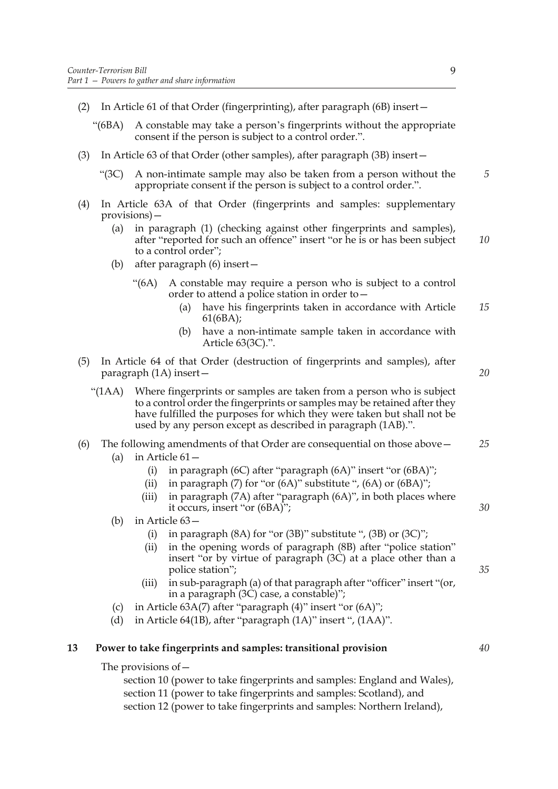- (2) In Article 61 of that Order (fingerprinting), after paragraph (6B) insert—
	- "(6BA) A constable may take a person's fingerprints without the appropriate consent if the person is subject to a control order.".
- (3) In Article 63 of that Order (other samples), after paragraph (3B) insert—
	- "(3C) A non-intimate sample may also be taken from a person without the appropriate consent if the person is subject to a control order.". *5*
- (4) In Article 63A of that Order (fingerprints and samples: supplementary provisions)—
	- (a) in paragraph (1) (checking against other fingerprints and samples), after "reported for such an offence" insert "or he is or has been subject to a control order"; *10*
	- (b) after paragraph (6) insert—
		- "(6A) A constable may require a person who is subject to a control order to attend a police station in order to—
			- (a) have his fingerprints taken in accordance with Article 61(6BA); *15*
			- (b) have a non-intimate sample taken in accordance with Article 63(3C).".
- (5) In Article 64 of that Order (destruction of fingerprints and samples), after paragraph (1A) insert—

*20*

*30*

*35*

"(1AA) Where fingerprints or samples are taken from a person who is subject to a control order the fingerprints or samples may be retained after they have fulfilled the purposes for which they were taken but shall not be used by any person except as described in paragraph (1AB).".

#### (6) The following amendments of that Order are consequential on those above— *25*

- (a) in Article 61—
	- (i) in paragraph (6C) after "paragraph (6A)" insert "or (6BA)";
	- (ii) in paragraph  $(7)$  for "or  $(6A)$ " substitute ",  $(6A)$  or  $(6BA)$ ";
	- (iii) in paragraph (7A) after "paragraph (6A)", in both places where it occurs, insert "or (6BA)";
- (b) in Article 63—
	- (i) in paragraph  $(8A)$  for "or  $(3B)$ " substitute ",  $(3B)$  or  $(3C)$ ";
	- (ii) in the opening words of paragraph (8B) after "police station" insert "or by virtue of paragraph (3C) at a place other than a police station";
	- (iii) in sub-paragraph (a) of that paragraph after "officer" insert "(or, in a paragraph (3C) case, a constable)";
- (c) in Article 63A(7) after "paragraph (4)" insert "or (6A)";
- (d) in Article 64(1B), after "paragraph (1A)" insert ", (1AA)".

#### **13 Power to take fingerprints and samples: transitional provision**

The provisions of—

section 10 (power to take fingerprints and samples: England and Wales), section 11 (power to take fingerprints and samples: Scotland), and section 12 (power to take fingerprints and samples: Northern Ireland),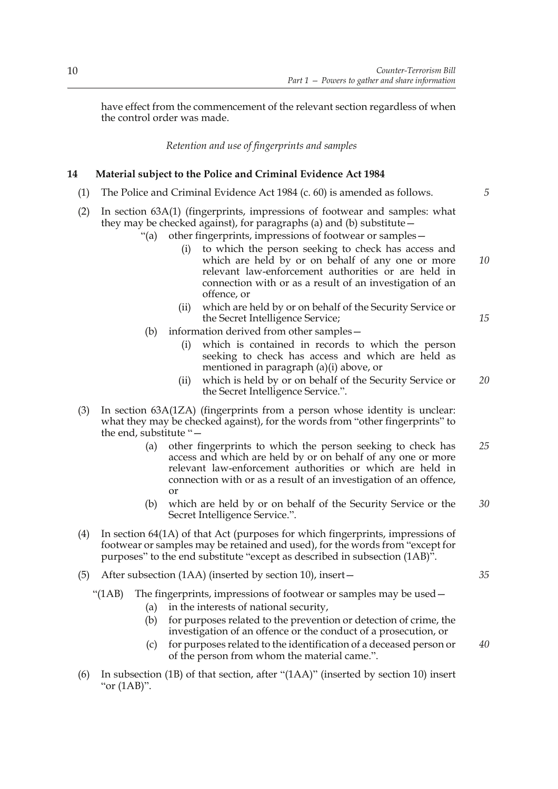have effect from the commencement of the relevant section regardless of when the control order was made.

*Retention and use of fingerprints and samples*

#### **14 Material subject to the Police and Criminal Evidence Act 1984**

- (1) The Police and Criminal Evidence Act 1984 (c. 60) is amended as follows.
- (2) In section 63A(1) (fingerprints, impressions of footwear and samples: what they may be checked against), for paragraphs (a) and (b) substitute—
	- "(a) other fingerprints, impressions of footwear or samples—
		- (i) to which the person seeking to check has access and which are held by or on behalf of any one or more relevant law-enforcement authorities or are held in connection with or as a result of an investigation of an offence, or *10*
		- (ii) which are held by or on behalf of the Security Service or the Secret Intelligence Service;
	- (b) information derived from other samples—
		- (i) which is contained in records to which the person seeking to check has access and which are held as mentioned in paragraph (a)(i) above, or
		- (ii) which is held by or on behalf of the Security Service or the Secret Intelligence Service.". *20*
- (3) In section 63A(1ZA) (fingerprints from a person whose identity is unclear: what they may be checked against), for the words from "other fingerprints" to the end, substitute "—
	- (a) other fingerprints to which the person seeking to check has access and which are held by or on behalf of any one or more relevant law-enforcement authorities or which are held in connection with or as a result of an investigation of an offence, or *25*
	- (b) which are held by or on behalf of the Security Service or the Secret Intelligence Service.". *30*
- (4) In section 64(1A) of that Act (purposes for which fingerprints, impressions of footwear or samples may be retained and used), for the words from "except for purposes" to the end substitute "except as described in subsection (1AB)".
- (5) After subsection (1AA) (inserted by section 10), insert—
	- "( $1AB$ ) The fingerprints, impressions of footwear or samples may be used  $-$ 
		- (a) in the interests of national security,
		- (b) for purposes related to the prevention or detection of crime, the investigation of an offence or the conduct of a prosecution, or
		- (c) for purposes related to the identification of a deceased person or of the person from whom the material came.".
- (6) In subsection (1B) of that section, after "(1AA)" (inserted by section 10) insert "or (1AB)".

*35*

*40*

*5*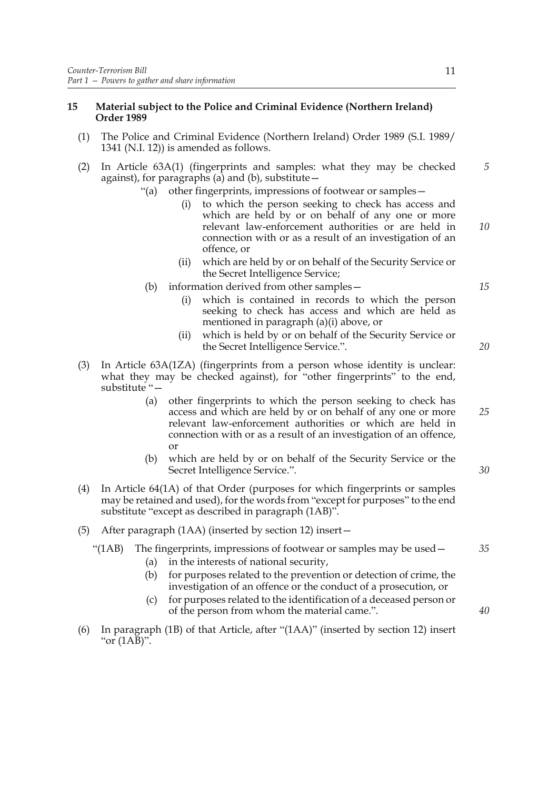#### **15 Material subject to the Police and Criminal Evidence (Northern Ireland) Order 1989**

- (1) The Police and Criminal Evidence (Northern Ireland) Order 1989 (S.I. 1989/ 1341 (N.I. 12)) is amended as follows.
- (2) In Article 63A(1) (fingerprints and samples: what they may be checked against), for paragraphs (a) and (b), substitute— *5*
	- "(a) other fingerprints, impressions of footwear or samples—
		- (i) to which the person seeking to check has access and which are held by or on behalf of any one or more relevant law-enforcement authorities or are held in connection with or as a result of an investigation of an offence, or
		- (ii) which are held by or on behalf of the Security Service or the Secret Intelligence Service;
	- (b) information derived from other samples
		- which is contained in records to which the person seeking to check has access and which are held as mentioned in paragraph (a)(i) above, or
		- (ii) which is held by or on behalf of the Security Service or the Secret Intelligence Service.".
- (3) In Article 63A(1ZA) (fingerprints from a person whose identity is unclear: what they may be checked against), for "other fingerprints" to the end, substitute "—
	- (a) other fingerprints to which the person seeking to check has access and which are held by or on behalf of any one or more relevant law-enforcement authorities or which are held in connection with or as a result of an investigation of an offence, or
	- (b) which are held by or on behalf of the Security Service or the Secret Intelligence Service.".
- (4) In Article 64(1A) of that Order (purposes for which fingerprints or samples may be retained and used), for the words from "except for purposes" to the end substitute "except as described in paragraph (1AB)".
- (5) After paragraph (1AA) (inserted by section 12) insert—

#### "(1AB) The fingerprints, impressions of footwear or samples may be used—

- (a) in the interests of national security,
- (b) for purposes related to the prevention or detection of crime, the investigation of an offence or the conduct of a prosecution, or
- (c) for purposes related to the identification of a deceased person or of the person from whom the material came.".
- (6) In paragraph (1B) of that Article, after "(1AA)" (inserted by section 12) insert "or (1AB)".

*10*

*15*

*20*

*25*

*30*

*35*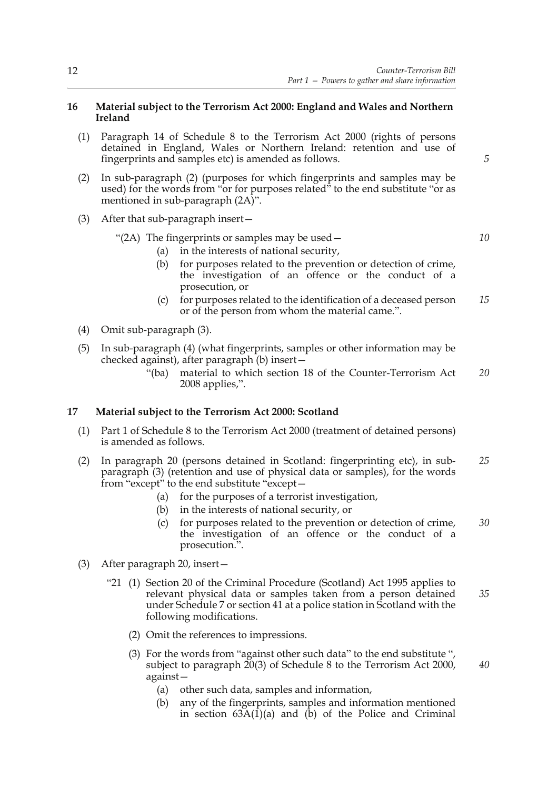#### **16 Material subject to the Terrorism Act 2000: England and Wales and Northern Ireland**

- (1) Paragraph 14 of Schedule 8 to the Terrorism Act 2000 (rights of persons detained in England, Wales or Northern Ireland: retention and use of fingerprints and samples etc) is amended as follows.
- (2) In sub-paragraph (2) (purposes for which fingerprints and samples may be used) for the words from "or for purposes related" to the end substitute "or as mentioned in sub-paragraph  $(2A)$ ".
- (3) After that sub-paragraph insert—

#### "(2A) The fingerprints or samples may be used— *10*

- (a) in the interests of national security,
- (b) for purposes related to the prevention or detection of crime, the investigation of an offence or the conduct of a prosecution, or
- (c) for purposes related to the identification of a deceased person or of the person from whom the material came.". *15*
- (4) Omit sub-paragraph (3).
- (5) In sub-paragraph (4) (what fingerprints, samples or other information may be checked against), after paragraph (b) insert—
	- "(ba) material to which section 18 of the Counter-Terrorism Act 2008 applies,". *20*

#### **17 Material subject to the Terrorism Act 2000: Scotland**

- (1) Part 1 of Schedule 8 to the Terrorism Act 2000 (treatment of detained persons) is amended as follows.
- (2) In paragraph 20 (persons detained in Scotland: fingerprinting etc), in subparagraph (3) (retention and use of physical data or samples), for the words from "except" to the end substitute "except— *25*
	- (a) for the purposes of a terrorist investigation,
	- (b) in the interests of national security, or
	- (c) for purposes related to the prevention or detection of crime, the investigation of an offence or the conduct of a prosecution.". *30*
- (3) After paragraph 20, insert—
	- "21 (1) Section 20 of the Criminal Procedure (Scotland) Act 1995 applies to relevant physical data or samples taken from a person detained under Schedule 7 or section 41 at a police station in Scotland with the following modifications. *35*
		- (2) Omit the references to impressions.
		- (3) For the words from "against other such data" to the end substitute ", subject to paragraph 20(3) of Schedule 8 to the Terrorism Act 2000, against—
			- (a) other such data, samples and information,
			- (b) any of the fingerprints, samples and information mentioned in section  $63A(1)(a)$  and  $(b)$  of the Police and Criminal

*5*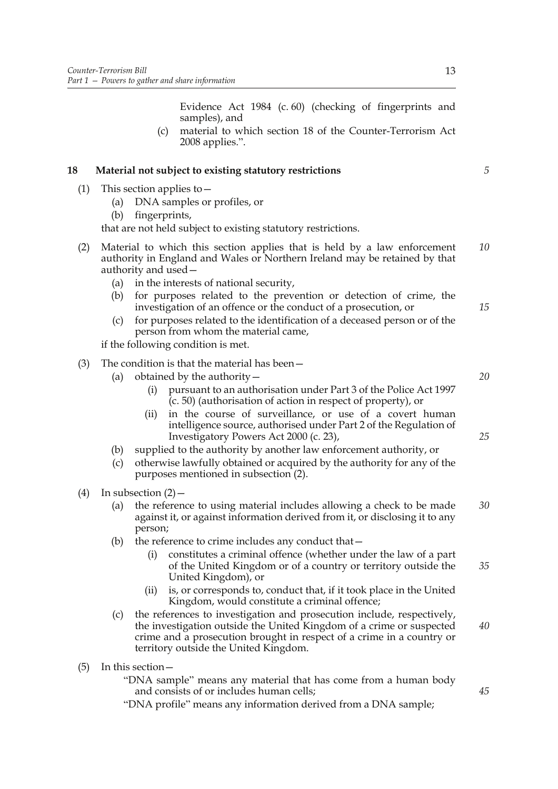Evidence Act 1984 (c. 60) (checking of fingerprints and samples), and

(c) material to which section 18 of the Counter-Terrorism Act 2008 applies.".

#### **18 Material not subject to existing statutory restrictions**

- (1) This section applies to—
	- (a) DNA samples or profiles, or
	- (b) fingerprints,

that are not held subject to existing statutory restrictions.

- (2) Material to which this section applies that is held by a law enforcement authority in England and Wales or Northern Ireland may be retained by that authority and used— *10*
	- (a) in the interests of national security,
	- (b) for purposes related to the prevention or detection of crime, the investigation of an offence or the conduct of a prosecution, or
	- (c) for purposes related to the identification of a deceased person or of the person from whom the material came,

if the following condition is met.

- (3) The condition is that the material has been—
	- (a) obtained by the authority—
		- (i) pursuant to an authorisation under Part 3 of the Police Act 1997  $(c. 50)$  (authorisation of action in respect of property), or
		- (ii) in the course of surveillance, or use of a covert human intelligence source, authorised under Part 2 of the Regulation of Investigatory Powers Act 2000 (c. 23),
	- (b) supplied to the authority by another law enforcement authority, or
	- (c) otherwise lawfully obtained or acquired by the authority for any of the purposes mentioned in subsection (2).
- (4) In subsection  $(2)$ 
	- (a) the reference to using material includes allowing a check to be made against it, or against information derived from it, or disclosing it to any person; *30*
	- (b) the reference to crime includes any conduct that  $-$ 
		- (i) constitutes a criminal offence (whether under the law of a part of the United Kingdom or of a country or territory outside the United Kingdom), or
		- (ii) is, or corresponds to, conduct that, if it took place in the United Kingdom, would constitute a criminal offence;
	- (c) the references to investigation and prosecution include, respectively, the investigation outside the United Kingdom of a crime or suspected crime and a prosecution brought in respect of a crime in a country or territory outside the United Kingdom. *40*
- (5) In this section—
	- "DNA sample" means any material that has come from a human body and consists of or includes human cells;
	- "DNA profile" means any information derived from a DNA sample;

*5*

*15*

*20*

*25*

*35*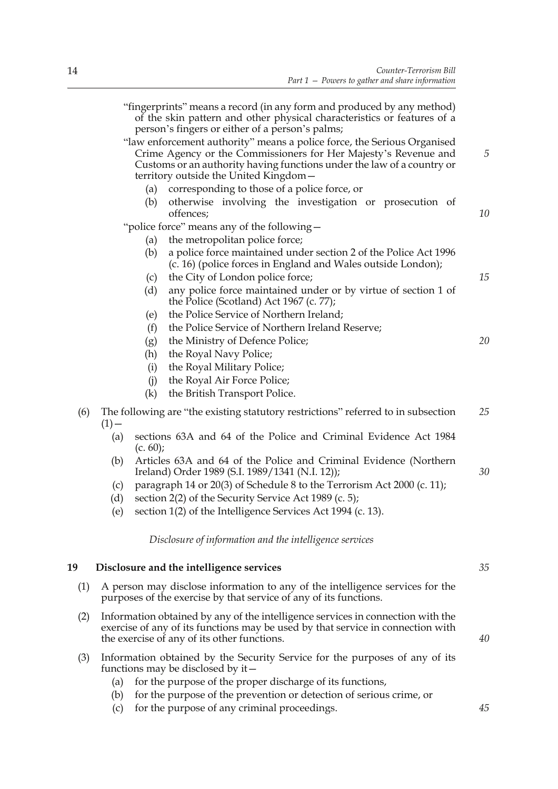|     | "fingerprints" means a record (in any form and produced by any method)<br>of the skin pattern and other physical characteristics or features of a<br>person's fingers or either of a person's palms;                                                          |    |  |
|-----|---------------------------------------------------------------------------------------------------------------------------------------------------------------------------------------------------------------------------------------------------------------|----|--|
|     | "law enforcement authority" means a police force, the Serious Organised<br>Crime Agency or the Commissioners for Her Majesty's Revenue and<br>Customs or an authority having functions under the law of a country or<br>territory outside the United Kingdom- | 5  |  |
|     | corresponding to those of a police force, or<br>(a)                                                                                                                                                                                                           |    |  |
|     | otherwise involving the investigation or prosecution of<br>(b)<br>offences;                                                                                                                                                                                   | 10 |  |
|     | "police force" means any of the following-                                                                                                                                                                                                                    |    |  |
|     | the metropolitan police force;<br>(a)                                                                                                                                                                                                                         |    |  |
|     | a police force maintained under section 2 of the Police Act 1996<br>(b)<br>(c. 16) (police forces in England and Wales outside London);                                                                                                                       |    |  |
|     | the City of London police force;<br>(c)                                                                                                                                                                                                                       | 15 |  |
|     | any police force maintained under or by virtue of section 1 of<br>(d)<br>the Police (Scotland) Act 1967 (c. 77);                                                                                                                                              |    |  |
|     | the Police Service of Northern Ireland;<br>(e)                                                                                                                                                                                                                |    |  |
|     | the Police Service of Northern Ireland Reserve;<br>(f)                                                                                                                                                                                                        |    |  |
|     | the Ministry of Defence Police;<br>(g)                                                                                                                                                                                                                        | 20 |  |
|     | the Royal Navy Police;<br>(h)                                                                                                                                                                                                                                 |    |  |
|     | the Royal Military Police;<br>(i)                                                                                                                                                                                                                             |    |  |
|     | the Royal Air Force Police;<br>(i)                                                                                                                                                                                                                            |    |  |
|     | the British Transport Police.<br>(k)                                                                                                                                                                                                                          |    |  |
| (6) | The following are "the existing statutory restrictions" referred to in subsection<br>$(1)$ –                                                                                                                                                                  | 25 |  |
|     | sections 63A and 64 of the Police and Criminal Evidence Act 1984<br>(a)<br>(c. 60);                                                                                                                                                                           |    |  |
|     | Articles 63A and 64 of the Police and Criminal Evidence (Northern<br>(b)<br>Ireland) Order 1989 (S.I. 1989/1341 (N.I. 12));                                                                                                                                   | 30 |  |
|     | paragraph 14 or 20(3) of Schedule 8 to the Terrorism Act 2000 (c. 11);<br>(c)                                                                                                                                                                                 |    |  |
|     | section 2(2) of the Security Service Act 1989 (c. 5);<br>(d)                                                                                                                                                                                                  |    |  |
|     | section 1(2) of the Intelligence Services Act 1994 (c. 13).<br>(e)                                                                                                                                                                                            |    |  |
|     | Disclosure of information and the intelligence services                                                                                                                                                                                                       |    |  |
| 19  | Disclosure and the intelligence services                                                                                                                                                                                                                      | 35 |  |
| (1) | A person may disclose information to any of the intelligence services for the<br>purposes of the exercise by that service of any of its functions.                                                                                                            |    |  |
| (2) | Information obtained by any of the intelligence services in connection with the<br>exercise of any of its functions may be used by that service in connection with<br>the exercise of any of its other functions.                                             |    |  |
| (3) | Information obtained by the Security Service for the purposes of any of its<br>functions may be disclosed by it $-$                                                                                                                                           |    |  |
|     | for the purpose of the proper discharge of its functions,<br>(a)                                                                                                                                                                                              |    |  |
|     | for the purpose of the prevention or detection of serious crime, or<br>(b)                                                                                                                                                                                    |    |  |
|     | for the purpose of any criminal proceedings.<br>(c)                                                                                                                                                                                                           | 45 |  |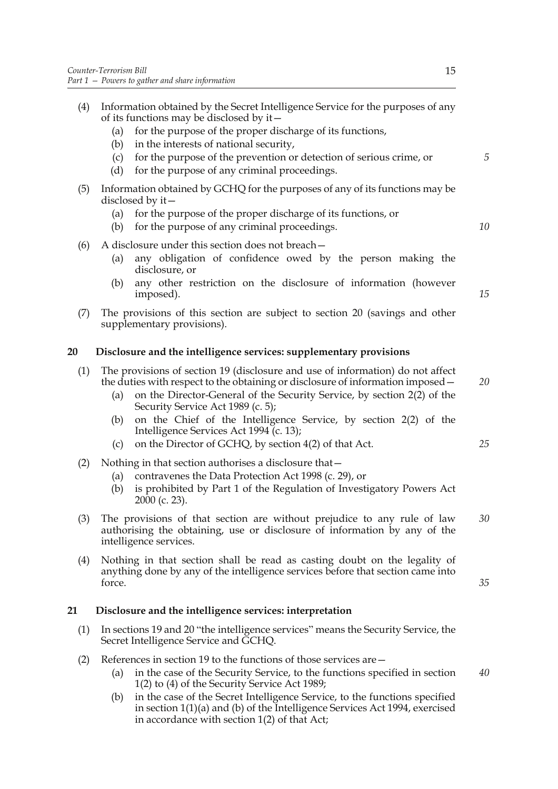(4) Information obtained by the Secret Intelligence Service for the purposes of any of its functions may be disclosed by it— (a) for the purpose of the proper discharge of its functions, (b) in the interests of national security, (c) for the purpose of the prevention or detection of serious crime, or (d) for the purpose of any criminal proceedings. (5) Information obtained by GCHQ for the purposes of any of its functions may be disclosed by it— (a) for the purpose of the proper discharge of its functions, or (b) for the purpose of any criminal proceedings. (6) A disclosure under this section does not breach— (a) any obligation of confidence owed by the person making the disclosure, or (b) any other restriction on the disclosure of information (however imposed). (7) The provisions of this section are subject to section 20 (savings and other supplementary provisions).

#### **20 Disclosure and the intelligence services: supplementary provisions**

| (1) The provisions of section 19 (disclosure and use of information) do not affect |
|------------------------------------------------------------------------------------|
| the duties with respect to the obtaining or disclosure of information imposed –    |

- (a) on the Director-General of the Security Service, by section 2(2) of the Security Service Act 1989 (c. 5);
- (b) on the Chief of the Intelligence Service, by section 2(2) of the Intelligence Services Act 1994 (c. 13);
- (c) on the Director of GCHQ, by section 4(2) of that Act.
- (2) Nothing in that section authorises a disclosure that—
	- (a) contravenes the Data Protection Act 1998 (c. 29), or
	- (b) is prohibited by Part 1 of the Regulation of Investigatory Powers Act 2000 (c. 23).
- (3) The provisions of that section are without prejudice to any rule of law authorising the obtaining, use or disclosure of information by any of the intelligence services. *30*
- (4) Nothing in that section shall be read as casting doubt on the legality of anything done by any of the intelligence services before that section came into force.

## **21 Disclosure and the intelligence services: interpretation**

- (1) In sections 19 and 20 "the intelligence services" means the Security Service, the Secret Intelligence Service and GCHQ.
- (2) References in section 19 to the functions of those services are—
	- (a) in the case of the Security Service, to the functions specified in section 1(2) to (4) of the Security Service Act 1989; *40*
	- (b) in the case of the Secret Intelligence Service, to the functions specified in section 1(1)(a) and (b) of the Intelligence Services Act 1994, exercised in accordance with section 1(2) of that Act;

*5*

*10*

*15*

*20*

*25*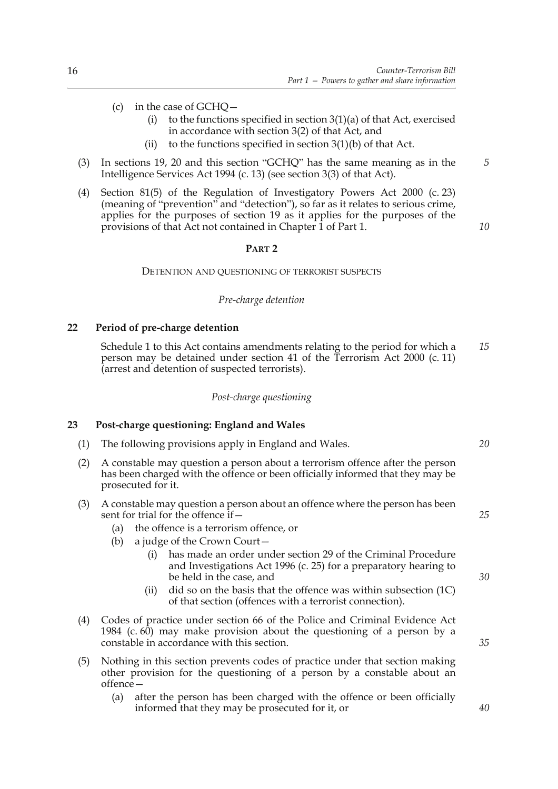- (c) in the case of GCHQ—
	- (i) to the functions specified in section  $3(1)(a)$  of that Act, exercised in accordance with section 3(2) of that Act, and
	- (ii) to the functions specified in section  $3(1)(b)$  of that Act.
- (3) In sections 19, 20 and this section "GCHQ" has the same meaning as in the Intelligence Services Act 1994 (c. 13) (see section 3(3) of that Act).
- (4) Section 81(5) of the Regulation of Investigatory Powers Act 2000 (c. 23) (meaning of "prevention" and "detection"), so far as it relates to serious crime, applies for the purposes of section 19 as it applies for the purposes of the provisions of that Act not contained in Chapter 1 of Part 1.

### *10*

*5*

#### **PART 2**

#### DETENTION AND QUESTIONING OF TERRORIST SUSPECTS

#### *Pre-charge detention*

#### **22 Period of pre-charge detention**

Schedule 1 to this Act contains amendments relating to the period for which a person may be detained under section 41 of the Terrorism Act 2000 (c. 11) (arrest and detention of suspected terrorists). *15*

#### *Post-charge questioning*

#### **23 Post-charge questioning: England and Wales**

- (1) The following provisions apply in England and Wales.
- (2) A constable may question a person about a terrorism offence after the person has been charged with the offence or been officially informed that they may be prosecuted for it.
- (3) A constable may question a person about an offence where the person has been sent for trial for the offence if—
	- (a) the offence is a terrorism offence, or
	- (b) a judge of the Crown Court
		- has made an order under section 29 of the Criminal Procedure and Investigations Act 1996 (c. 25) for a preparatory hearing to be held in the case, and
		- (ii) did so on the basis that the offence was within subsection (1C) of that section (offences with a terrorist connection).
- (4) Codes of practice under section 66 of the Police and Criminal Evidence Act 1984 (c.  $60$ ) may make provision about the questioning of a person by a constable in accordance with this section.
- (5) Nothing in this section prevents codes of practice under that section making other provision for the questioning of a person by a constable about an offence—
	- (a) after the person has been charged with the offence or been officially informed that they may be prosecuted for it, or

*20*

#### *25*

*30*

*35*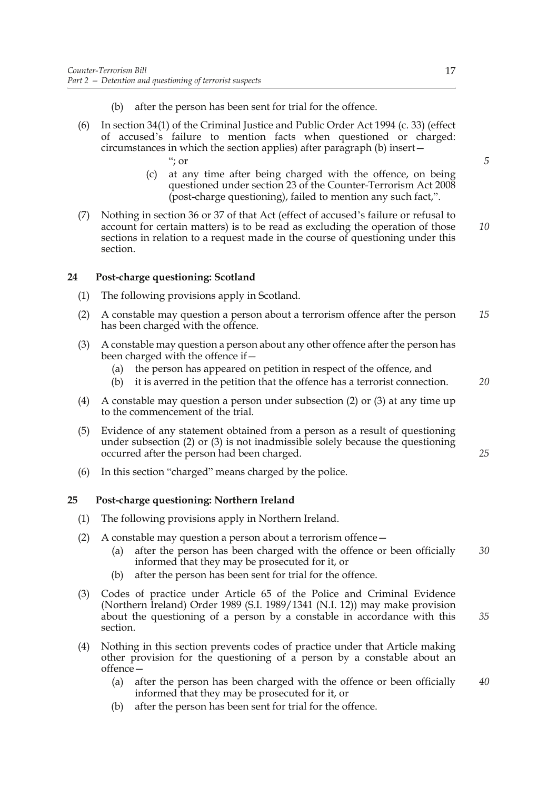- (b) after the person has been sent for trial for the offence.
- (6) In section 34(1) of the Criminal Justice and Public Order Act 1994 (c. 33) (effect of accused's failure to mention facts when questioned or charged: circumstances in which the section applies) after paragraph (b) insert—
	- "; or
	- (c) at any time after being charged with the offence, on being questioned under section 23 of the Counter-Terrorism Act 2008 (post-charge questioning), failed to mention any such fact,".
- (7) Nothing in section 36 or 37 of that Act (effect of accused's failure or refusal to account for certain matters) is to be read as excluding the operation of those sections in relation to a request made in the course of questioning under this section. *10*

#### **24 Post-charge questioning: Scotland**

- (1) The following provisions apply in Scotland.
- (2) A constable may question a person about a terrorism offence after the person has been charged with the offence. *15*
- (3) A constable may question a person about any other offence after the person has been charged with the offence if—
	- (a) the person has appeared on petition in respect of the offence, and
	- (b) it is averred in the petition that the offence has a terrorist connection. *20*
- (4) A constable may question a person under subsection (2) or (3) at any time up to the commencement of the trial.
- (5) Evidence of any statement obtained from a person as a result of questioning under subsection (2) or (3) is not inadmissible solely because the questioning occurred after the person had been charged.
- (6) In this section "charged" means charged by the police.

#### **25 Post-charge questioning: Northern Ireland**

- (1) The following provisions apply in Northern Ireland.
- (2) A constable may question a person about a terrorism offence—
	- (a) after the person has been charged with the offence or been officially informed that they may be prosecuted for it, or *30*
	- (b) after the person has been sent for trial for the offence.
- (3) Codes of practice under Article 65 of the Police and Criminal Evidence (Northern Ireland) Order 1989 (S.I. 1989/1341 (N.I. 12)) may make provision about the questioning of a person by a constable in accordance with this section. *35*
- (4) Nothing in this section prevents codes of practice under that Article making other provision for the questioning of a person by a constable about an offence—
	- (a) after the person has been charged with the offence or been officially informed that they may be prosecuted for it, or *40*
	- (b) after the person has been sent for trial for the offence.

*25*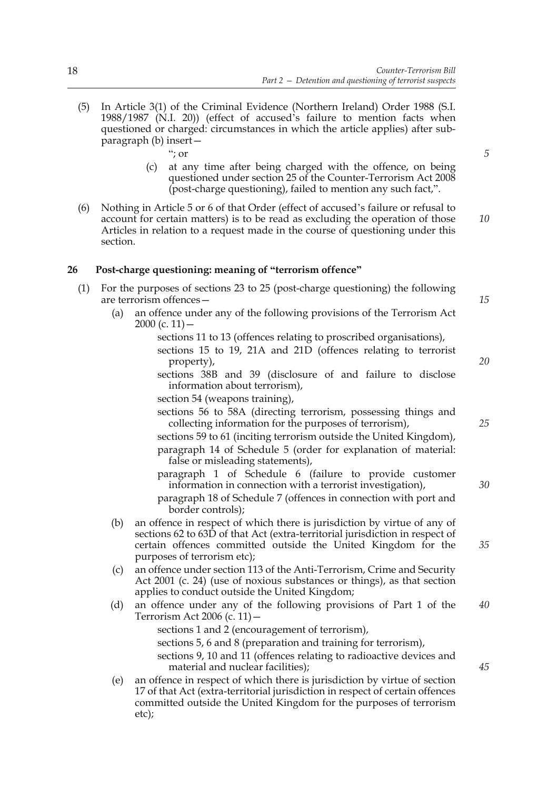- (5) In Article 3(1) of the Criminal Evidence (Northern Ireland) Order 1988 (S.I. 1988/1987 (N.I. 20)) (effect of accused's failure to mention facts when questioned or charged: circumstances in which the article applies) after subparagraph (b) insert—
	- "; or
	- (c) at any time after being charged with the offence, on being questioned under section 25 of the Counter-Terrorism Act 2008 (post-charge questioning), failed to mention any such fact,".
- (6) Nothing in Article 5 or 6 of that Order (effect of accused's failure or refusal to account for certain matters) is to be read as excluding the operation of those Articles in relation to a request made in the course of questioning under this section. *10*

#### **26 Post-charge questioning: meaning of "terrorism offence"**

- (1) For the purposes of sections 23 to 25 (post-charge questioning) the following are terrorism offences—
	- (a) an offence under any of the following provisions of the Terrorism Act 2000 (c. 11)  $$ 
		- sections 11 to 13 (offences relating to proscribed organisations),
		- sections 15 to 19, 21A and 21D (offences relating to terrorist property),
		- sections 38B and 39 (disclosure of and failure to disclose information about terrorism),
		- section 54 (weapons training),
		- sections 56 to 58A (directing terrorism, possessing things and collecting information for the purposes of terrorism),
		- sections 59 to 61 (inciting terrorism outside the United Kingdom), paragraph 14 of Schedule 5 (order for explanation of material: false or misleading statements),
		- paragraph 1 of Schedule 6 (failure to provide customer information in connection with a terrorist investigation),
		- paragraph 18 of Schedule 7 (offences in connection with port and border controls);
	- (b) an offence in respect of which there is jurisdiction by virtue of any of sections 62 to 63D of that Act (extra-territorial jurisdiction in respect of certain offences committed outside the United Kingdom for the purposes of terrorism etc);
	- (c) an offence under section 113 of the Anti-Terrorism, Crime and Security Act 2001 (c. 24) (use of noxious substances or things), as that section applies to conduct outside the United Kingdom;
	- (d) an offence under any of the following provisions of Part 1 of the Terrorism Act 2006 (c. 11)— *40*
		- sections 1 and 2 (encouragement of terrorism),
		- sections 5, 6 and 8 (preparation and training for terrorism),
		- sections 9, 10 and 11 (offences relating to radioactive devices and material and nuclear facilities);
	- (e) an offence in respect of which there is jurisdiction by virtue of section 17 of that Act (extra-territorial jurisdiction in respect of certain offences committed outside the United Kingdom for the purposes of terrorism etc);

*5*

*15*

*20*

- *25*
- *30*

*35*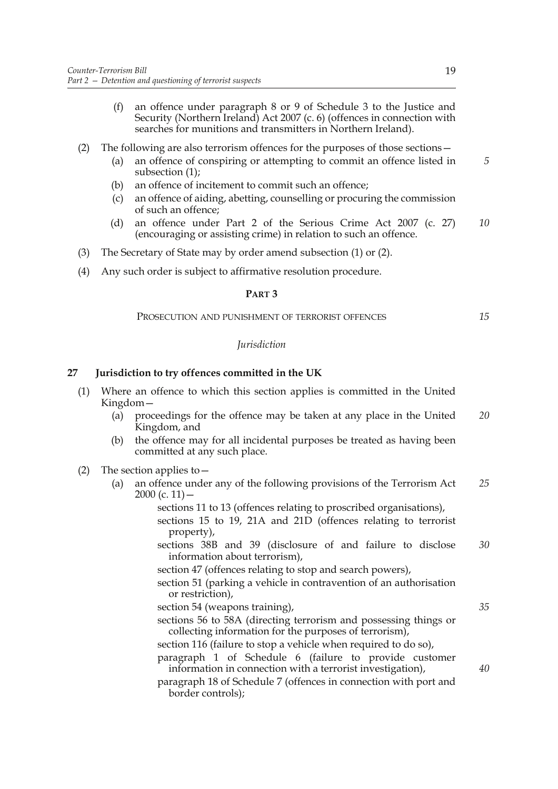(f) an offence under paragraph 8 or 9 of Schedule 3 to the Justice and Security (Northern Ireland) Act 2007 (c. 6) (offences in connection with searches for munitions and transmitters in Northern Ireland).

#### (2) The following are also terrorism offences for the purposes of those sections—

- (a) an offence of conspiring or attempting to commit an offence listed in subsection (1);
- (b) an offence of incitement to commit such an offence;
- (c) an offence of aiding, abetting, counselling or procuring the commission of such an offence;
- (d) an offence under Part 2 of the Serious Crime Act 2007 (c. 27) (encouraging or assisting crime) in relation to such an offence. *10*
- (3) The Secretary of State may by order amend subsection (1) or (2).
- (4) Any such order is subject to affirmative resolution procedure.

#### **PART 3**

#### PROSECUTION AND PUNISHMENT OF TERRORIST OFFENCES

#### *Jurisdiction*

#### **27 Jurisdiction to try offences committed in the UK**

- (1) Where an offence to which this section applies is committed in the United Kingdom—
	- (a) proceedings for the offence may be taken at any place in the United Kingdom, and *20*
	- (b) the offence may for all incidental purposes be treated as having been committed at any such place.
- (2) The section applies to  $-$ 
	- (a) an offence under any of the following provisions of the Terrorism Act  $2000$  (c. 11) – *25*
		- sections 11 to 13 (offences relating to proscribed organisations), sections 15 to 19, 21A and 21D (offences relating to terrorist property),
		- sections 38B and 39 (disclosure of and failure to disclose information about terrorism), *30*
		- section 47 (offences relating to stop and search powers),
		- section 51 (parking a vehicle in contravention of an authorisation or restriction),
		- section 54 (weapons training),
		- sections 56 to 58A (directing terrorism and possessing things or collecting information for the purposes of terrorism),
		- section 116 (failure to stop a vehicle when required to do so),
		- paragraph 1 of Schedule 6 (failure to provide customer information in connection with a terrorist investigation),
		- paragraph 18 of Schedule 7 (offences in connection with port and border controls);

*5*

*15*

*35*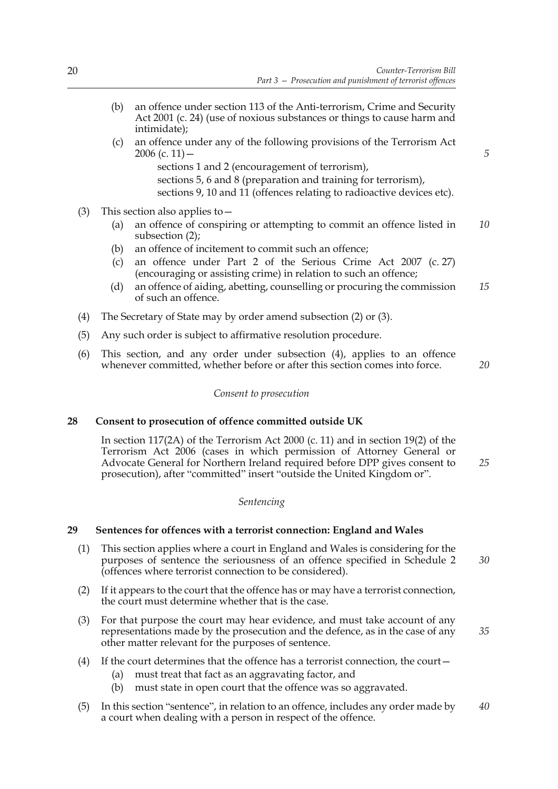- (b) an offence under section 113 of the Anti-terrorism, Crime and Security Act 2001 (c. 24) (use of noxious substances or things to cause harm and intimidate);
- (c) an offence under any of the following provisions of the Terrorism Act 2006 (c. 11)  $$ 
	- sections 1 and 2 (encouragement of terrorism),
	- sections 5, 6 and 8 (preparation and training for terrorism), sections 9, 10 and 11 (offences relating to radioactive devices etc).
- (3) This section also applies to  $-$ 
	- (a) an offence of conspiring or attempting to commit an offence listed in subsection (2); *10*
	- (b) an offence of incitement to commit such an offence;
	- (c) an offence under Part 2 of the Serious Crime Act 2007 (c. 27) (encouraging or assisting crime) in relation to such an offence;
	- (d) an offence of aiding, abetting, counselling or procuring the commission of such an offence. *15*
- (4) The Secretary of State may by order amend subsection (2) or (3).
- (5) Any such order is subject to affirmative resolution procedure.
- (6) This section, and any order under subsection (4), applies to an offence whenever committed, whether before or after this section comes into force.

*20*

*5*

#### *Consent to prosecution*

#### **28 Consent to prosecution of offence committed outside UK**

In section 117(2A) of the Terrorism Act 2000 (c. 11) and in section 19(2) of the Terrorism Act 2006 (cases in which permission of Attorney General or Advocate General for Northern Ireland required before DPP gives consent to prosecution), after "committed" insert "outside the United Kingdom or". *25*

#### *Sentencing*

#### **29 Sentences for offences with a terrorist connection: England and Wales**

- (1) This section applies where a court in England and Wales is considering for the purposes of sentence the seriousness of an offence specified in Schedule 2 (offences where terrorist connection to be considered). *30*
- (2) If it appears to the court that the offence has or may have a terrorist connection, the court must determine whether that is the case.
- (3) For that purpose the court may hear evidence, and must take account of any representations made by the prosecution and the defence, as in the case of any other matter relevant for the purposes of sentence. *35*
- (4) If the court determines that the offence has a terrorist connection, the court—
	- (a) must treat that fact as an aggravating factor, and
	- (b) must state in open court that the offence was so aggravated.
- (5) In this section "sentence", in relation to an offence, includes any order made by a court when dealing with a person in respect of the offence. *40*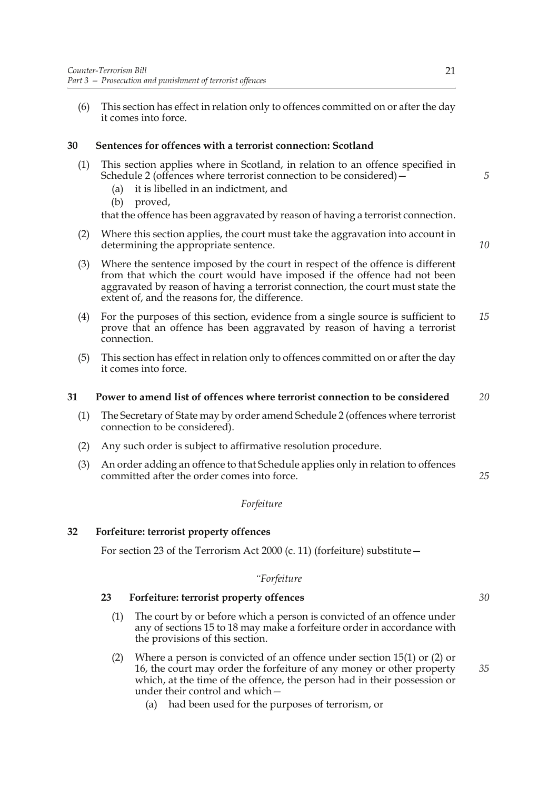(6) This section has effect in relation only to offences committed on or after the day it comes into force.

#### **30 Sentences for offences with a terrorist connection: Scotland**

- (1) This section applies where in Scotland, in relation to an offence specified in Schedule 2 (offences where terrorist connection to be considered)—
	- (a) it is libelled in an indictment, and
	- (b) proved,

that the offence has been aggravated by reason of having a terrorist connection.

(2) Where this section applies, the court must take the aggravation into account in determining the appropriate sentence.

*10*

*5*

- (3) Where the sentence imposed by the court in respect of the offence is different from that which the court would have imposed if the offence had not been aggravated by reason of having a terrorist connection, the court must state the extent of, and the reasons for, the difference.
- (4) For the purposes of this section, evidence from a single source is sufficient to prove that an offence has been aggravated by reason of having a terrorist connection. *15*
- (5) This section has effect in relation only to offences committed on or after the day it comes into force.

#### **31 Power to amend list of offences where terrorist connection to be considered** *20*

- (1) The Secretary of State may by order amend Schedule 2 (offences where terrorist connection to be considered).
- (2) Any such order is subject to affirmative resolution procedure.
- (3) An order adding an offence to that Schedule applies only in relation to offences committed after the order comes into force.

#### *Forfeiture*

#### **32 Forfeiture: terrorist property offences**

For section 23 of the Terrorism Act 2000 (c. 11) (forfeiture) substitute—

#### *"Forfeiture*

#### **23 Forfeiture: terrorist property offences**

- (1) The court by or before which a person is convicted of an offence under any of sections 15 to 18 may make a forfeiture order in accordance with the provisions of this section.
- (2) Where a person is convicted of an offence under section 15(1) or (2) or 16, the court may order the forfeiture of any money or other property which, at the time of the offence, the person had in their possession or under their control and which—
	- (a) had been used for the purposes of terrorism, or

*35*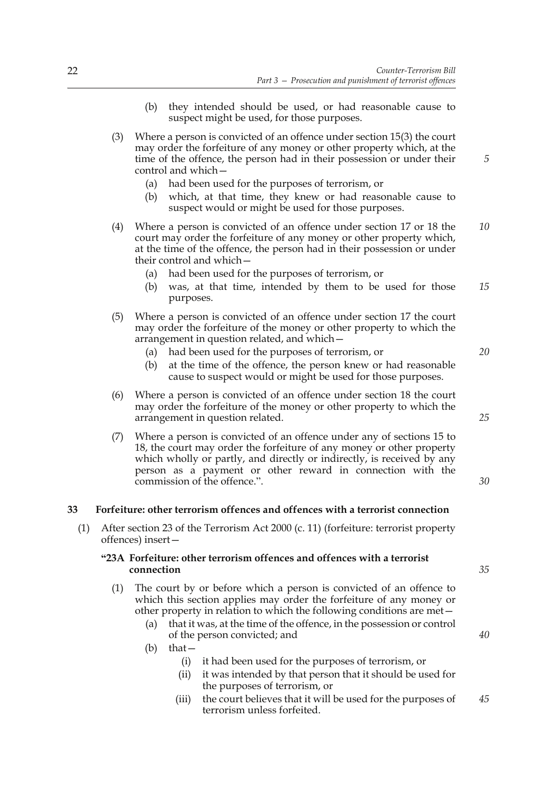- (b) they intended should be used, or had reasonable cause to suspect might be used, for those purposes.
- (3) Where a person is convicted of an offence under section 15(3) the court may order the forfeiture of any money or other property which, at the time of the offence, the person had in their possession or under their control and which—
	- (a) had been used for the purposes of terrorism, or
	- (b) which, at that time, they knew or had reasonable cause to suspect would or might be used for those purposes.
- (4) Where a person is convicted of an offence under section 17 or 18 the court may order the forfeiture of any money or other property which, at the time of the offence, the person had in their possession or under their control and which— *10*
	- (a) had been used for the purposes of terrorism, or
	- (b) was, at that time, intended by them to be used for those purposes. *15*
- (5) Where a person is convicted of an offence under section 17 the court may order the forfeiture of the money or other property to which the arrangement in question related, and which—
	- (a) had been used for the purposes of terrorism, or
	- (b) at the time of the offence, the person knew or had reasonable cause to suspect would or might be used for those purposes.
- (6) Where a person is convicted of an offence under section 18 the court may order the forfeiture of the money or other property to which the arrangement in question related.
- (7) Where a person is convicted of an offence under any of sections 15 to 18, the court may order the forfeiture of any money or other property which wholly or partly, and directly or indirectly, is received by any person as a payment or other reward in connection with the commission of the offence.".

#### **33 Forfeiture: other terrorism offences and offences with a terrorist connection**

(1) After section 23 of the Terrorism Act 2000 (c. 11) (forfeiture: terrorist property offences) insert—

#### **"23A Forfeiture: other terrorism offences and offences with a terrorist connection**

- (1) The court by or before which a person is convicted of an offence to which this section applies may order the forfeiture of any money or other property in relation to which the following conditions are met—
	- (a) that it was, at the time of the offence, in the possession or control of the person convicted; and
	- (b) that—
		- (i) it had been used for the purposes of terrorism, or
		- (ii) it was intended by that person that it should be used for the purposes of terrorism, or
		- (iii) the court believes that it will be used for the purposes of terrorism unless forfeited. *45*

*25*

*20*

*5*

*30*

*35*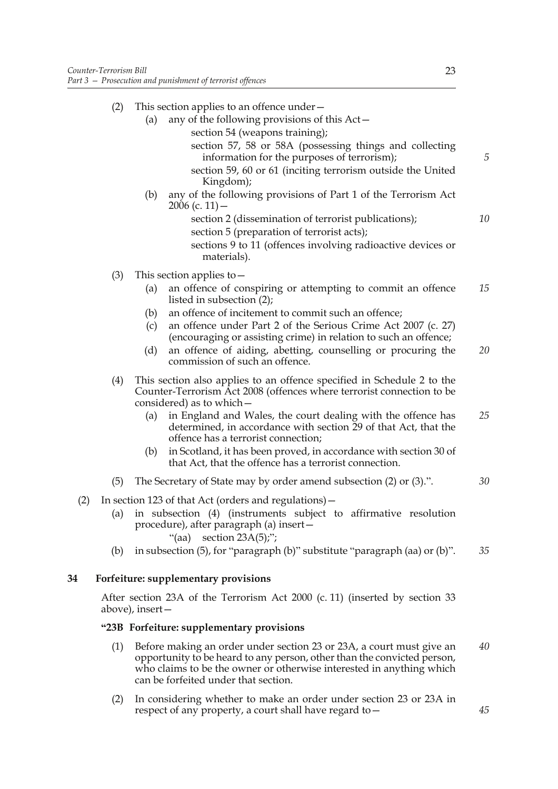| (2) |     | This section applies to an offence under –                                                                                        |
|-----|-----|-----------------------------------------------------------------------------------------------------------------------------------|
|     | (a) | any of the following provisions of this Act-                                                                                      |
|     |     | section 54 (weapons training);                                                                                                    |
|     |     | section 57, 58 or 58A (possessing things and collecting<br>information for the purposes of terrorism);                            |
|     |     | section 59, 60 or 61 (inciting terrorism outside the United<br>Kingdom);                                                          |
|     | (b) | any of the following provisions of Part 1 of the Terrorism Act<br>$2006$ (c. 11) –                                                |
|     |     | section 2 (dissemination of terrorist publications);                                                                              |
|     |     | section 5 (preparation of terrorist acts);                                                                                        |
|     |     | sections 9 to 11 (offences involving radioactive devices or<br>materials).                                                        |
| (3) |     | This section applies to $-$                                                                                                       |
|     | (a) | an offence of conspiring or attempting to commit an offence<br>listed in subsection (2);                                          |
|     | (b) | an offence of incitement to commit such an offence;                                                                               |
|     | (c) | an offence under Part 2 of the Serious Crime Act 2007 (c. 27)<br>(encouraging or assisting crime) in relation to such an offence; |
|     | (d) | an offence of aiding, abetting, counselling or procuring the<br>commission of such an offence.                                    |
| (4) |     | This section also applies to an offence specified in Schedule 2 to the                                                            |

(4) This section also applies to an offence specified in Schedule 2 to the Counter-Terrorism Act 2008 (offences where terrorist connection to be considered) as to which—

- (a) in England and Wales, the court dealing with the offence has determined, in accordance with section 29 of that Act, that the offence has a terrorist connection; *25*
- (b) in Scotland, it has been proved, in accordance with section 30 of that Act, that the offence has a terrorist connection.
- (5) The Secretary of State may by order amend subsection (2) or (3).". *30*
- (2) In section 123 of that Act (orders and regulations)—
	- (a) in subsection (4) (instruments subject to affirmative resolution procedure), after paragraph (a) insert—
		- "(aa) section  $23A(5)$ ;";
	- (b) in subsection (5), for "paragraph (b)" substitute "paragraph (aa) or (b)". *35*

#### **34 Forfeiture: supplementary provisions**

After section 23A of the Terrorism Act 2000 (c. 11) (inserted by section 33 above), insert—

#### **"23B Forfeiture: supplementary provisions**

- (1) Before making an order under section 23 or 23A, a court must give an opportunity to be heard to any person, other than the convicted person, who claims to be the owner or otherwise interested in anything which can be forfeited under that section. *40*
- (2) In considering whether to make an order under section 23 or 23A in respect of any property, a court shall have regard to—

*5*

*10*

*15*

*20*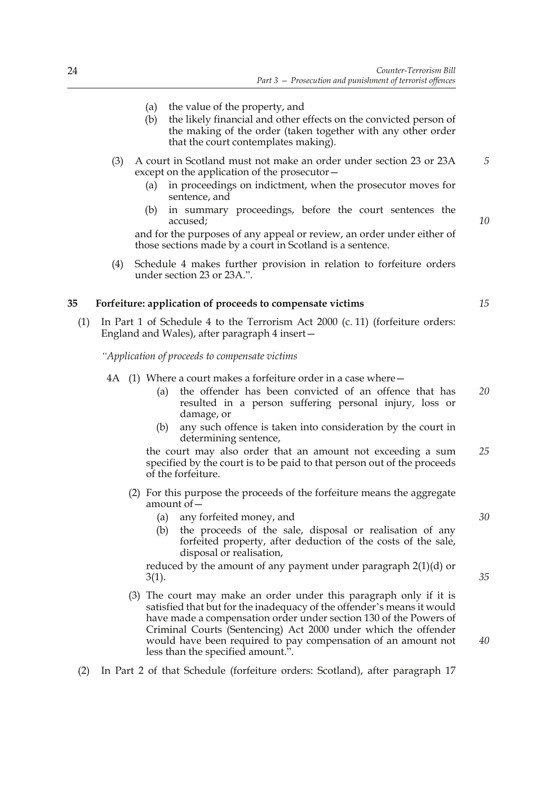- (a) the value of the property, and
- (b) the likely financial and other effects on the convicted person of the making of the order (taken together with any other order that the court contemplates making).
- (3) A court in Scotland must not make an order under section 23 or 23A except on the application of the prosecutor—
	- (a) in proceedings on indictment, when the prosecutor moves for sentence, and
	- (b) in summary proceedings, before the court sentences the accused;

and for the purposes of any appeal or review, an order under either of those sections made by a court in Scotland is a sentence.

(4) Schedule 4 makes further provision in relation to forfeiture orders under section 23 or 23A.".

#### **35 Forfeiture: application of proceeds to compensate victims**

(1) In Part 1 of Schedule 4 to the Terrorism Act 2000 (c. 11) (forfeiture orders: England and Wales), after paragraph 4 insert—

*"Application of proceeds to compensate victims*

- 4A (1) Where a court makes a forfeiture order in a case where—
	- (a) the offender has been convicted of an offence that has resulted in a person suffering personal injury, loss or damage, or *20*
	- (b) any such offence is taken into consideration by the court in determining sentence,

the court may also order that an amount not exceeding a sum specified by the court is to be paid to that person out of the proceeds of the forfeiture. *25*

- (2) For this purpose the proceeds of the forfeiture means the aggregate amount of  $-\frac{1}{2}$ 
	- (a) any forfeited money, and
	- (b) the proceeds of the sale, disposal or realisation of any forfeited property, after deduction of the costs of the sale, disposal or realisation,

reduced by the amount of any payment under paragraph 2(1)(d) or 3(1).

- (3) The court may make an order under this paragraph only if it is satisfied that but for the inadequacy of the offender's means it would have made a compensation order under section 130 of the Powers of Criminal Courts (Sentencing) Act 2000 under which the offender would have been required to pay compensation of an amount not less than the specified amount.".
- (2) In Part 2 of that Schedule (forfeiture orders: Scotland), after paragraph 17

*10*

*5*

*15*

*30*

*35*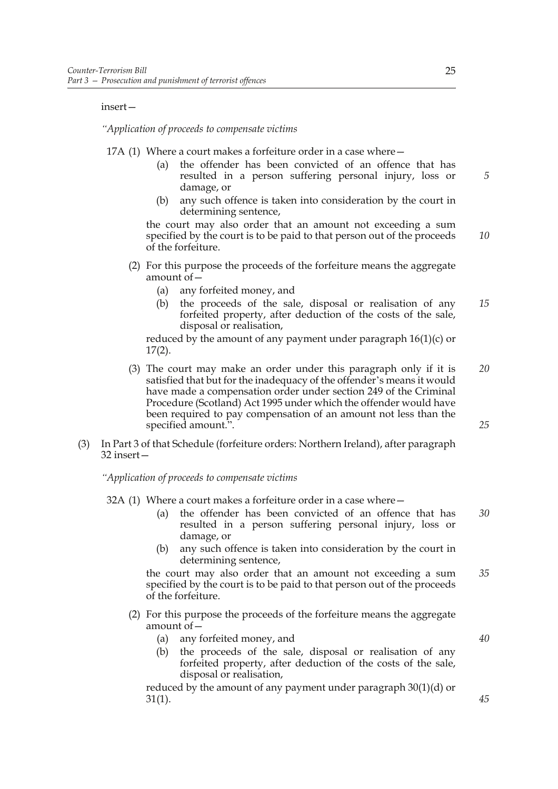#### insert—

#### *"Application of proceeds to compensate victims*

17A (1) Where a court makes a forfeiture order in a case where—

- (a) the offender has been convicted of an offence that has resulted in a person suffering personal injury, loss or damage, or
- (b) any such offence is taken into consideration by the court in determining sentence,

the court may also order that an amount not exceeding a sum specified by the court is to be paid to that person out of the proceeds of the forfeiture.

- (2) For this purpose the proceeds of the forfeiture means the aggregate amount of  $-\frac{1}{2}$ 
	- (a) any forfeited money, and
	- (b) the proceeds of the sale, disposal or realisation of any forfeited property, after deduction of the costs of the sale, disposal or realisation, *15*

reduced by the amount of any payment under paragraph 16(1)(c) or 17(2).

- (3) The court may make an order under this paragraph only if it is satisfied that but for the inadequacy of the offender's means it would have made a compensation order under section 249 of the Criminal Procedure (Scotland) Act 1995 under which the offender would have been required to pay compensation of an amount not less than the specified amount.". *20 25*
- (3) In Part 3 of that Schedule (forfeiture orders: Northern Ireland), after paragraph 32 insert—

*"Application of proceeds to compensate victims*

- 32A (1) Where a court makes a forfeiture order in a case where—
	- (a) the offender has been convicted of an offence that has resulted in a person suffering personal injury, loss or damage, or *30*
	- (b) any such offence is taken into consideration by the court in determining sentence,

the court may also order that an amount not exceeding a sum specified by the court is to be paid to that person out of the proceeds of the forfeiture. *35*

- (2) For this purpose the proceeds of the forfeiture means the aggregate amount of—
	- (a) any forfeited money, and
	- (b) the proceeds of the sale, disposal or realisation of any forfeited property, after deduction of the costs of the sale, disposal or realisation,

reduced by the amount of any payment under paragraph 30(1)(d) or 31(1).

*5*

*10*

*40*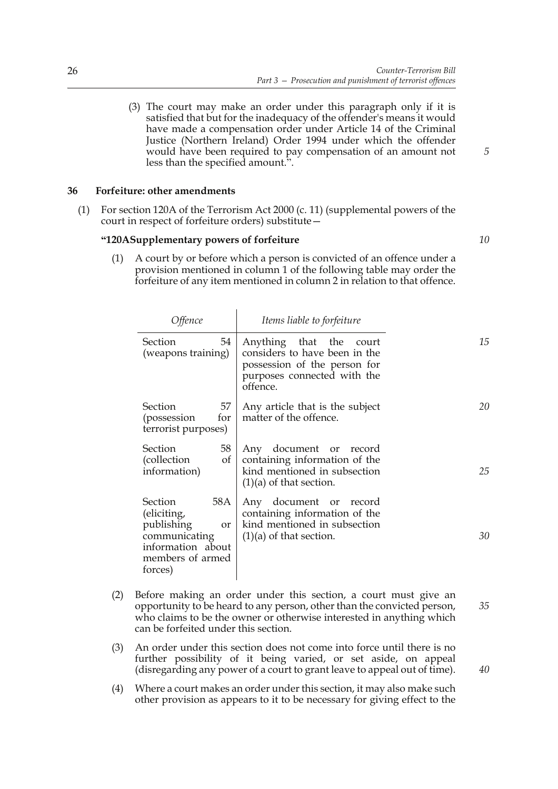(3) The court may make an order under this paragraph only if it is satisfied that but for the inadequacy of the offender's means it would have made a compensation order under Article 14 of the Criminal Justice (Northern Ireland) Order 1994 under which the offender would have been required to pay compensation of an amount not less than the specified amount.".

#### **36 Forfeiture: other amendments**

(1) For section 120A of the Terrorism Act 2000 (c. 11) (supplemental powers of the court in respect of forfeiture orders) substitute—

 $\overline{1}$ 

#### **"120ASupplementary powers of forfeiture**

(1) A court by or before which a person is convicted of an offence under a provision mentioned in column 1 of the following table may order the forfeiture of any item mentioned in column 2 in relation to that offence.

| Offence                                                                                                                       | Items liable to forfeiture                                                                                                          |    |
|-------------------------------------------------------------------------------------------------------------------------------|-------------------------------------------------------------------------------------------------------------------------------------|----|
| 54<br>Section<br>(weapons training)                                                                                           | Anything that the court<br>considers to have been in the<br>possession of the person for<br>purposes connected with the<br>offence. | 15 |
| 57<br>Section<br>for<br>(possession<br>terrorist purposes)                                                                    | Any article that is the subject<br>matter of the offence.                                                                           | 20 |
| Section<br>58<br>(collection)<br>of<br>information)                                                                           | Any document or record<br>containing information of the<br>kind mentioned in subsection<br>$(1)(a)$ of that section.                | 25 |
| Section<br>58A<br>(eliciting,<br>publishing<br><b>or</b><br>communicating<br>information about<br>members of armed<br>forces) | Any document or record<br>containing information of the<br>kind mentioned in subsection<br>$(1)(a)$ of that section.                | 30 |

- (2) Before making an order under this section, a court must give an opportunity to be heard to any person, other than the convicted person, who claims to be the owner or otherwise interested in anything which can be forfeited under this section. *35*
- (3) An order under this section does not come into force until there is no further possibility of it being varied, or set aside, on appeal (disregarding any power of a court to grant leave to appeal out of time).
- (4) Where a court makes an order under this section, it may also make such other provision as appears to it to be necessary for giving effect to the

*5*

*10*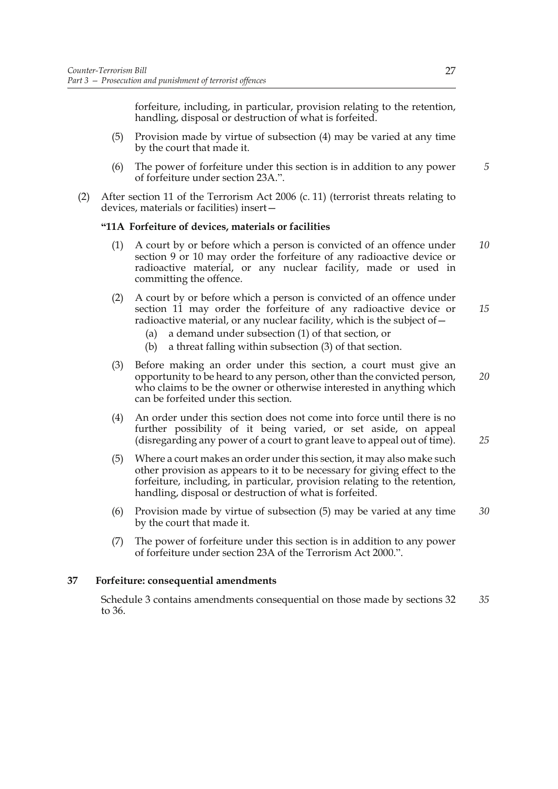forfeiture, including, in particular, provision relating to the retention, handling, disposal or destruction of what is forfeited.

- (5) Provision made by virtue of subsection (4) may be varied at any time by the court that made it.
- (6) The power of forfeiture under this section is in addition to any power of forfeiture under section 23A.".
- (2) After section 11 of the Terrorism Act 2006 (c. 11) (terrorist threats relating to devices, materials or facilities) insert—

#### **"11A Forfeiture of devices, materials or facilities**

- (1) A court by or before which a person is convicted of an offence under section 9 or 10 may order the forfeiture of any radioactive device or radioactive material, or any nuclear facility, made or used in committing the offence. *10*
- (2) A court by or before which a person is convicted of an offence under section 11 may order the forfeiture of any radioactive device or radioactive material, or any nuclear facility, which is the subject of— *15*
	- (a) a demand under subsection (1) of that section, or
	- (b) a threat falling within subsection (3) of that section.
- (3) Before making an order under this section, a court must give an opportunity to be heard to any person, other than the convicted person, who claims to be the owner or otherwise interested in anything which can be forfeited under this section.
- (4) An order under this section does not come into force until there is no further possibility of it being varied, or set aside, on appeal (disregarding any power of a court to grant leave to appeal out of time).
- (5) Where a court makes an order under this section, it may also make such other provision as appears to it to be necessary for giving effect to the forfeiture, including, in particular, provision relating to the retention, handling, disposal or destruction of what is forfeited.
- (6) Provision made by virtue of subsection (5) may be varied at any time by the court that made it. *30*
- (7) The power of forfeiture under this section is in addition to any power of forfeiture under section 23A of the Terrorism Act 2000.".

#### **37 Forfeiture: consequential amendments**

Schedule 3 contains amendments consequential on those made by sections 32 to 36. *35*

*5*

*20*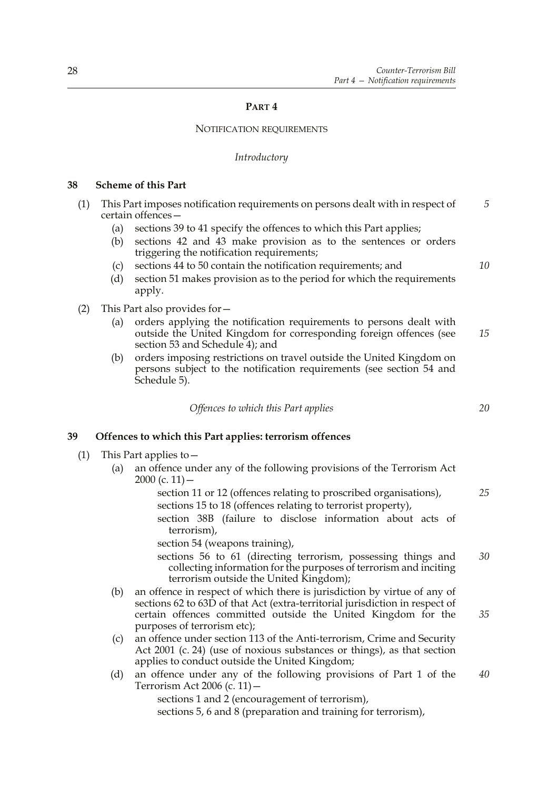#### **PART 4**

#### NOTIFICATION REQUIREMENTS

#### *Introductory*

#### **38 Scheme of this Part**

| (1) | This Part imposes notification requirements on persons dealt with in respect of |                                                                    |  |
|-----|---------------------------------------------------------------------------------|--------------------------------------------------------------------|--|
|     |                                                                                 | certain offences –                                                 |  |
|     |                                                                                 | sections 39 to 41 specify the offences to which this Part applies; |  |

- (b) sections 42 and 43 make provision as to the sentences or orders triggering the notification requirements;
- (c) sections 44 to 50 contain the notification requirements; and
- (d) section 51 makes provision as to the period for which the requirements apply.
- (2) This Part also provides for—
	- (a) orders applying the notification requirements to persons dealt with outside the United Kingdom for corresponding foreign offences (see section 53 and Schedule 4); and *15*
	- (b) orders imposing restrictions on travel outside the United Kingdom on persons subject to the notification requirements (see section 54 and Schedule 5).

*Offences to which this Part applies*

#### **39 Offences to which this Part applies: terrorism offences**

- (1) This Part applies to—
	- (a) an offence under any of the following provisions of the Terrorism Act  $2000$  (c. 11) –
		- section 11 or 12 (offences relating to proscribed organisations), sections 15 to 18 (offences relating to terrorist property),
		- section 38B (failure to disclose information about acts of terrorism),

section 54 (weapons training),

- sections 56 to 61 (directing terrorism, possessing things and collecting information for the purposes of terrorism and inciting terrorism outside the United Kingdom); *30*
- (b) an offence in respect of which there is jurisdiction by virtue of any of sections 62 to 63D of that Act (extra-territorial jurisdiction in respect of certain offences committed outside the United Kingdom for the purposes of terrorism etc); *35*
- (c) an offence under section 113 of the Anti-terrorism, Crime and Security Act 2001 (c. 24) (use of noxious substances or things), as that section applies to conduct outside the United Kingdom;
- (d) an offence under any of the following provisions of Part 1 of the Terrorism Act 2006 (c. 11) sections 1 and 2 (encouragement of terrorism), *40*

sections 5, 6 and 8 (preparation and training for terrorism),

*20*

*25*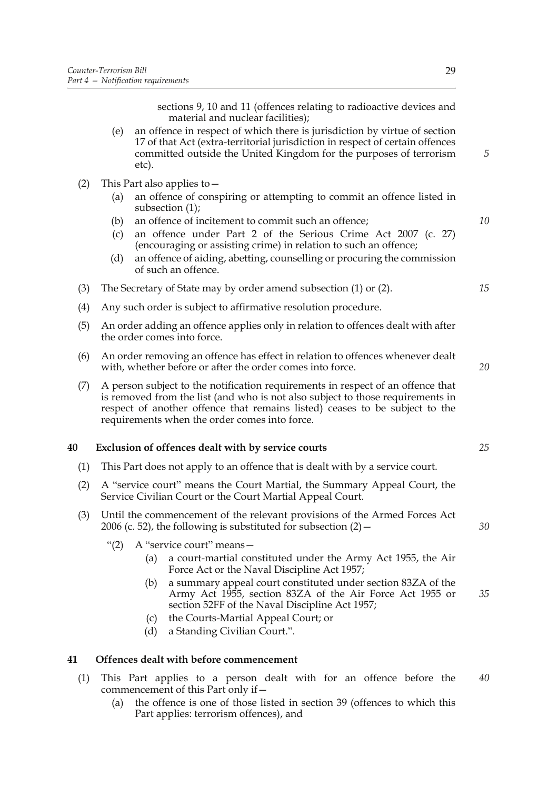sections 9, 10 and 11 (offences relating to radioactive devices and material and nuclear facilities);

- (e) an offence in respect of which there is jurisdiction by virtue of section 17 of that Act (extra-territorial jurisdiction in respect of certain offences committed outside the United Kingdom for the purposes of terrorism etc).
- (2) This Part also applies to—
	- (a) an offence of conspiring or attempting to commit an offence listed in subsection (1);
	- (b) an offence of incitement to commit such an offence;
	- (c) an offence under Part 2 of the Serious Crime Act 2007 (c. 27) (encouraging or assisting crime) in relation to such an offence;
	- (d) an offence of aiding, abetting, counselling or procuring the commission of such an offence.
- (3) The Secretary of State may by order amend subsection (1) or (2).
- (4) Any such order is subject to affirmative resolution procedure.
- (5) An order adding an offence applies only in relation to offences dealt with after the order comes into force.
- (6) An order removing an offence has effect in relation to offences whenever dealt with, whether before or after the order comes into force.
- (7) A person subject to the notification requirements in respect of an offence that is removed from the list (and who is not also subject to those requirements in respect of another offence that remains listed) ceases to be subject to the requirements when the order comes into force.

#### **40 Exclusion of offences dealt with by service courts**

- (1) This Part does not apply to an offence that is dealt with by a service court.
- (2) A "service court" means the Court Martial, the Summary Appeal Court, the Service Civilian Court or the Court Martial Appeal Court.
- (3) Until the commencement of the relevant provisions of the Armed Forces Act 2006 (c. 52), the following is substituted for subsection  $(2)$  –
	- "(2) A "service court" means—
		- (a) a court-martial constituted under the Army Act 1955, the Air Force Act or the Naval Discipline Act 1957;
		- (b) a summary appeal court constituted under section 83ZA of the Army Act 1955, section 83ZA of the Air Force Act 1955 or section 52FF of the Naval Discipline Act 1957; *35*
		- (c) the Courts-Martial Appeal Court; or
		- (d) a Standing Civilian Court.".

#### **41 Offences dealt with before commencement**

- (1) This Part applies to a person dealt with for an offence before the commencement of this Part only if— *40*
	- (a) the offence is one of those listed in section 39 (offences to which this Part applies: terrorism offences), and

*5*

*10*

*15*

*20*

*25*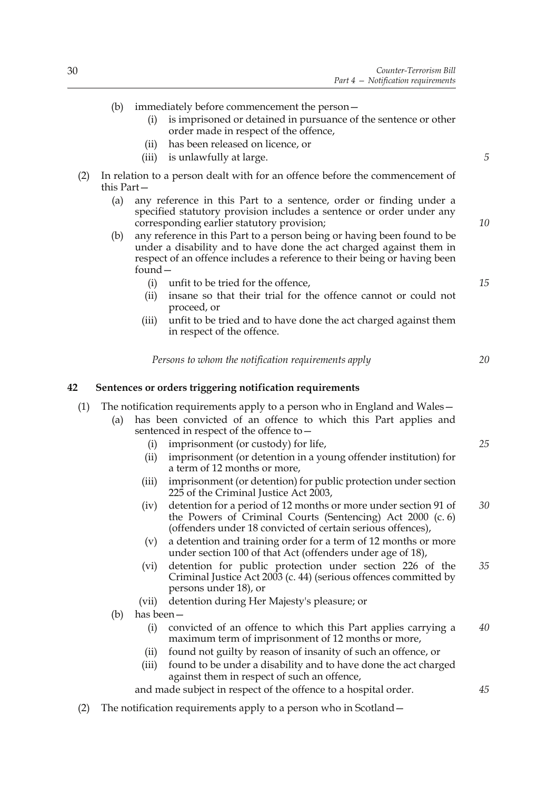|     | (b)          | (i)        | immediately before commencement the person-<br>is imprisoned or detained in pursuance of the sentence or other                                                                                                             |                |
|-----|--------------|------------|----------------------------------------------------------------------------------------------------------------------------------------------------------------------------------------------------------------------------|----------------|
|     |              |            | order made in respect of the offence,                                                                                                                                                                                      |                |
|     |              | (ii)       | has been released on licence, or                                                                                                                                                                                           |                |
|     |              | (iii)      | is unlawfully at large.                                                                                                                                                                                                    | $\overline{5}$ |
| (2) | this $Part-$ |            | In relation to a person dealt with for an offence before the commencement of                                                                                                                                               |                |
|     | (a)          |            | any reference in this Part to a sentence, order or finding under a<br>specified statutory provision includes a sentence or order under any<br>corresponding earlier statutory provision;                                   | 10             |
|     | (b)          | found $-$  | any reference in this Part to a person being or having been found to be<br>under a disability and to have done the act charged against them in<br>respect of an offence includes a reference to their being or having been |                |
|     |              | (i)        | unfit to be tried for the offence,                                                                                                                                                                                         | 15             |
|     |              | (ii)       | insane so that their trial for the offence cannot or could not<br>proceed, or                                                                                                                                              |                |
|     |              | (iii)      | unfit to be tried and to have done the act charged against them<br>in respect of the offence.                                                                                                                              |                |
|     |              |            | Persons to whom the notification requirements apply                                                                                                                                                                        | 20             |
| 42  |              |            | Sentences or orders triggering notification requirements                                                                                                                                                                   |                |
| (1) |              |            | The notification requirements apply to a person who in England and Wales –                                                                                                                                                 |                |
|     | (a)          |            | has been convicted of an offence to which this Part applies and<br>sentenced in respect of the offence to -                                                                                                                |                |
|     |              | (i)        | imprisonment (or custody) for life,                                                                                                                                                                                        | 25             |
|     |              | (ii)       | imprisonment (or detention in a young offender institution) for<br>a term of 12 months or more,                                                                                                                            |                |
|     |              | (iii)      | imprisonment (or detention) for public protection under section<br>225 of the Criminal Justice Act 2003,                                                                                                                   |                |
|     |              | (iv)       | detention for a period of 12 months or more under section 91 of<br>the Powers of Criminal Courts (Sentencing) Act 2000 (c. 6)<br>(offenders under 18 convicted of certain serious offences),                               | 30             |
|     |              | (v)        | a detention and training order for a term of 12 months or more<br>under section 100 of that Act (offenders under age of 18),                                                                                               |                |
|     |              | (vi)       | detention for public protection under section 226 of the<br>Criminal Justice Act 2003 (c. 44) (serious offences committed by<br>persons under 18), or                                                                      | 35             |
|     |              | (vii)      | detention during Her Majesty's pleasure; or                                                                                                                                                                                |                |
|     | (b)          | has been – |                                                                                                                                                                                                                            |                |
|     |              | (i)        | convicted of an offence to which this Part applies carrying a<br>maximum term of imprisonment of 12 months or more,                                                                                                        | 40             |
|     |              | (i)        | found not guilty by reason of insanity of such an offence, or                                                                                                                                                              |                |
|     |              | (iii)      | found to be under a disability and to have done the act charged<br>against them in respect of such an offence,                                                                                                             |                |
|     |              |            | and made subject in respect of the offence to a hospital order.                                                                                                                                                            | 45             |

(2) The notification requirements apply to a person who in Scotland—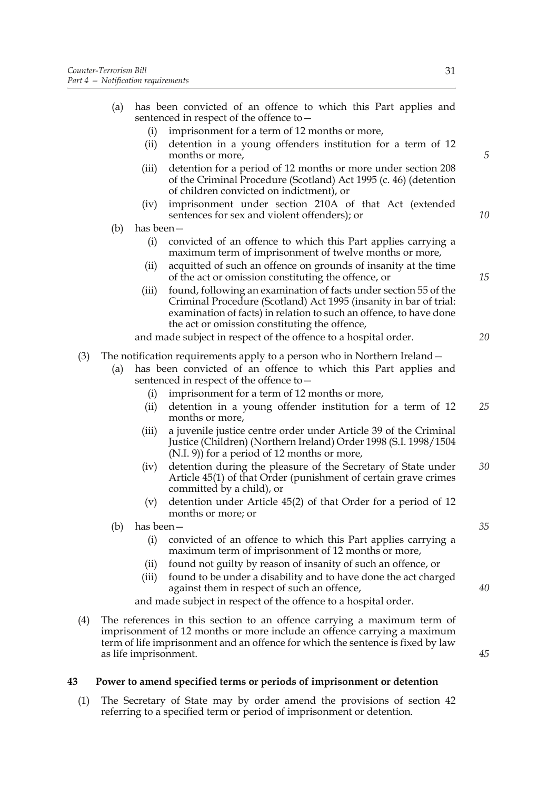|     | (a) |                                                                                                             | has been convicted of an offence to which this Part applies and<br>sentenced in respect of the offence to $-$                                                                                                                                                |    |
|-----|-----|-------------------------------------------------------------------------------------------------------------|--------------------------------------------------------------------------------------------------------------------------------------------------------------------------------------------------------------------------------------------------------------|----|
|     |     | (i)                                                                                                         | imprisonment for a term of 12 months or more,                                                                                                                                                                                                                |    |
|     |     | (ii)                                                                                                        | detention in a young offenders institution for a term of 12<br>months or more,                                                                                                                                                                               | 5  |
|     |     | (iii)                                                                                                       | detention for a period of 12 months or more under section 208<br>of the Criminal Procedure (Scotland) Act 1995 (c. 46) (detention<br>of children convicted on indictment), or                                                                                |    |
|     |     | (iv)                                                                                                        | imprisonment under section 210A of that Act (extended<br>sentences for sex and violent offenders); or                                                                                                                                                        | 10 |
|     | (b) | has been $-$                                                                                                |                                                                                                                                                                                                                                                              |    |
|     |     | (i)                                                                                                         | convicted of an offence to which this Part applies carrying a<br>maximum term of imprisonment of twelve months or more,                                                                                                                                      |    |
|     |     | (ii)                                                                                                        | acquitted of such an offence on grounds of insanity at the time<br>of the act or omission constituting the offence, or                                                                                                                                       | 15 |
|     |     | (iii)                                                                                                       | found, following an examination of facts under section 55 of the<br>Criminal Procedure (Scotland) Act 1995 (insanity in bar of trial:<br>examination of facts) in relation to such an offence, to have done<br>the act or omission constituting the offence, |    |
|     |     |                                                                                                             | and made subject in respect of the offence to a hospital order.                                                                                                                                                                                              | 20 |
| (3) |     |                                                                                                             | The notification requirements apply to a person who in Northern Ireland –                                                                                                                                                                                    |    |
|     | (a) | has been convicted of an offence to which this Part applies and<br>sentenced in respect of the offence to - |                                                                                                                                                                                                                                                              |    |
|     |     | (i)                                                                                                         | imprisonment for a term of 12 months or more,                                                                                                                                                                                                                |    |
|     |     | (ii)                                                                                                        | detention in a young offender institution for a term of 12<br>months or more,                                                                                                                                                                                | 25 |
|     |     | (iii)                                                                                                       | a juvenile justice centre order under Article 39 of the Criminal<br>Justice (Children) (Northern Ireland) Order 1998 (S.I. 1998/1504<br>(N.I. 9)) for a period of 12 months or more,                                                                         |    |
|     |     | (iv)                                                                                                        | detention during the pleasure of the Secretary of State under<br>Article 45(1) of that Order (punishment of certain grave crimes<br>committed by a child), or                                                                                                | 30 |
|     |     | (v)                                                                                                         | detention under Article 45(2) of that Order for a period of 12<br>months or more; or                                                                                                                                                                         |    |
|     | (b) | has been –                                                                                                  |                                                                                                                                                                                                                                                              | 35 |
|     |     | (i)                                                                                                         | convicted of an offence to which this Part applies carrying a<br>maximum term of imprisonment of 12 months or more,                                                                                                                                          |    |
|     |     | (ii)                                                                                                        | found not guilty by reason of insanity of such an offence, or                                                                                                                                                                                                |    |
|     |     | (iii)                                                                                                       | found to be under a disability and to have done the act charged<br>against them in respect of such an offence,                                                                                                                                               | 40 |
|     |     |                                                                                                             | and made subject in respect of the offence to a hospital order.                                                                                                                                                                                              |    |
| (4) |     |                                                                                                             | The references in this section to an offence carrying a maximum term of<br>imprisonment of 12 months or more include an offence carrying a maximum<br>term of life imprisonment and an offence for which the sentence is fixed by law                        |    |

*45*

# **43 Power to amend specified terms or periods of imprisonment or detention**

as life imprisonment.

(1) The Secretary of State may by order amend the provisions of section 42 referring to a specified term or period of imprisonment or detention.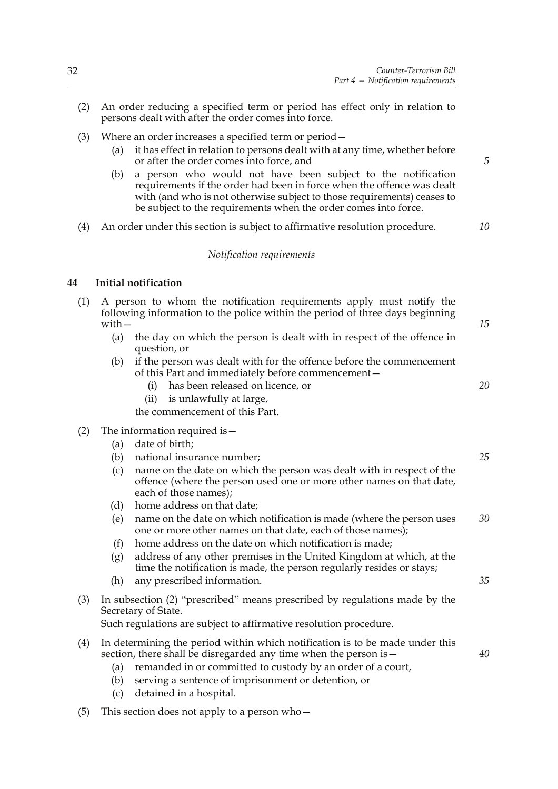- (2) An order reducing a specified term or period has effect only in relation to persons dealt with after the order comes into force.
- (3) Where an order increases a specified term or period—
	- (a) it has effect in relation to persons dealt with at any time, whether before or after the order comes into force, and
	- (b) a person who would not have been subject to the notification requirements if the order had been in force when the offence was dealt with (and who is not otherwise subject to those requirements) ceases to be subject to the requirements when the order comes into force.
- (4) An order under this section is subject to affirmative resolution procedure.

## *Notification requirements*

### **44 Initial notification**

- (1) A person to whom the notification requirements apply must notify the following information to the police within the period of three days beginning with—
	- (a) the day on which the person is dealt with in respect of the offence in question, or
	- (b) if the person was dealt with for the offence before the commencement of this Part and immediately before commencement
		- has been released on licence, or
		- (ii) is unlawfully at large,

the commencement of this Part.

### (2) The information required is—

- (a) date of birth;
- (b) national insurance number;
- (c) name on the date on which the person was dealt with in respect of the offence (where the person used one or more other names on that date, each of those names);
- (d) home address on that date;
- (e) name on the date on which notification is made (where the person uses one or more other names on that date, each of those names); *30*
- (f) home address on the date on which notification is made;
- (g) address of any other premises in the United Kingdom at which, at the time the notification is made, the person regularly resides or stays;
- (h) any prescribed information.
- (3) In subsection (2) "prescribed" means prescribed by regulations made by the Secretary of State.

Such regulations are subject to affirmative resolution procedure.

- (4) In determining the period within which notification is to be made under this section, there shall be disregarded any time when the person is—
	- (a) remanded in or committed to custody by an order of a court,
	- (b) serving a sentence of imprisonment or detention, or
	- (c) detained in a hospital.
- (5) This section does not apply to a person who  $-$

*5*

*10*

*15*

*20*

*25*

*35*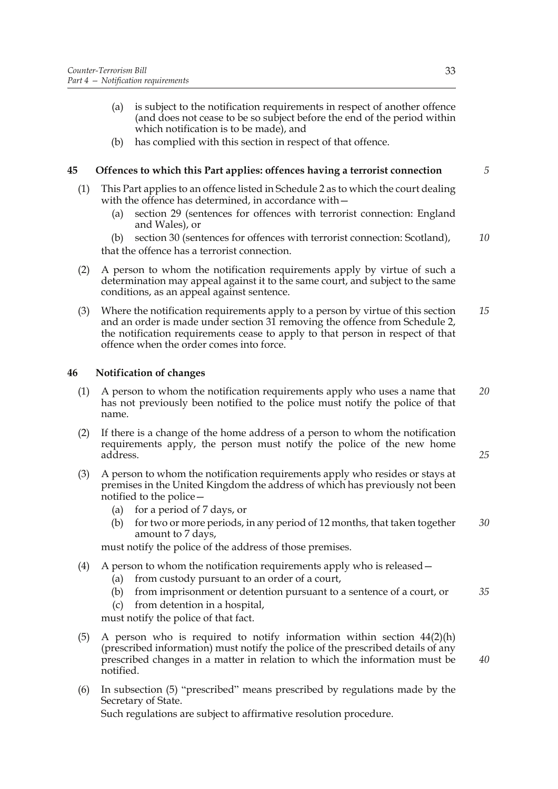- (a) is subject to the notification requirements in respect of another offence (and does not cease to be so subject before the end of the period within which notification is to be made), and
- (b) has complied with this section in respect of that offence.

### **45 Offences to which this Part applies: offences having a terrorist connection**

- (1) This Part applies to an offence listed in Schedule 2 as to which the court dealing with the offence has determined, in accordance with -
	- (a) section 29 (sentences for offences with terrorist connection: England and Wales), or
	- (b) section 30 (sentences for offences with terrorist connection: Scotland), that the offence has a terrorist connection. *10*
- (2) A person to whom the notification requirements apply by virtue of such a determination may appeal against it to the same court, and subject to the same conditions, as an appeal against sentence.
- (3) Where the notification requirements apply to a person by virtue of this section and an order is made under section 31 removing the offence from Schedule 2, the notification requirements cease to apply to that person in respect of that offence when the order comes into force. *15*

### **46 Notification of changes**

- (1) A person to whom the notification requirements apply who uses a name that has not previously been notified to the police must notify the police of that name. *20*
- (2) If there is a change of the home address of a person to whom the notification requirements apply, the person must notify the police of the new home address.
- (3) A person to whom the notification requirements apply who resides or stays at premises in the United Kingdom the address of which has previously not been notified to the police—
	- (a) for a period of 7 days, or
	- (b) for two or more periods, in any period of 12 months, that taken together amount to 7 days, *30*

must notify the police of the address of those premises.

- (4) A person to whom the notification requirements apply who is released—
	- (a) from custody pursuant to an order of a court,
	- (b) from imprisonment or detention pursuant to a sentence of a court, or *35*
	- (c) from detention in a hospital,

must notify the police of that fact.

- (5) A person who is required to notify information within section 44(2)(h) (prescribed information) must notify the police of the prescribed details of any prescribed changes in a matter in relation to which the information must be notified.
- (6) In subsection (5) "prescribed" means prescribed by regulations made by the Secretary of State. Such regulations are subject to affirmative resolution procedure.

*5*

*25*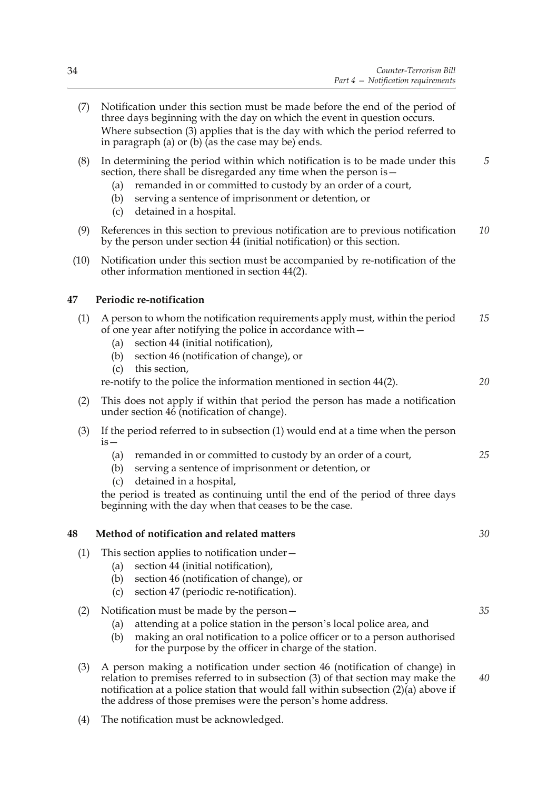- (7) Notification under this section must be made before the end of the period of three days beginning with the day on which the event in question occurs. Where subsection (3) applies that is the day with which the period referred to in paragraph (a) or (b) (as the case may be) ends.
- (8) In determining the period within which notification is to be made under this section, there shall be disregarded any time when the person is -*5*
	- (a) remanded in or committed to custody by an order of a court,
	- (b) serving a sentence of imprisonment or detention, or
	- (c) detained in a hospital.
- (9) References in this section to previous notification are to previous notification by the person under section 44 (initial notification) or this section. *10*
- (10) Notification under this section must be accompanied by re-notification of the other information mentioned in section 44(2).

# **47 Periodic re-notification**

- (1) A person to whom the notification requirements apply must, within the period of one year after notifying the police in accordance with— *15*
	- (a) section 44 (initial notification),
	- (b) section 46 (notification of change), or
	- (c) this section,

re-notify to the police the information mentioned in section 44(2). *20*

- (2) This does not apply if within that period the person has made a notification under section 46 (notification of change).
- (3) If the period referred to in subsection (1) would end at a time when the person  $is-$ 
	- (a) remanded in or committed to custody by an order of a court, *25*
	- (b) serving a sentence of imprisonment or detention, or
	- (c) detained in a hospital,

the period is treated as continuing until the end of the period of three days beginning with the day when that ceases to be the case.

## **48 Method of notification and related matters**

- (1) This section applies to notification under—
	- (a) section 44 (initial notification),
	- (b) section 46 (notification of change), or
	- (c) section 47 (periodic re-notification).
- (2) Notification must be made by the person—
	- (a) attending at a police station in the person's local police area, and
	- (b) making an oral notification to a police officer or to a person authorised for the purpose by the officer in charge of the station.
- (3) A person making a notification under section 46 (notification of change) in relation to premises referred to in subsection (3) of that section may make the notification at a police station that would fall within subsection  $(2)(a)$  above if the address of those premises were the person's home address. *40*
- (4) The notification must be acknowledged.

*30*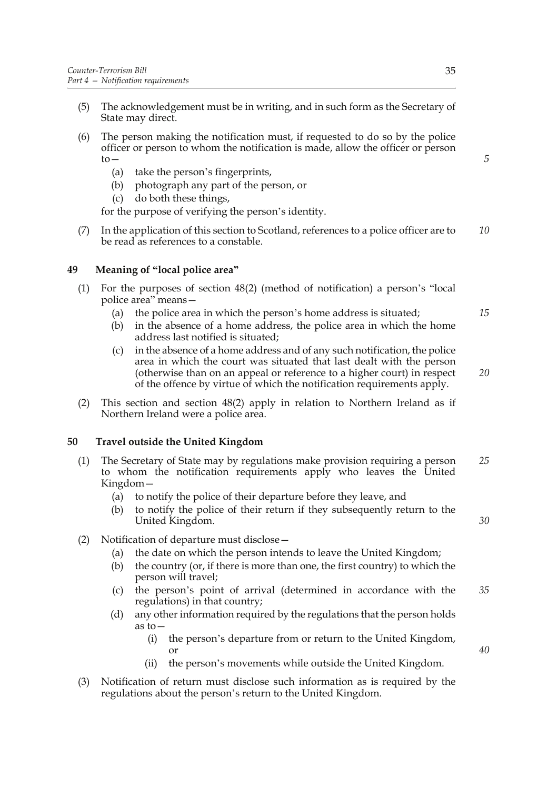- (5) The acknowledgement must be in writing, and in such form as the Secretary of State may direct.
- (6) The person making the notification must, if requested to do so by the police officer or person to whom the notification is made, allow the officer or person  $to-$ 
	- (a) take the person's fingerprints,
	- (b) photograph any part of the person, or
	- (c) do both these things,

for the purpose of verifying the person's identity.

(7) In the application of this section to Scotland, references to a police officer are to be read as references to a constable. *10*

### **49 Meaning of "local police area"**

- (1) For the purposes of section 48(2) (method of notification) a person's "local police area" means—
	- (a) the police area in which the person's home address is situated;
	- (b) in the absence of a home address, the police area in which the home address last notified is situated;
	- (c) in the absence of a home address and of any such notification, the police area in which the court was situated that last dealt with the person (otherwise than on an appeal or reference to a higher court) in respect of the offence by virtue of which the notification requirements apply.
- (2) This section and section 48(2) apply in relation to Northern Ireland as if Northern Ireland were a police area.

### **50 Travel outside the United Kingdom**

- (1) The Secretary of State may by regulations make provision requiring a person to whom the notification requirements apply who leaves the United Kingdom— *25*
	- (a) to notify the police of their departure before they leave, and
	- (b) to notify the police of their return if they subsequently return to the United Kingdom.
- (2) Notification of departure must disclose—
	- (a) the date on which the person intends to leave the United Kingdom;
	- (b) the country (or, if there is more than one, the first country) to which the person will travel;
	- (c) the person's point of arrival (determined in accordance with the regulations) in that country; *35*
	- (d) any other information required by the regulations that the person holds as to—
		- (i) the person's departure from or return to the United Kingdom, or
		- (ii) the person's movements while outside the United Kingdom.
- (3) Notification of return must disclose such information as is required by the regulations about the person's return to the United Kingdom.

*40*

*30*

*15*

*20*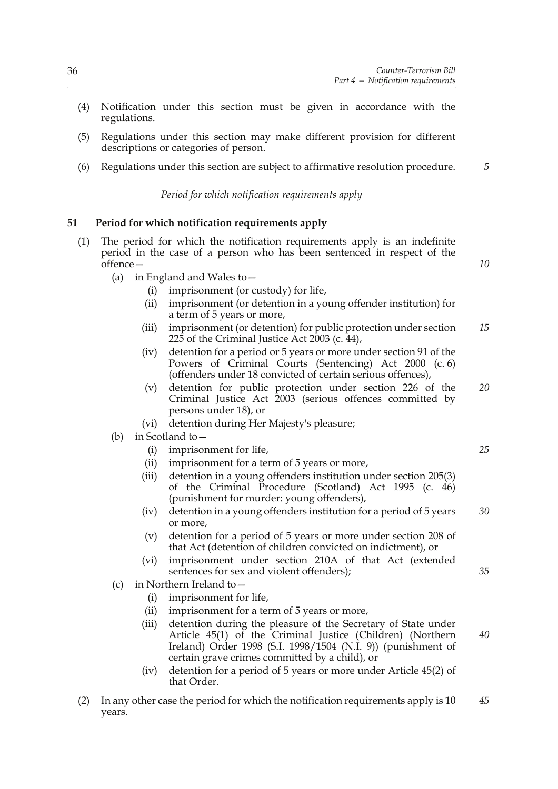*10*

*25*

*35*

- (4) Notification under this section must be given in accordance with the regulations.
- (5) Regulations under this section may make different provision for different descriptions or categories of person.
- (6) Regulations under this section are subject to affirmative resolution procedure. *5*

*Period for which notification requirements apply*

### **51 Period for which notification requirements apply**

- (1) The period for which the notification requirements apply is an indefinite period in the case of a person who has been sentenced in respect of the offence—
	- (a) in England and Wales to—
		- (i) imprisonment (or custody) for life,
		- (ii) imprisonment (or detention in a young offender institution) for a term of 5 years or more,
		- (iii) imprisonment (or detention) for public protection under section 225 of the Criminal Justice Act  $2003$  (c.  $44$ ), *15*
		- (iv) detention for a period or 5 years or more under section 91 of the Powers of Criminal Courts (Sentencing) Act 2000 (c. 6) (offenders under 18 convicted of certain serious offences),
		- (v) detention for public protection under section 226 of the Criminal Justice Act 2003 (serious offences committed by persons under 18), or *20*
		- (vi) detention during Her Majesty's pleasure;
	- (b) in Scotland to—
		- (i) imprisonment for life,
		- (ii) imprisonment for a term of 5 years or more,
		- (iii) detention in a young offenders institution under section 205(3) of the Criminal Procedure (Scotland) Act 1995 (c. 46) (punishment for murder: young offenders),
		- (iv) detention in a young offenders institution for a period of 5 years or more, *30*
		- (v) detention for a period of 5 years or more under section 208 of that Act (detention of children convicted on indictment), or
		- (vi) imprisonment under section 210A of that Act (extended sentences for sex and violent offenders);
	- (c) in Northern Ireland to—
		- (i) imprisonment for life,
		- (ii) imprisonment for a term of 5 years or more,
		- (iii) detention during the pleasure of the Secretary of State under Article 45(1) of the Criminal Justice (Children) (Northern Ireland) Order 1998 (S.I. 1998/1504 (N.I. 9)) (punishment of certain grave crimes committed by a child), or *40*
		- (iv) detention for a period of 5 years or more under Article 45(2) of that Order.
- (2) In any other case the period for which the notification requirements apply is 10 years. *45*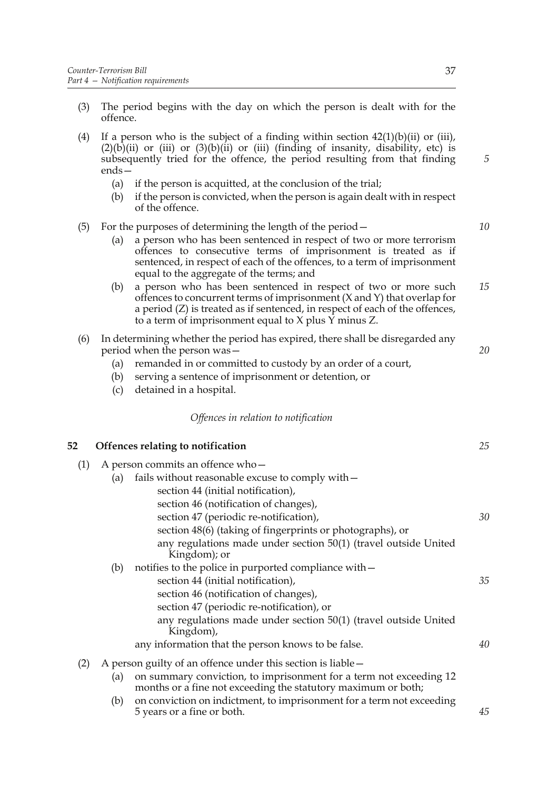- (3) The period begins with the day on which the person is dealt with for the offence.
- (4) If a person who is the subject of a finding within section  $42(1)(b)(ii)$  or (iii),  $(2)(\overline{b})(ii)$  or  $(iii)$  or  $(3)(\overline{b})(ii)$  or  $(iii)$  (finding of insanity, disability, etc) is subsequently tried for the offence, the period resulting from that finding ends—
	- (a) if the person is acquitted, at the conclusion of the trial;
	- (b) if the person is convicted, when the person is again dealt with in respect of the offence.

### (5) For the purposes of determining the length of the period—

- (a) a person who has been sentenced in respect of two or more terrorism offences to consecutive terms of imprisonment is treated as if sentenced, in respect of each of the offences, to a term of imprisonment equal to the aggregate of the terms; and
- (b) a person who has been sentenced in respect of two or more such offences to concurrent terms of imprisonment (X and Y) that overlap for a period (Z) is treated as if sentenced, in respect of each of the offences, to a term of imprisonment equal to X plus Y minus Z. *15*
- (6) In determining whether the period has expired, there shall be disregarded any period when the person was—
	- (a) remanded in or committed to custody by an order of a court,
	- (b) serving a sentence of imprisonment or detention, or
	- (c) detained in a hospital.

#### *Offences in relation to notification*

### **52 Offences relating to notification**

- (1) A person commits an offence who— (a) fails without reasonable excuse to comply with  $$ section 44 (initial notification), section 46 (notification of changes), section 47 (periodic re-notification), section 48(6) (taking of fingerprints or photographs), or any regulations made under section 50(1) (travel outside United Kingdom); or (b) notifies to the police in purported compliance with section 44 (initial notification), section 46 (notification of changes), section 47 (periodic re-notification), or any regulations made under section 50(1) (travel outside United Kingdom), any information that the person knows to be false. (2) A person guilty of an offence under this section is liable— (a) on summary conviction, to imprisonment for a term not exceeding 12 months or a fine not exceeding the statutory maximum or both; *30 35 40*
	- (b) on conviction on indictment, to imprisonment for a term not exceeding 5 years or a fine or both.

*5*

*10*

*20*

*25*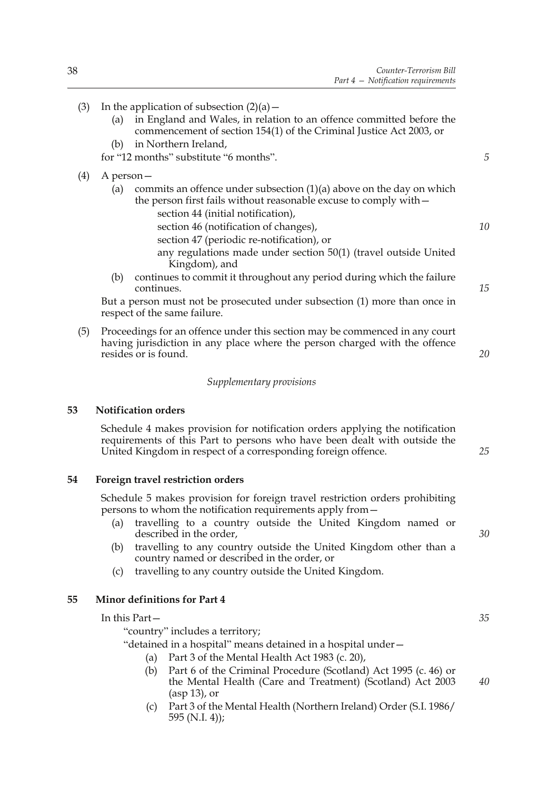- (3) In the application of subsection  $(2)(a)$ 
	- (a) in England and Wales, in relation to an offence committed before the commencement of section 154(1) of the Criminal Justice Act 2003, or
	- (b) in Northern Ireland,

for "12 months" substitute "6 months".

- (4) A person—
	- (a) commits an offence under subsection (1)(a) above on the day on which the person first fails without reasonable excuse to comply with
		- section 44 (initial notification),
		- section 46 (notification of changes),
		- section 47 (periodic re-notification), or any regulations made under section 50(1) (travel outside United Kingdom), and
	- (b) continues to commit it throughout any period during which the failure continues.

But a person must not be prosecuted under subsection (1) more than once in respect of the same failure.

(5) Proceedings for an offence under this section may be commenced in any court having jurisdiction in any place where the person charged with the offence resides or is found.

#### *Supplementary provisions*

### **53 Notification orders**

Schedule 4 makes provision for notification orders applying the notification requirements of this Part to persons who have been dealt with outside the United Kingdom in respect of a corresponding foreign offence.

# **54 Foreign travel restriction orders**

Schedule 5 makes provision for foreign travel restriction orders prohibiting persons to whom the notification requirements apply from—

- (a) travelling to a country outside the United Kingdom named or described in the order,
- (b) travelling to any country outside the United Kingdom other than a country named or described in the order, or
- (c) travelling to any country outside the United Kingdom.

## **55 Minor definitions for Part 4**

#### In this Part—

"country" includes a territory;

"detained in a hospital" means detained in a hospital under—

- (a) Part 3 of the Mental Health Act 1983 (c. 20),
- (b) Part 6 of the Criminal Procedure (Scotland) Act 1995 (c. 46) or the Mental Health (Care and Treatment) (Scotland) Act 2003 (asp 13), or *40*
- (c) Part 3 of the Mental Health (Northern Ireland) Order (S.I. 1986/ 595 (N.I. 4));

*35*

*30*

*5*

*10*

*15*

*20*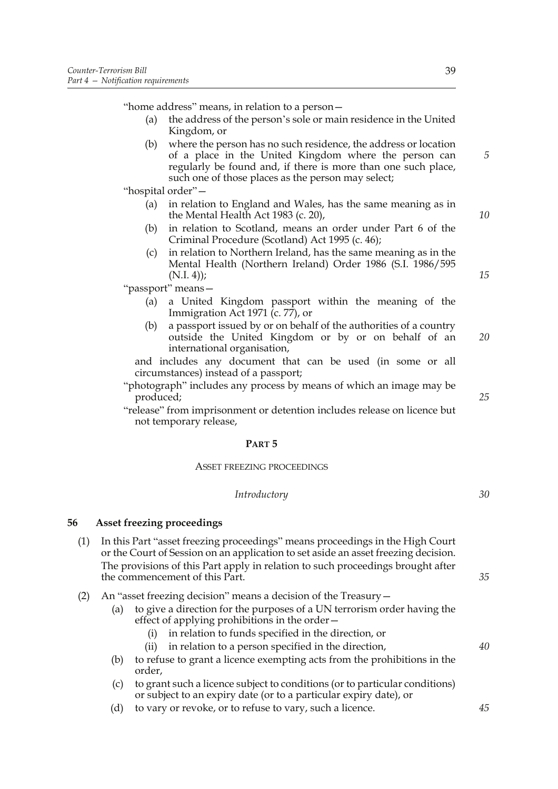"home address" means, in relation to a person—

- (a) the address of the person's sole or main residence in the United Kingdom, or
- (b) where the person has no such residence, the address or location of a place in the United Kingdom where the person can regularly be found and, if there is more than one such place, such one of those places as the person may select;

"hospital order"—

- (a) in relation to England and Wales, has the same meaning as in the Mental Health Act 1983 (c. 20),
- (b) in relation to Scotland, means an order under Part 6 of the Criminal Procedure (Scotland) Act 1995 (c. 46);
- (c) in relation to Northern Ireland, has the same meaning as in the Mental Health (Northern Ireland) Order 1986 (S.I. 1986/595  $(N.I. 4)$ ;

"passport" means—

- (a) a United Kingdom passport within the meaning of the Immigration Act 1971 (c. 77), or
- (b) a passport issued by or on behalf of the authorities of a country outside the United Kingdom or by or on behalf of an international organisation, *20*

and includes any document that can be used (in some or all circumstances) instead of a passport;

"photograph" includes any process by means of which an image may be produced;

"release" from imprisonment or detention includes release on licence but not temporary release,

#### **PART 5**

#### ASSET FREEZING PROCEEDINGS

#### *Introductory*

### **56 Asset freezing proceedings**

- (1) In this Part "asset freezing proceedings" means proceedings in the High Court or the Court of Session on an application to set aside an asset freezing decision. The provisions of this Part apply in relation to such proceedings brought after the commencement of this Part.
- (2) An "asset freezing decision" means a decision of the Treasury—
	- (a) to give a direction for the purposes of a UN terrorism order having the effect of applying prohibitions in the order—
		- (i) in relation to funds specified in the direction, or
		- (ii) in relation to a person specified in the direction,
	- (b) to refuse to grant a licence exempting acts from the prohibitions in the order,
	- (c) to grant such a licence subject to conditions (or to particular conditions) or subject to an expiry date (or to a particular expiry date), or
	- (d) to vary or revoke, or to refuse to vary, such a licence.

*10*

*15*

*5*

*25*

*35*

*30*

*40*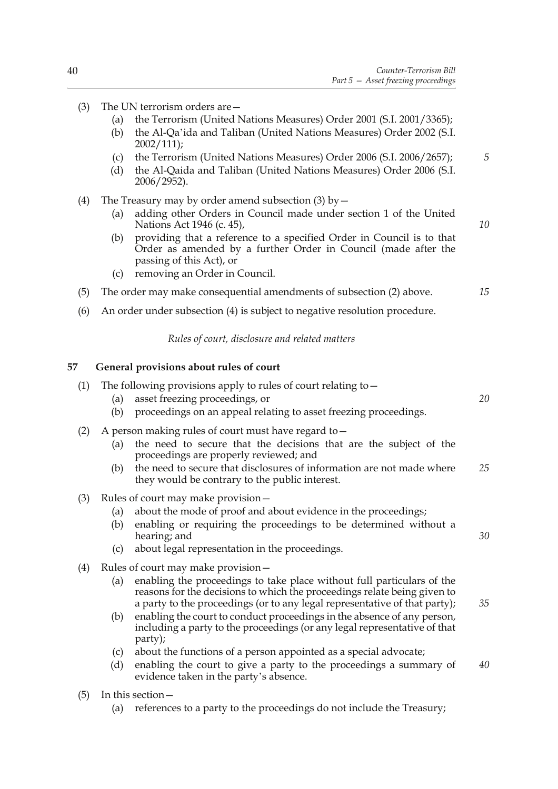*10*

- (3) The UN terrorism orders are—
	- (a) the Terrorism (United Nations Measures) Order 2001 (S.I. 2001/3365);
	- (b) the Al-Qa'ida and Taliban (United Nations Measures) Order 2002 (S.I. 2002/111);
	- (c) the Terrorism (United Nations Measures) Order 2006 (S.I. 2006/2657); *5*
	- (d) the Al-Qaida and Taliban (United Nations Measures) Order 2006 (S.I. 2006/2952).
- (4) The Treasury may by order amend subsection (3) by  $-$ 
	- (a) adding other Orders in Council made under section 1 of the United Nations Act 1946 (c. 45),
	- (b) providing that a reference to a specified Order in Council is to that Order as amended by a further Order in Council (made after the passing of this Act), or
	- (c) removing an Order in Council.

#### (5) The order may make consequential amendments of subsection (2) above. *15*

(6) An order under subsection (4) is subject to negative resolution procedure.

*Rules of court, disclosure and related matters*

### **57 General provisions about rules of court**

| (1) | (a)<br>(b)        | The following provisions apply to rules of court relating to $-$<br>asset freezing proceedings, or<br>proceedings on an appeal relating to asset freezing proceedings.                                                                                                                                                                                                                                                                     | 20 |  |
|-----|-------------------|--------------------------------------------------------------------------------------------------------------------------------------------------------------------------------------------------------------------------------------------------------------------------------------------------------------------------------------------------------------------------------------------------------------------------------------------|----|--|
| (2) | (a)<br>(b)        | A person making rules of court must have regard to -<br>the need to secure that the decisions that are the subject of the<br>proceedings are properly reviewed; and<br>the need to secure that disclosures of information are not made where<br>they would be contrary to the public interest.                                                                                                                                             | 25 |  |
| (3) | (a)<br>(b)<br>(c) | Rules of court may make provision -<br>about the mode of proof and about evidence in the proceedings;<br>enabling or requiring the proceedings to be determined without a<br>hearing; and<br>about legal representation in the proceedings.                                                                                                                                                                                                | 30 |  |
| (4) | (a)<br>(b)        | Rules of court may make provision -<br>enabling the proceedings to take place without full particulars of the<br>reasons for the decisions to which the proceedings relate being given to<br>a party to the proceedings (or to any legal representative of that party);<br>enabling the court to conduct proceedings in the absence of any person,<br>including a party to the proceedings (or any legal representative of that<br>party); | 35 |  |
|     | (c)<br>(d)        | about the functions of a person appointed as a special advocate;<br>enabling the court to give a party to the proceedings a summary of<br>evidence taken in the party's absence.                                                                                                                                                                                                                                                           | 40 |  |
| (5) | In this section - |                                                                                                                                                                                                                                                                                                                                                                                                                                            |    |  |

(a) references to a party to the proceedings do not include the Treasury;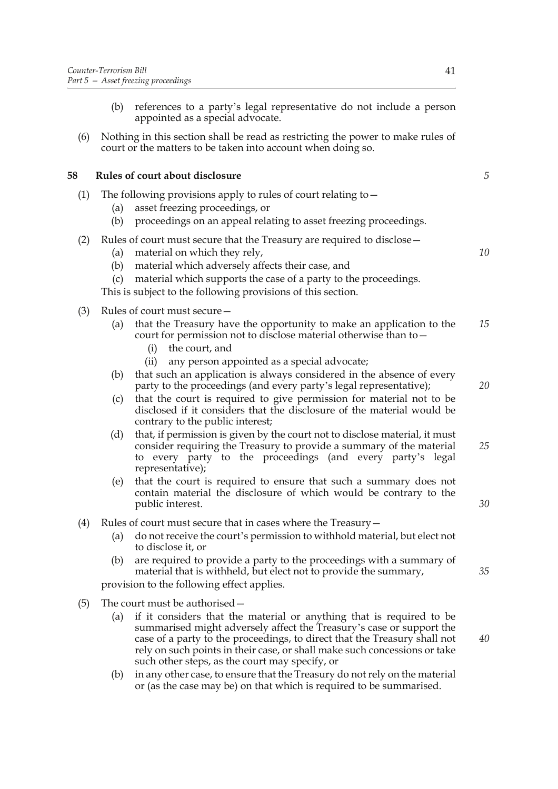- (b) references to a party's legal representative do not include a person appointed as a special advocate.
- (6) Nothing in this section shall be read as restricting the power to make rules of court or the matters to be taken into account when doing so.

### **58 Rules of court about disclosure**

- (1) The following provisions apply to rules of court relating to—
	- (a) asset freezing proceedings, or
	- (b) proceedings on an appeal relating to asset freezing proceedings.
- (2) Rules of court must secure that the Treasury are required to disclose—
	- (a) material on which they rely,
	- (b) material which adversely affects their case, and
	- (c) material which supports the case of a party to the proceedings.
	- This is subject to the following provisions of this section.
- (3) Rules of court must secure—
	- (a) that the Treasury have the opportunity to make an application to the court for permission not to disclose material otherwise than to— *15*
		- (i) the court, and
		- (ii) any person appointed as a special advocate;
	- (b) that such an application is always considered in the absence of every party to the proceedings (and every party's legal representative);
	- (c) that the court is required to give permission for material not to be disclosed if it considers that the disclosure of the material would be contrary to the public interest;
	- (d) that, if permission is given by the court not to disclose material, it must consider requiring the Treasury to provide a summary of the material to every party to the proceedings (and every party's legal representative); *25*
	- (e) that the court is required to ensure that such a summary does not contain material the disclosure of which would be contrary to the public interest.
- (4) Rules of court must secure that in cases where the Treasury—
	- (a) do not receive the court's permission to withhold material, but elect not to disclose it, or
	- (b) are required to provide a party to the proceedings with a summary of material that is withheld, but elect not to provide the summary,

provision to the following effect applies.

- (5) The court must be authorised—
	- (a) if it considers that the material or anything that is required to be summarised might adversely affect the Treasury's case or support the case of a party to the proceedings, to direct that the Treasury shall not rely on such points in their case, or shall make such concessions or take such other steps, as the court may specify, or
	- (b) in any other case, to ensure that the Treasury do not rely on the material or (as the case may be) on that which is required to be summarised.

*5*

*10*

*20*

*40*

*35*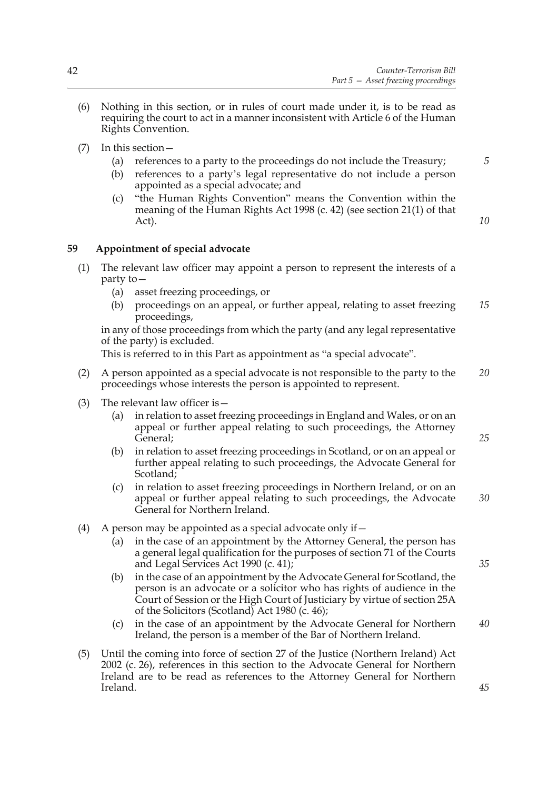- (6) Nothing in this section, or in rules of court made under it, is to be read as requiring the court to act in a manner inconsistent with Article 6 of the Human Rights Convention.
- (7) In this section—
	- (a) references to a party to the proceedings do not include the Treasury;
	- (b) references to a party's legal representative do not include a person appointed as a special advocate; and
	- (c) "the Human Rights Convention" means the Convention within the meaning of the Human Rights Act 1998 (c. 42) (see section 21(1) of that Act).

*10*

*5*

### **59 Appointment of special advocate**

- (1) The relevant law officer may appoint a person to represent the interests of a party to—
	- (a) asset freezing proceedings, or
	- (b) proceedings on an appeal, or further appeal, relating to asset freezing proceedings, *15*

in any of those proceedings from which the party (and any legal representative of the party) is excluded.

This is referred to in this Part as appointment as "a special advocate".

- (2) A person appointed as a special advocate is not responsible to the party to the proceedings whose interests the person is appointed to represent. *20*
- (3) The relevant law officer is—
	- (a) in relation to asset freezing proceedings in England and Wales, or on an appeal or further appeal relating to such proceedings, the Attorney General;
	- (b) in relation to asset freezing proceedings in Scotland, or on an appeal or further appeal relating to such proceedings, the Advocate General for Scotland;
	- (c) in relation to asset freezing proceedings in Northern Ireland, or on an appeal or further appeal relating to such proceedings, the Advocate General for Northern Ireland. *30*
- (4) A person may be appointed as a special advocate only if  $-$ 
	- (a) in the case of an appointment by the Attorney General, the person has a general legal qualification for the purposes of section 71 of the Courts and Legal Services Act 1990 (c. 41);
	- (b) in the case of an appointment by the Advocate General for Scotland, the person is an advocate or a solicitor who has rights of audience in the Court of Session or the High Court of Justiciary by virtue of section 25A of the Solicitors (Scotland) Act 1980 (c. 46);
	- (c) in the case of an appointment by the Advocate General for Northern Ireland, the person is a member of the Bar of Northern Ireland. *40*
- (5) Until the coming into force of section 27 of the Justice (Northern Ireland) Act 2002 (c. 26), references in this section to the Advocate General for Northern Ireland are to be read as references to the Attorney General for Northern Ireland.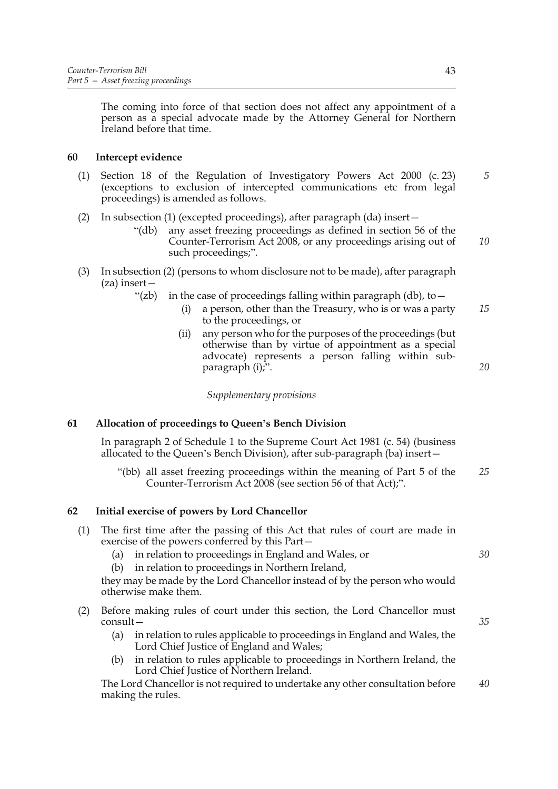The coming into force of that section does not affect any appointment of a person as a special advocate made by the Attorney General for Northern Ireland before that time.

### **60 Intercept evidence**

- (1) Section 18 of the Regulation of Investigatory Powers Act 2000 (c. 23) (exceptions to exclusion of intercepted communications etc from legal proceedings) is amended as follows. *5*
- (2) In subsection (1) (excepted proceedings), after paragraph (da) insert—
	- "(db) any asset freezing proceedings as defined in section 56 of the Counter-Terrorism Act 2008, or any proceedings arising out of such proceedings;".
- (3) In subsection (2) (persons to whom disclosure not to be made), after paragraph (za) insert—
	- "(zb) in the case of proceedings falling within paragraph (db), to  $-$ 
		- (i) a person, other than the Treasury, who is or was a party to the proceedings, or *15*
		- (ii) any person who for the purposes of the proceedings (but otherwise than by virtue of appointment as a special advocate) represents a person falling within subparagraph (i);".

*Supplementary provisions*

### **61 Allocation of proceedings to Queen's Bench Division**

In paragraph 2 of Schedule 1 to the Supreme Court Act 1981 (c. 54) (business allocated to the Queen's Bench Division), after sub-paragraph (ba) insert—

 "(bb) all asset freezing proceedings within the meaning of Part 5 of the Counter-Terrorism Act 2008 (see section 56 of that Act);". *25*

### **62 Initial exercise of powers by Lord Chancellor**

- (1) The first time after the passing of this Act that rules of court are made in exercise of the powers conferred by this Part—
	- (a) in relation to proceedings in England and Wales, or
	- (b) in relation to proceedings in Northern Ireland,

they may be made by the Lord Chancellor instead of by the person who would otherwise make them.

- (2) Before making rules of court under this section, the Lord Chancellor must consult—
	- (a) in relation to rules applicable to proceedings in England and Wales, the Lord Chief Justice of England and Wales;
	- in relation to rules applicable to proceedings in Northern Ireland, the Lord Chief Justice of Northern Ireland.

The Lord Chancellor is not required to undertake any other consultation before making the rules. *40*

*10*

*20*

*35*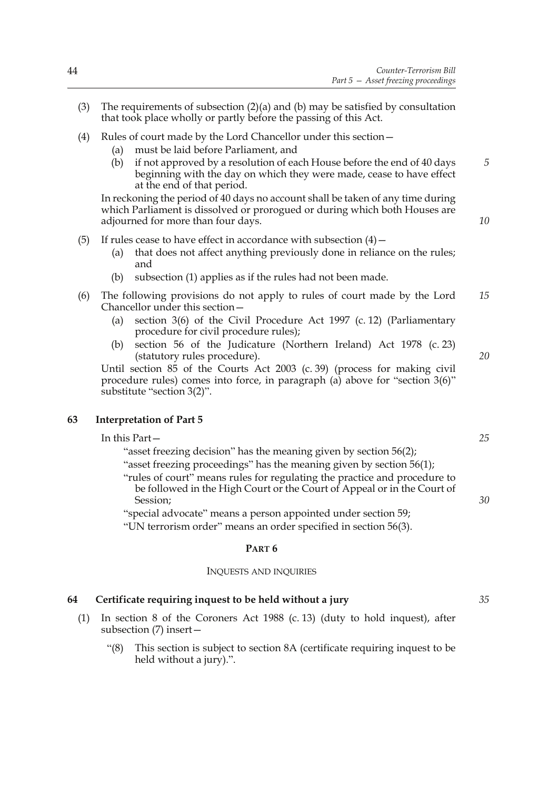- (3) The requirements of subsection (2)(a) and (b) may be satisfied by consultation that took place wholly or partly before the passing of this Act.
- (4) Rules of court made by the Lord Chancellor under this section—
	- (a) must be laid before Parliament, and
	- (b) if not approved by a resolution of each House before the end of 40 days beginning with the day on which they were made, cease to have effect at the end of that period.

In reckoning the period of 40 days no account shall be taken of any time during which Parliament is dissolved or prorogued or during which both Houses are adjourned for more than four days.

- (5) If rules cease to have effect in accordance with subsection  $(4)$  -
	- (a) that does not affect anything previously done in reliance on the rules; and
	- (b) subsection (1) applies as if the rules had not been made.
- (6) The following provisions do not apply to rules of court made by the Lord Chancellor under this section— *15*
	- (a) section 3(6) of the Civil Procedure Act 1997 (c. 12) (Parliamentary procedure for civil procedure rules);
	- (b) section 56 of the Judicature (Northern Ireland) Act 1978 (c. 23) (statutory rules procedure).

Until section 85 of the Courts Act 2003 (c. 39) (process for making civil procedure rules) comes into force, in paragraph (a) above for "section 3(6)" substitute "section 3(2)".

### **63 Interpretation of Part 5**

#### In this Part—

"asset freezing decision" has the meaning given by section 56(2); "asset freezing proceedings" has the meaning given by section 56(1);

"rules of court" means rules for regulating the practice and procedure to be followed in the High Court or the Court of Appeal or in the Court of Session;

"special advocate" means a person appointed under section 59;

"UN terrorism order" means an order specified in section 56(3).

#### **PART 6**

#### INQUESTS AND INQUIRIES

#### **64 Certificate requiring inquest to be held without a jury**

- (1) In section 8 of the Coroners Act 1988 (c. 13) (duty to hold inquest), after subsection (7) insert—
	- "(8) This section is subject to section 8A (certificate requiring inquest to be held without a jury).".

*20*

*25*

*30*

*5*

*10*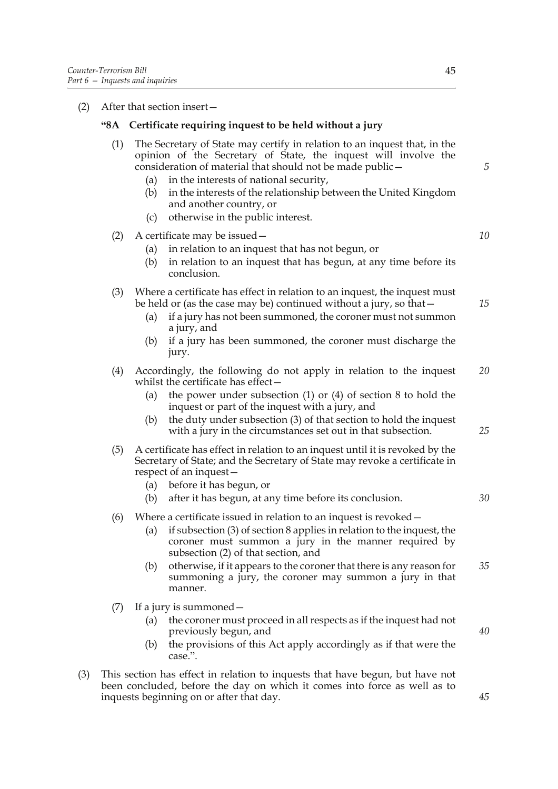(2) After that section insert—

### **"8A Certificate requiring inquest to be held without a jury**

- (1) The Secretary of State may certify in relation to an inquest that, in the opinion of the Secretary of State, the inquest will involve the consideration of material that should not be made public—
	- (a) in the interests of national security,
	- (b) in the interests of the relationship between the United Kingdom and another country, or
	- (c) otherwise in the public interest.
- (2) A certificate may be issued—
	- (a) in relation to an inquest that has not begun, or
	- (b) in relation to an inquest that has begun, at any time before its conclusion.
- (3) Where a certificate has effect in relation to an inquest, the inquest must be held or (as the case may be) continued without a jury, so that—
	- (a) if a jury has not been summoned, the coroner must not summon a jury, and
	- (b) if a jury has been summoned, the coroner must discharge the jury.
- (4) Accordingly, the following do not apply in relation to the inquest whilst the certificate has effect— *20*
	- (a) the power under subsection (1) or (4) of section 8 to hold the inquest or part of the inquest with a jury, and
	- (b) the duty under subsection (3) of that section to hold the inquest with a jury in the circumstances set out in that subsection.
- (5) A certificate has effect in relation to an inquest until it is revoked by the Secretary of State; and the Secretary of State may revoke a certificate in respect of an inquest—
	- (a) before it has begun, or

# (b) after it has begun, at any time before its conclusion.

- (6) Where a certificate issued in relation to an inquest is revoked—
	- (a) if subsection (3) of section 8 applies in relation to the inquest, the coroner must summon a jury in the manner required by subsection (2) of that section, and
	- (b) otherwise, if it appears to the coroner that there is any reason for summoning a jury, the coroner may summon a jury in that manner. *35*
- (7) If a jury is summoned—
	- (a) the coroner must proceed in all respects as if the inquest had not previously begun, and
	- (b) the provisions of this Act apply accordingly as if that were the case.".
- (3) This section has effect in relation to inquests that have begun, but have not been concluded, before the day on which it comes into force as well as to inquests beginning on or after that day.

*5*

*10*

*15*

*25*

*30*

*40*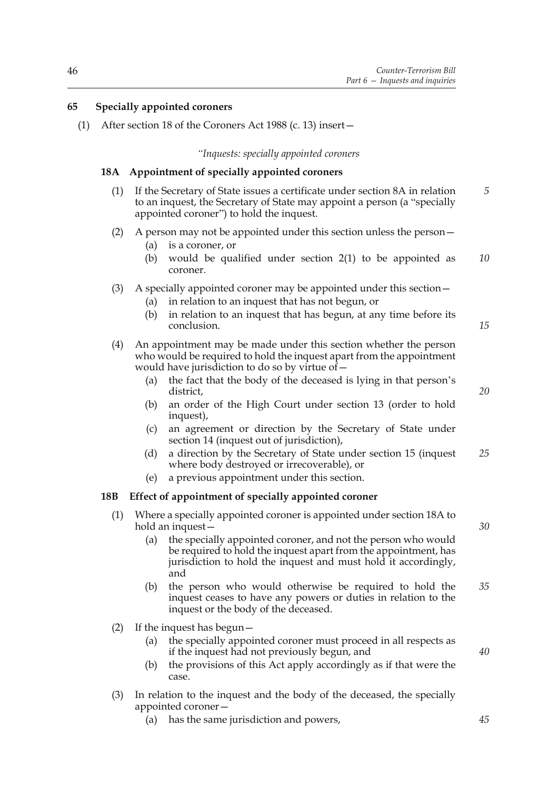### **65 Specially appointed coroners**

(1) After section 18 of the Coroners Act 1988 (c. 13) insert—

#### *"Inquests: specially appointed coroners*

#### **18A Appointment of specially appointed coroners**

- (1) If the Secretary of State issues a certificate under section 8A in relation to an inquest, the Secretary of State may appoint a person (a "specially appointed coroner") to hold the inquest. *5*
- (2) A person may not be appointed under this section unless the person—
	- (a) is a coroner, or
	- (b) would be qualified under section 2(1) to be appointed as coroner. *10*

#### (3) A specially appointed coroner may be appointed under this section—

- in relation to an inquest that has not begun, or
- (b) in relation to an inquest that has begun, at any time before its conclusion.
- (4) An appointment may be made under this section whether the person who would be required to hold the inquest apart from the appointment would have jurisdiction to do so by virtue of—
	- (a) the fact that the body of the deceased is lying in that person's district,
	- (b) an order of the High Court under section 13 (order to hold inquest),
	- (c) an agreement or direction by the Secretary of State under section 14 (inquest out of jurisdiction),
	- (d) a direction by the Secretary of State under section 15 (inquest where body destroyed or irrecoverable), or *25*
	- (e) a previous appointment under this section.

#### **18B Effect of appointment of specially appointed coroner**

- (1) Where a specially appointed coroner is appointed under section 18A to hold an inquest—
	- (a) the specially appointed coroner, and not the person who would be required to hold the inquest apart from the appointment, has jurisdiction to hold the inquest and must hold it accordingly, and
	- (b) the person who would otherwise be required to hold the inquest ceases to have any powers or duties in relation to the inquest or the body of the deceased. *35*
- (2) If the inquest has begun—
	- (a) the specially appointed coroner must proceed in all respects as if the inquest had not previously begun, and
	- (b) the provisions of this Act apply accordingly as if that were the case.
- (3) In relation to the inquest and the body of the deceased, the specially appointed coroner—
	- (a) has the same jurisdiction and powers,

*45*

*40*

*15*

*20*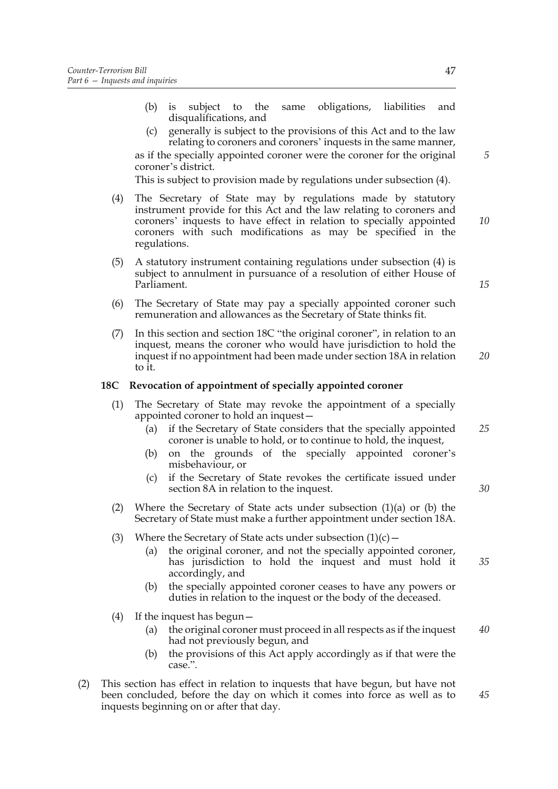- (b) is subject to the same obligations, liabilities and disqualifications, and
- (c) generally is subject to the provisions of this Act and to the law relating to coroners and coroners' inquests in the same manner, as if the specially appointed coroner were the coroner for the original coroner's district.

This is subject to provision made by regulations under subsection (4).

- (4) The Secretary of State may by regulations made by statutory instrument provide for this Act and the law relating to coroners and coroners' inquests to have effect in relation to specially appointed coroners with such modifications as may be specified in the regulations.
- (5) A statutory instrument containing regulations under subsection (4) is subject to annulment in pursuance of a resolution of either House of Parliament.
- (6) The Secretary of State may pay a specially appointed coroner such remuneration and allowances as the Secretary of State thinks fit.
- (7) In this section and section 18C "the original coroner", in relation to an inquest, means the coroner who would have jurisdiction to hold the inquest if no appointment had been made under section 18A in relation to it. *20*

#### **18C Revocation of appointment of specially appointed coroner**

- (1) The Secretary of State may revoke the appointment of a specially appointed coroner to hold an inquest—
	- (a) if the Secretary of State considers that the specially appointed coroner is unable to hold, or to continue to hold, the inquest, *25*
	- (b) on the grounds of the specially appointed coroner's misbehaviour, or
	- (c) if the Secretary of State revokes the certificate issued under section 8A in relation to the inquest.
- (2) Where the Secretary of State acts under subsection (1)(a) or (b) the Secretary of State must make a further appointment under section 18A.
- (3) Where the Secretary of State acts under subsection  $(1)(c)$  -
	- (a) the original coroner, and not the specially appointed coroner, has jurisdiction to hold the inquest and must hold it accordingly, and
	- (b) the specially appointed coroner ceases to have any powers or duties in relation to the inquest or the body of the deceased.
- (4) If the inquest has begun—
	- (a) the original coroner must proceed in all respects as if the inquest had not previously begun, and *40*
	- (b) the provisions of this Act apply accordingly as if that were the case.".
- (2) This section has effect in relation to inquests that have begun, but have not been concluded, before the day on which it comes into force as well as to inquests beginning on or after that day.

*15*

*10*

*5*

*30*

*35*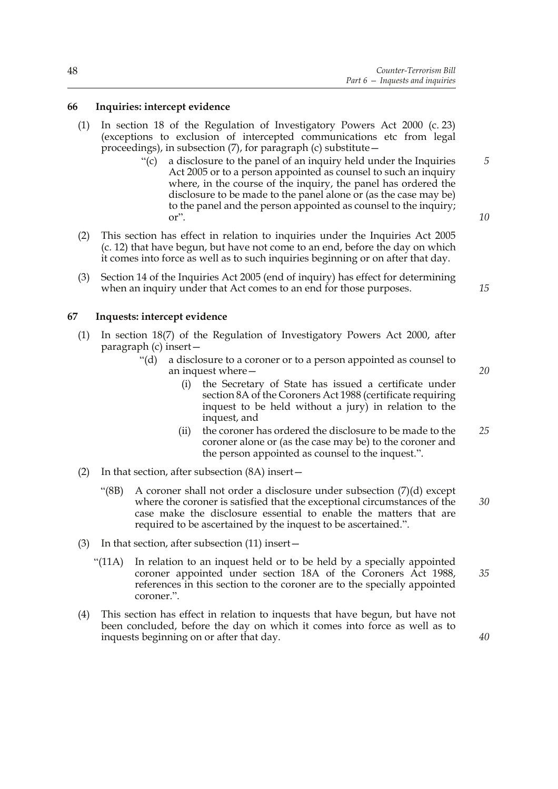#### **66 Inquiries: intercept evidence**

- (1) In section 18 of the Regulation of Investigatory Powers Act 2000 (c. 23) (exceptions to exclusion of intercepted communications etc from legal proceedings), in subsection (7), for paragraph (c) substitute—
	- "(c) a disclosure to the panel of an inquiry held under the Inquiries Act 2005 or to a person appointed as counsel to such an inquiry where, in the course of the inquiry, the panel has ordered the disclosure to be made to the panel alone or (as the case may be) to the panel and the person appointed as counsel to the inquiry; or".
- (2) This section has effect in relation to inquiries under the Inquiries Act 2005 (c. 12) that have begun, but have not come to an end, before the day on which it comes into force as well as to such inquiries beginning or on after that day.
- (3) Section 14 of the Inquiries Act 2005 (end of inquiry) has effect for determining when an inquiry under that Act comes to an end for those purposes.

#### **67 Inquests: intercept evidence**

- (1) In section 18(7) of the Regulation of Investigatory Powers Act 2000, after paragraph (c) insert—
	- "(d) a disclosure to a coroner or to a person appointed as counsel to an inquest where—
		- (i) the Secretary of State has issued a certificate under section 8A of the Coroners Act 1988 (certificate requiring inquest to be held without a jury) in relation to the inquest, and
		- (ii) the coroner has ordered the disclosure to be made to the coroner alone or (as the case may be) to the coroner and the person appointed as counsel to the inquest.". *25*
- (2) In that section, after subsection (8A) insert—
	- "(8B) A coroner shall not order a disclosure under subsection (7)(d) except where the coroner is satisfied that the exceptional circumstances of the case make the disclosure essential to enable the matters that are required to be ascertained by the inquest to be ascertained.". *30*
- (3) In that section, after subsection (11) insert—
	- "(11A) In relation to an inquest held or to be held by a specially appointed coroner appointed under section 18A of the Coroners Act 1988, references in this section to the coroner are to the specially appointed coroner.".
- (4) This section has effect in relation to inquests that have begun, but have not been concluded, before the day on which it comes into force as well as to inquests beginning on or after that day.

*10*

*15*

*5*

*20*

*40*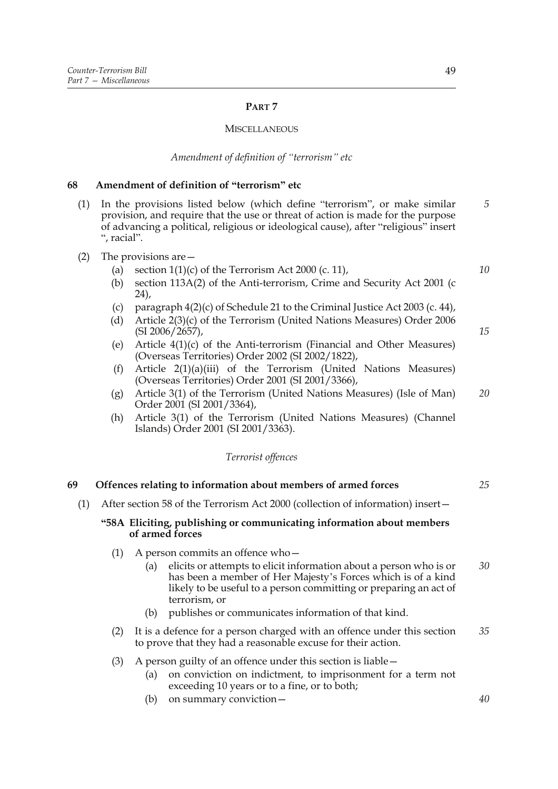### **PART 7**

#### **MISCELLANEOUS**

#### *Amendment of definition of "terrorism" etc*

### **68 Amendment of definition of "terrorism" etc**

- (1) In the provisions listed below (which define "terrorism", or make similar provision, and require that the use or threat of action is made for the purpose of advancing a political, religious or ideological cause), after "religious" insert ", racial". *5*
- (2) The provisions are—
	- (a) section  $1(1)(c)$  of the Terrorism Act 2000 (c. 11),
	- (b) section 113A(2) of the Anti-terrorism, Crime and Security Act 2001 (c 24),
	- (c) paragraph  $4(2)(c)$  of Schedule 21 to the Criminal Justice Act 2003 (c. 44),
	- (d) Article 2(3)(c) of the Terrorism (United Nations Measures) Order 2006 (SI 2006/2657),
	- (e) Article 4(1)(c) of the Anti-terrorism (Financial and Other Measures) (Overseas Territories) Order 2002 (SI 2002/1822),
	- (f) Article 2(1)(a)(iii) of the Terrorism (United Nations Measures) (Overseas Territories) Order 2001 (SI 2001/3366),
	- (g) Article 3(1) of the Terrorism (United Nations Measures) (Isle of Man) Order 2001 (SI 2001/3364), *20*
	- (h) Article 3(1) of the Terrorism (United Nations Measures) (Channel Islands) Order 2001 (SI 2001/3363).

#### *Terrorist offences*

#### **69 Offences relating to information about members of armed forces** *25*

(1) After section 58 of the Terrorism Act 2000 (collection of information) insert—

#### **"58A Eliciting, publishing or communicating information about members of armed forces**

- (1) A person commits an offence who—
	- (a) elicits or attempts to elicit information about a person who is or has been a member of Her Majesty's Forces which is of a kind likely to be useful to a person committing or preparing an act of terrorism, or *30*
	- (b) publishes or communicates information of that kind.
- (2) It is a defence for a person charged with an offence under this section to prove that they had a reasonable excuse for their action. *35*

#### (3) A person guilty of an offence under this section is liable—

- (a) on conviction on indictment, to imprisonment for a term not exceeding 10 years or to a fine, or to both;
- (b) on summary conviction—

*10*

*15*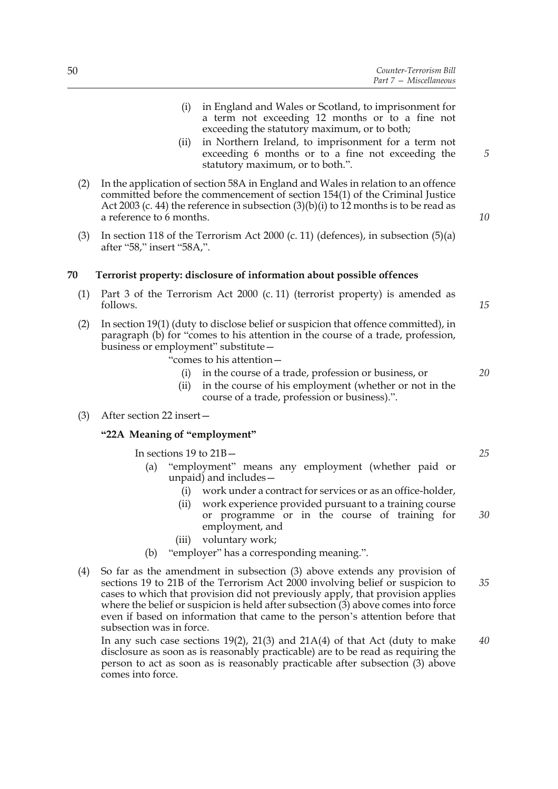- (i) in England and Wales or Scotland, to imprisonment for a term not exceeding 12 months or to a fine not exceeding the statutory maximum, or to both;
- (ii) in Northern Ireland, to imprisonment for a term not exceeding 6 months or to a fine not exceeding the statutory maximum, or to both.".
- (2) In the application of section 58A in England and Wales in relation to an offence committed before the commencement of section 154(1) of the Criminal Justice Act 2003 (c. 44) the reference in subsection  $(3)(b)(i)$  to 12 months is to be read as a reference to 6 months.
- (3) In section 118 of the Terrorism Act 2000 (c. 11) (defences), in subsection  $(5)(a)$ after "58," insert "58A,".

#### **70 Terrorist property: disclosure of information about possible offences**

- (1) Part 3 of the Terrorism Act 2000 (c. 11) (terrorist property) is amended as follows.
- (2) In section 19(1) (duty to disclose belief or suspicion that offence committed), in paragraph (b) for "comes to his attention in the course of a trade, profession, business or employment" substitute—

"comes to his attention—

- (i) in the course of a trade, profession or business, or
- (ii) in the course of his employment (whether or not in the course of a trade, profession or business).".
- (3) After section 22 insert—

#### **"22A Meaning of "employment"**

In sections 19 to 21B—

- (a) "employment" means any employment (whether paid or unpaid) and includes—
	- (i) work under a contract for services or as an office-holder,
	- (ii) work experience provided pursuant to a training course or programme or in the course of training for employment, and *30*
	- (iii) voluntary work;
- (b) "employer" has a corresponding meaning.".
- (4) So far as the amendment in subsection (3) above extends any provision of sections 19 to 21B of the Terrorism Act 2000 involving belief or suspicion to cases to which that provision did not previously apply, that provision applies where the belief or suspicion is held after subsection (3) above comes into force even if based on information that came to the person's attention before that subsection was in force. *35*

In any such case sections  $19(2)$ ,  $21(3)$  and  $21A(4)$  of that Act (duty to make disclosure as soon as is reasonably practicable) are to be read as requiring the person to act as soon as is reasonably practicable after subsection (3) above comes into force. *40*

*15*

*5*

*10*

*20*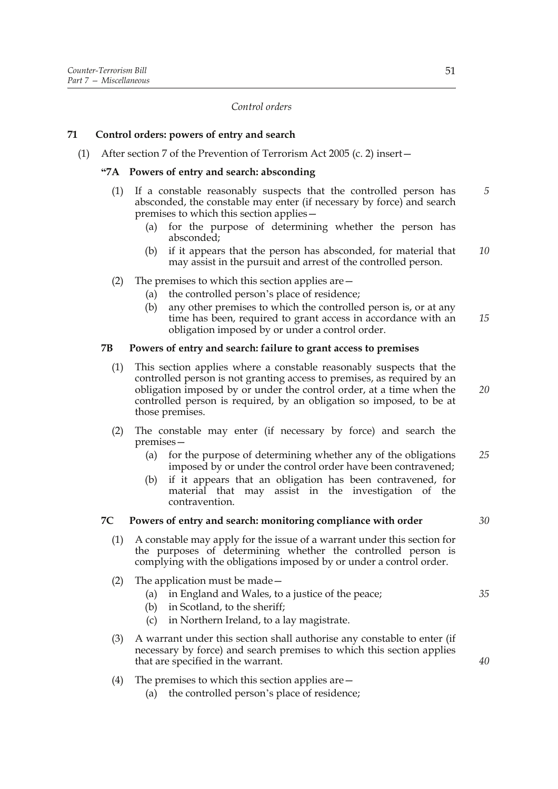#### *Control orders*

### **71 Control orders: powers of entry and search**

(1) After section 7 of the Prevention of Terrorism Act 2005 (c. 2) insert—

### **"7A Powers of entry and search: absconding**

- (1) If a constable reasonably suspects that the controlled person has absconded, the constable may enter (if necessary by force) and search premises to which this section applies— *5*
	- (a) for the purpose of determining whether the person has absconded;
	- (b) if it appears that the person has absconded, for material that may assist in the pursuit and arrest of the controlled person. *10*

#### (2) The premises to which this section applies are—

- (a) the controlled person's place of residence;
- (b) any other premises to which the controlled person is, or at any time has been, required to grant access in accordance with an obligation imposed by or under a control order. *15*

### **7B Powers of entry and search: failure to grant access to premises**

- (1) This section applies where a constable reasonably suspects that the controlled person is not granting access to premises, as required by an obligation imposed by or under the control order, at a time when the controlled person is required, by an obligation so imposed, to be at those premises.
- (2) The constable may enter (if necessary by force) and search the premises—
	- (a) for the purpose of determining whether any of the obligations imposed by or under the control order have been contravened; *25*
	- (b) if it appears that an obligation has been contravened, for material that may assist in the investigation of the contravention.

#### **7C Powers of entry and search: monitoring compliance with order**

- (1) A constable may apply for the issue of a warrant under this section for the purposes of determining whether the controlled person is complying with the obligations imposed by or under a control order.
- (2) The application must be made—
	- (a) in England and Wales, to a justice of the peace;
	- (b) in Scotland, to the sheriff;
	- (c) in Northern Ireland, to a lay magistrate.
- (3) A warrant under this section shall authorise any constable to enter (if necessary by force) and search premises to which this section applies that are specified in the warrant.
- (4) The premises to which this section applies are—
	- (a) the controlled person's place of residence;

*30*

*20*

*40*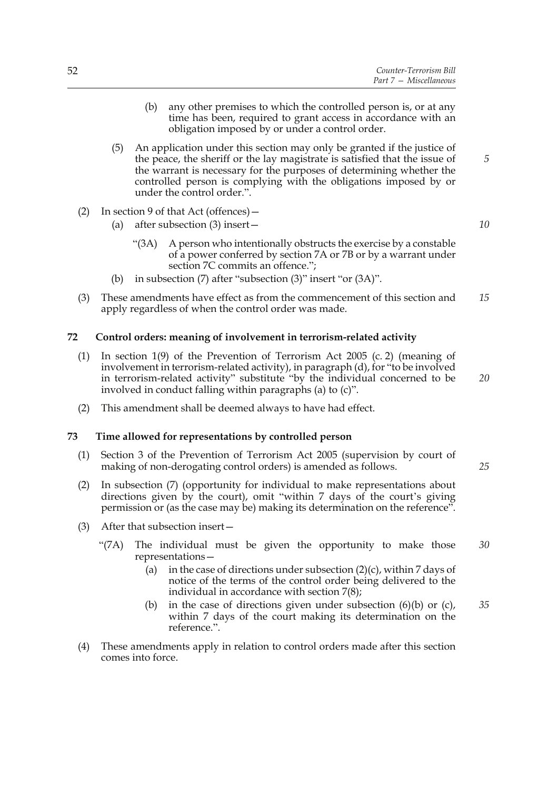- (b) any other premises to which the controlled person is, or at any time has been, required to grant access in accordance with an obligation imposed by or under a control order.
- (5) An application under this section may only be granted if the justice of the peace, the sheriff or the lay magistrate is satisfied that the issue of the warrant is necessary for the purposes of determining whether the controlled person is complying with the obligations imposed by or under the control order.".
- (2) In section 9 of that Act (offences)—
	- (a) after subsection (3) insert—
		- "(3A) A person who intentionally obstructs the exercise by a constable of a power conferred by section 7A or 7B or by a warrant under section 7C commits an offence.";
	- (b) in subsection (7) after "subsection (3)" insert "or (3A)".
- (3) These amendments have effect as from the commencement of this section and apply regardless of when the control order was made. *15*

### **72 Control orders: meaning of involvement in terrorism-related activity**

- (1) In section 1(9) of the Prevention of Terrorism Act 2005 (c. 2) (meaning of involvement in terrorism-related activity), in paragraph (d), for "to be involved in terrorism-related activity" substitute "by the individual concerned to be involved in conduct falling within paragraphs (a) to (c)".
- (2) This amendment shall be deemed always to have had effect.

#### **73 Time allowed for representations by controlled person**

- (1) Section 3 of the Prevention of Terrorism Act 2005 (supervision by court of making of non-derogating control orders) is amended as follows.
- (2) In subsection (7) (opportunity for individual to make representations about directions given by the court), omit "within 7 days of the court's giving permission or (as the case may be) making its determination on the reference".
- (3) After that subsection insert—
	- "(7A) The individual must be given the opportunity to make those representations—
		- (a) in the case of directions under subsection  $(2)(c)$ , within 7 days of notice of the terms of the control order being delivered to the individual in accordance with section 7(8);
		- (b) in the case of directions given under subsection  $(6)(b)$  or  $(c)$ , within 7 days of the court making its determination on the reference.". *35*
- (4) These amendments apply in relation to control orders made after this section comes into force.

*10*

*5*

*20*

*30*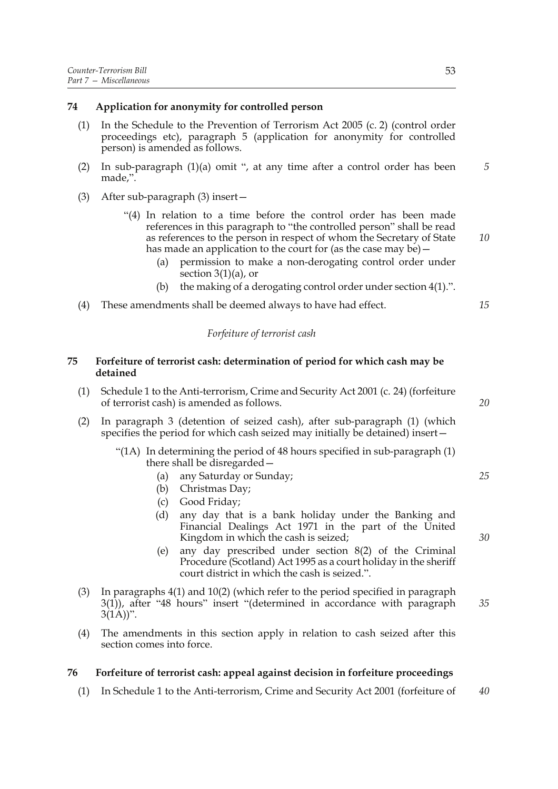### **74 Application for anonymity for controlled person**

- (1) In the Schedule to the Prevention of Terrorism Act 2005 (c. 2) (control order proceedings etc), paragraph 5 (application for anonymity for controlled person) is amended as follows.
- (2) In sub-paragraph (1)(a) omit ", at any time after a control order has been made,".
- (3) After sub-paragraph (3) insert—
	- "(4) In relation to a time before the control order has been made references in this paragraph to "the controlled person" shall be read as references to the person in respect of whom the Secretary of State has made an application to the court for (as the case may be) –
		- (a) permission to make a non-derogating control order under section 3(1)(a), or
		- (b) the making of a derogating control order under section 4(1).".
- (4) These amendments shall be deemed always to have had effect.

### *Forfeiture of terrorist cash*

### **75 Forfeiture of terrorist cash: determination of period for which cash may be detained**

- (1) Schedule 1 to the Anti-terrorism, Crime and Security Act 2001 (c. 24) (forfeiture of terrorist cash) is amended as follows.
- (2) In paragraph 3 (detention of seized cash), after sub-paragraph (1) (which specifies the period for which cash seized may initially be detained) insert—
	- "(1A) In determining the period of 48 hours specified in sub-paragraph (1) there shall be disregarded—
		- (a) any Saturday or Sunday;
		- (b) Christmas Day;
		- (c) Good Friday;
		- (d) any day that is a bank holiday under the Banking and Financial Dealings Act 1971 in the part of the United Kingdom in which the cash is seized;
		- (e) any day prescribed under section 8(2) of the Criminal Procedure (Scotland) Act 1995 as a court holiday in the sheriff court district in which the cash is seized.".
- (3) In paragraphs 4(1) and 10(2) (which refer to the period specified in paragraph 3(1)), after "48 hours" insert "(determined in accordance with paragraph  $3(1A))$ ". *35*
- (4) The amendments in this section apply in relation to cash seized after this section comes into force.

### **76 Forfeiture of terrorist cash: appeal against decision in forfeiture proceedings**

(1) In Schedule 1 to the Anti-terrorism, Crime and Security Act 2001 (forfeiture of *40*

*20*

*5*

*10*

*15*

*25*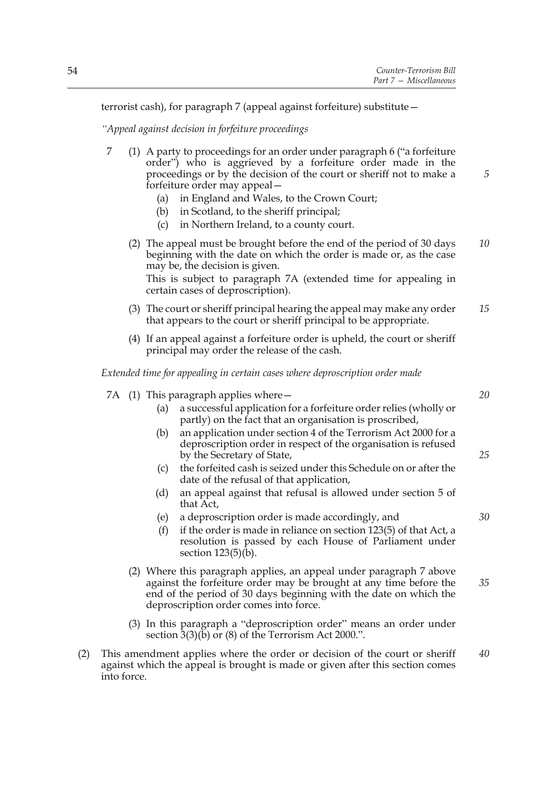terrorist cash), for paragraph 7 (appeal against forfeiture) substitute—

*"Appeal against decision in forfeiture proceedings*

- 7 (1) A party to proceedings for an order under paragraph 6 ("a forfeiture order") who is aggrieved by a forfeiture order made in the proceedings or by the decision of the court or sheriff not to make a forfeiture order may appeal—
	- (a) in England and Wales, to the Crown Court;
	- (b) in Scotland, to the sheriff principal;
	- (c) in Northern Ireland, to a county court.
	- (2) The appeal must be brought before the end of the period of 30 days beginning with the date on which the order is made or, as the case may be, the decision is given. *10*

This is subject to paragraph 7A (extended time for appealing in certain cases of deproscription).

- (3) The court or sheriff principal hearing the appeal may make any order that appears to the court or sheriff principal to be appropriate. *15*
- (4) If an appeal against a forfeiture order is upheld, the court or sheriff principal may order the release of the cash.

*Extended time for appealing in certain cases where deproscription order made*

|  | 7A $(1)$ This paragraph applies where $-$                             |  |  |
|--|-----------------------------------------------------------------------|--|--|
|  | (a) a successful application for a forfeiture order relies (wholly or |  |  |
|  | partly) on the fact that an organisation is proscribed,               |  |  |
|  | (b) an application under section 4 of the Terreriem Act 2000 for a    |  |  |

- (b) an application under section 4 of the Terrorism Act 2000 for a deproscription order in respect of the organisation is refused by the Secretary of State,
- (c) the forfeited cash is seized under this Schedule on or after the date of the refusal of that application,
- (d) an appeal against that refusal is allowed under section 5 of that Act,
- (e) a deproscription order is made accordingly, and
- (f) if the order is made in reliance on section 123(5) of that Act, a resolution is passed by each House of Parliament under section  $123(5)(b)$ .
- (2) Where this paragraph applies, an appeal under paragraph 7 above against the forfeiture order may be brought at any time before the end of the period of 30 days beginning with the date on which the deproscription order comes into force. *35*
- (3) In this paragraph a "deproscription order" means an order under section 3(3)(b) or (8) of the Terrorism Act 2000.".
- (2) This amendment applies where the order or decision of the court or sheriff against which the appeal is brought is made or given after this section comes into force. *40*

*20*

*5*

*25*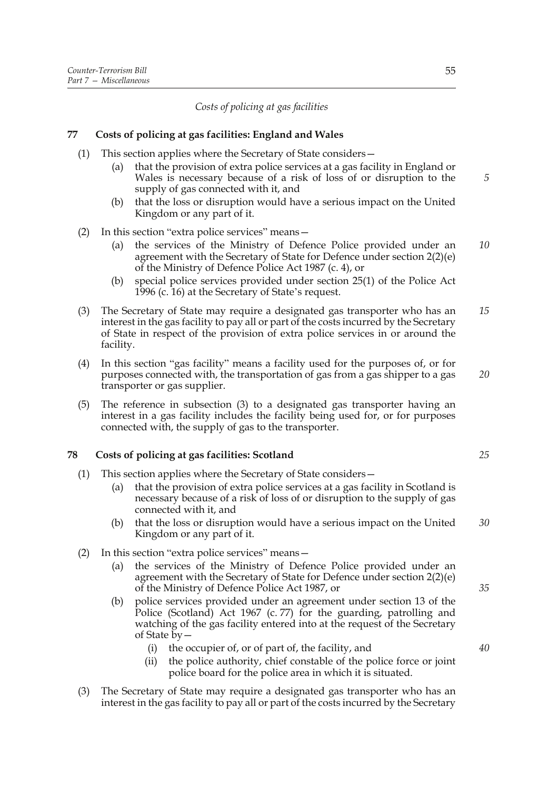*Costs of policing at gas facilities*

### **77 Costs of policing at gas facilities: England and Wales**

- (1) This section applies where the Secretary of State considers—
	- (a) that the provision of extra police services at a gas facility in England or Wales is necessary because of a risk of loss of or disruption to the supply of gas connected with it, and
	- (b) that the loss or disruption would have a serious impact on the United Kingdom or any part of it.
- (2) In this section "extra police services" means—
	- (a) the services of the Ministry of Defence Police provided under an agreement with the Secretary of State for Defence under section 2(2)(e) of the Ministry of Defence Police Act 1987 (c. 4), or *10*
	- (b) special police services provided under section 25(1) of the Police Act 1996 (c. 16) at the Secretary of State's request.
- (3) The Secretary of State may require a designated gas transporter who has an interest in the gas facility to pay all or part of the costs incurred by the Secretary of State in respect of the provision of extra police services in or around the facility. *15*
- (4) In this section "gas facility" means a facility used for the purposes of, or for purposes connected with, the transportation of gas from a gas shipper to a gas transporter or gas supplier.
- (5) The reference in subsection (3) to a designated gas transporter having an interest in a gas facility includes the facility being used for, or for purposes connected with, the supply of gas to the transporter.

### **78 Costs of policing at gas facilities: Scotland**

- (1) This section applies where the Secretary of State considers—
	- (a) that the provision of extra police services at a gas facility in Scotland is necessary because of a risk of loss of or disruption to the supply of gas connected with it, and
	- (b) that the loss or disruption would have a serious impact on the United Kingdom or any part of it. *30*
- (2) In this section "extra police services" means—
	- (a) the services of the Ministry of Defence Police provided under an agreement with the Secretary of State for Defence under section 2(2)(e) of the Ministry of Defence Police Act 1987, or
	- (b) police services provided under an agreement under section 13 of the Police (Scotland) Act 1967 (c. 77) for the guarding, patrolling and watching of the gas facility entered into at the request of the Secretary of State by—
		- (i) the occupier of, or of part of, the facility, and
		- (ii) the police authority, chief constable of the police force or joint police board for the police area in which it is situated.
- (3) The Secretary of State may require a designated gas transporter who has an interest in the gas facility to pay all or part of the costs incurred by the Secretary

*5*

*25*

*20*

*40*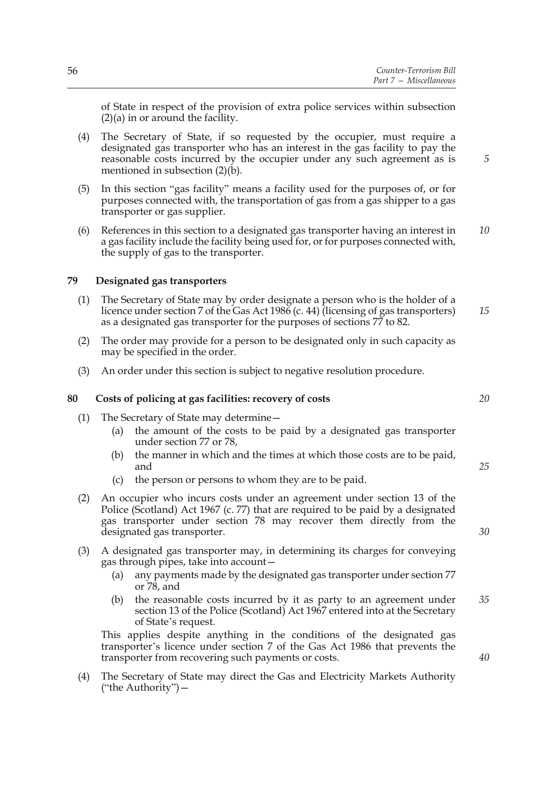of State in respect of the provision of extra police services within subsection  $(2)(a)$  in or around the facility.

- (4) The Secretary of State, if so requested by the occupier, must require a designated gas transporter who has an interest in the gas facility to pay the reasonable costs incurred by the occupier under any such agreement as is mentioned in subsection (2)(b).
- (5) In this section "gas facility" means a facility used for the purposes of, or for purposes connected with, the transportation of gas from a gas shipper to a gas transporter or gas supplier.
- (6) References in this section to a designated gas transporter having an interest in a gas facility include the facility being used for, or for purposes connected with, the supply of gas to the transporter. *10*

### **79 Designated gas transporters**

- (1) The Secretary of State may by order designate a person who is the holder of a licence under section 7 of the Gas Act 1986 (c. 44) (licensing of gas transporters) as a designated gas transporter for the purposes of sections 77 to 82. *15*
- (2) The order may provide for a person to be designated only in such capacity as may be specified in the order.
- (3) An order under this section is subject to negative resolution procedure.

### **80 Costs of policing at gas facilities: recovery of costs**

- (1) The Secretary of State may determine—
	- (a) the amount of the costs to be paid by a designated gas transporter under section 77 or 78,
	- (b) the manner in which and the times at which those costs are to be paid, and
	- (c) the person or persons to whom they are to be paid.
- (2) An occupier who incurs costs under an agreement under section 13 of the Police (Scotland) Act 1967 (c. 77) that are required to be paid by a designated gas transporter under section 78 may recover them directly from the designated gas transporter.
- (3) A designated gas transporter may, in determining its charges for conveying gas through pipes, take into account—
	- (a) any payments made by the designated gas transporter under section 77 or 78, and
	- (b) the reasonable costs incurred by it as party to an agreement under section 13 of the Police (Scotland) Act 1967 entered into at the Secretary of State's request. *35*

This applies despite anything in the conditions of the designated gas transporter's licence under section 7 of the Gas Act 1986 that prevents the transporter from recovering such payments or costs.

(4) The Secretary of State may direct the Gas and Electricity Markets Authority ("the Authority")—

*20*

*5*

*30*

*25*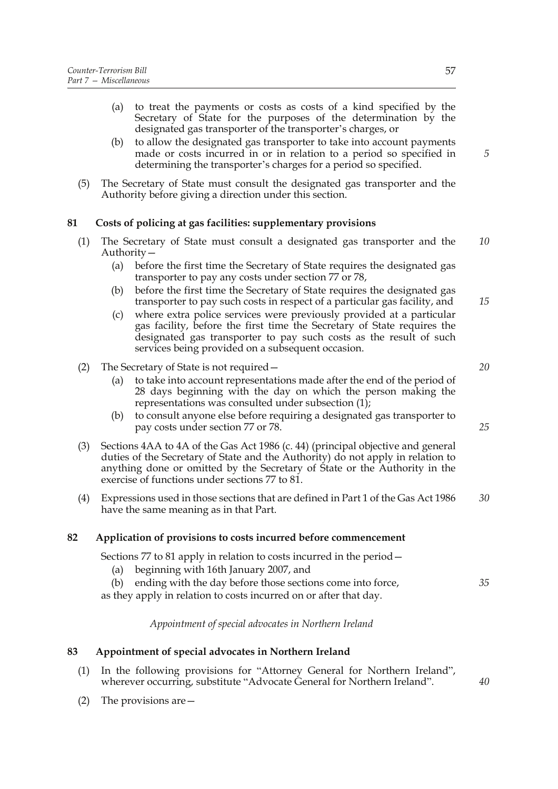- (a) to treat the payments or costs as costs of a kind specified by the Secretary of State for the purposes of the determination by the designated gas transporter of the transporter's charges, or
- (b) to allow the designated gas transporter to take into account payments made or costs incurred in or in relation to a period so specified in determining the transporter's charges for a period so specified.
- (5) The Secretary of State must consult the designated gas transporter and the Authority before giving a direction under this section.

## **81 Costs of policing at gas facilities: supplementary provisions**

- (1) The Secretary of State must consult a designated gas transporter and the Authority— *10*
	- (a) before the first time the Secretary of State requires the designated gas transporter to pay any costs under section 77 or 78,
	- (b) before the first time the Secretary of State requires the designated gas transporter to pay such costs in respect of a particular gas facility, and *15*
	- (c) where extra police services were previously provided at a particular gas facility, before the first time the Secretary of State requires the designated gas transporter to pay such costs as the result of such services being provided on a subsequent occasion.
- (2) The Secretary of State is not required—
	- (a) to take into account representations made after the end of the period of 28 days beginning with the day on which the person making the representations was consulted under subsection  $(1)$ ;
	- (b) to consult anyone else before requiring a designated gas transporter to pay costs under section 77 or 78.
- (3) Sections 4AA to 4A of the Gas Act 1986 (c. 44) (principal objective and general duties of the Secretary of State and the Authority) do not apply in relation to anything done or omitted by the Secretary of State or the Authority in the exercise of functions under sections 77 to 81.
- (4) Expressions used in those sections that are defined in Part 1 of the Gas Act 1986 have the same meaning as in that Part. *30*

### **82 Application of provisions to costs incurred before commencement**

Sections 77 to 81 apply in relation to costs incurred in the period—

- (a) beginning with 16th January 2007, and
- (b) ending with the day before those sections come into force,

as they apply in relation to costs incurred on or after that day.

*Appointment of special advocates in Northern Ireland*

### **83 Appointment of special advocates in Northern Ireland**

- (1) In the following provisions for "Attorney General for Northern Ireland", wherever occurring, substitute "Advocate General for Northern Ireland".
- (2) The provisions are—

*5*

*20*

*25*

*35*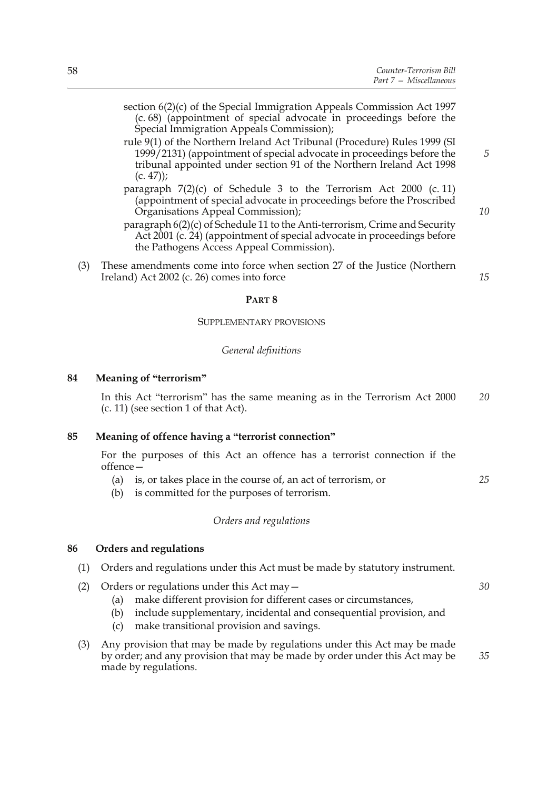- (c. 68) (appointment of special advocate in proceedings before the Special Immigration Appeals Commission); rule 9(1) of the Northern Ireland Act Tribunal (Procedure) Rules 1999 (SI
- 1999/2131) (appointment of special advocate in proceedings before the tribunal appointed under section 91 of the Northern Ireland Act 1998  $(c. 47)$ ;
- paragraph 7(2)(c) of Schedule 3 to the Terrorism Act 2000 (c. 11) (appointment of special advocate in proceedings before the Proscribed Organisations Appeal Commission);
- paragraph 6(2)(c) of Schedule 11 to the Anti-terrorism, Crime and Security Act 2001 (c. 24) (appointment of special advocate in proceedings before the Pathogens Access Appeal Commission).
- (3) These amendments come into force when section 27 of the Justice (Northern Ireland) Act 2002 (c. 26) comes into force

*15*

*5*

*10*

#### **PART 8**

#### SUPPLEMENTARY PROVISIONS

### *General definitions*

### **84 Meaning of "terrorism"**

In this Act "terrorism" has the same meaning as in the Terrorism Act 2000 (c. 11) (see section 1 of that Act). *20*

### **85 Meaning of offence having a "terrorist connection"**

For the purposes of this Act an offence has a terrorist connection if the offence—

- (a) is, or takes place in the course of, an act of terrorism, or
- (b) is committed for the purposes of terrorism.

#### *Orders and regulations*

### **86 Orders and regulations**

- (1) Orders and regulations under this Act must be made by statutory instrument.
- (2) Orders or regulations under this Act may—
	- (a) make different provision for different cases or circumstances,
	- (b) include supplementary, incidental and consequential provision, and
	- (c) make transitional provision and savings.

*30*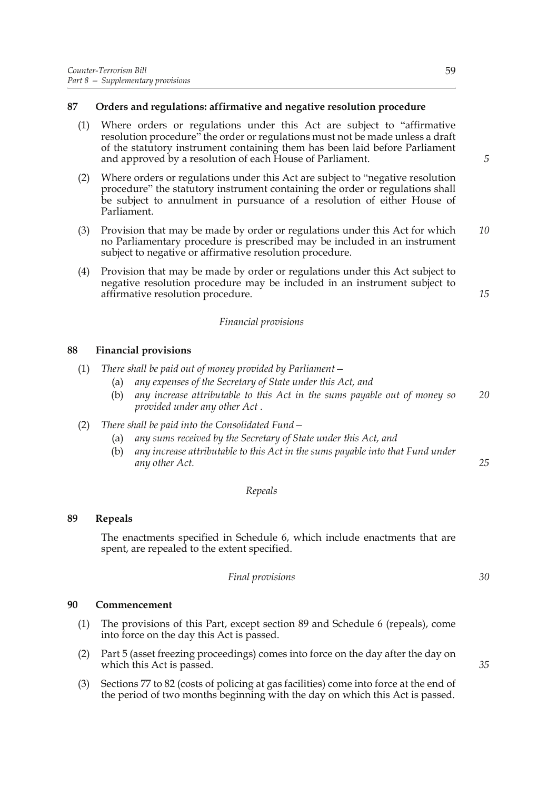### **87 Orders and regulations: affirmative and negative resolution procedure**

- (1) Where orders or regulations under this Act are subject to "affirmative resolution procedure" the order or regulations must not be made unless a draft of the statutory instrument containing them has been laid before Parliament and approved by a resolution of each House of Parliament.
- (2) Where orders or regulations under this Act are subject to "negative resolution procedure" the statutory instrument containing the order or regulations shall be subject to annulment in pursuance of a resolution of either House of Parliament.
- (3) Provision that may be made by order or regulations under this Act for which no Parliamentary procedure is prescribed may be included in an instrument subject to negative or affirmative resolution procedure. *10*
- (4) Provision that may be made by order or regulations under this Act subject to negative resolution procedure may be included in an instrument subject to affirmative resolution procedure.

#### *Financial provisions*

### **88 Financial provisions**

- (1) *There shall be paid out of money provided by Parliament—*
	- (a) *any expenses of the Secretary of State under this Act, and*
	- (b) *any increase attributable to this Act in the sums payable out of money so provided under any other Act . 20*
- (2) *There shall be paid into the Consolidated Fund—*
	- (a) *any sums received by the Secretary of State under this Act, and*
	- (b) *any increase attributable to this Act in the sums payable into that Fund under any other Act.*

#### *Repeals*

#### **89 Repeals**

The enactments specified in Schedule 6, which include enactments that are spent, are repealed to the extent specified.

| Final provisions |
|------------------|
|                  |

#### **90 Commencement**

- (1) The provisions of this Part, except section 89 and Schedule 6 (repeals), come into force on the day this Act is passed.
- (2) Part 5 (asset freezing proceedings) comes into force on the day after the day on which this Act is passed.
- (3) Sections 77 to 82 (costs of policing at gas facilities) come into force at the end of the period of two months beginning with the day on which this Act is passed.

*25*

*35*

*5*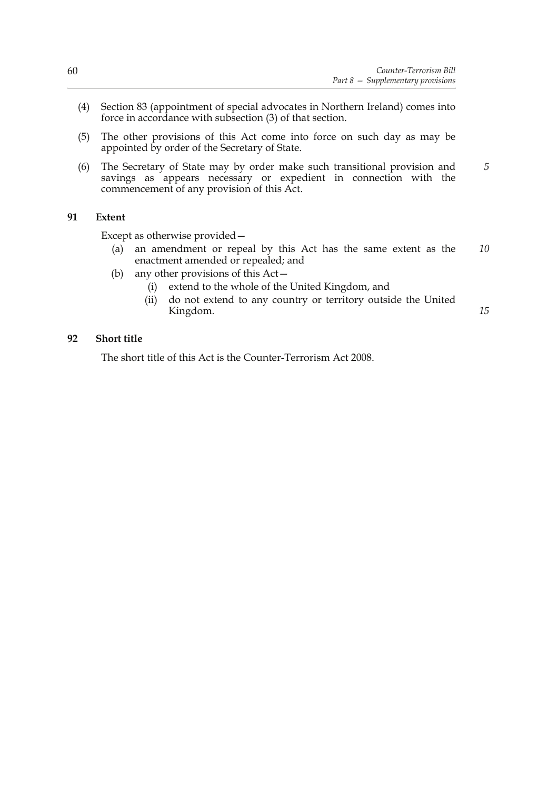*15*

- (4) Section 83 (appointment of special advocates in Northern Ireland) comes into force in accordance with subsection (3) of that section.
- (5) The other provisions of this Act come into force on such day as may be appointed by order of the Secretary of State.
- (6) The Secretary of State may by order make such transitional provision and savings as appears necessary or expedient in connection with the commencement of any provision of this Act. *5*

### **91 Extent**

Except as otherwise provided—

- (a) an amendment or repeal by this Act has the same extent as the enactment amended or repealed; and *10*
- (b) any other provisions of this Act—
	- (i) extend to the whole of the United Kingdom, and
	- (ii) do not extend to any country or territory outside the United Kingdom.

### **92 Short title**

The short title of this Act is the Counter-Terrorism Act 2008.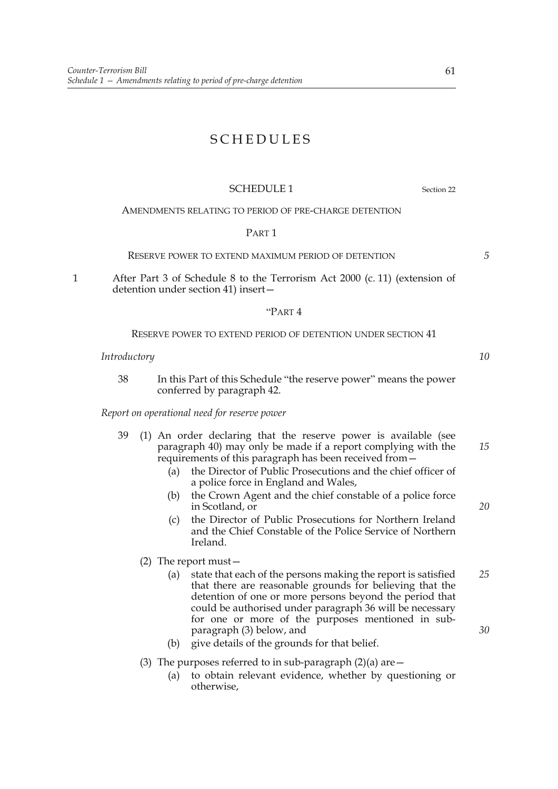# SCHEDULES

### SCHEDULE 1 Section 22

#### AMENDMENTS RELATING TO PERIOD OF PRE-CHARGE DETENTION

#### PART 1

RESERVE POWER TO EXTEND MAXIMUM PERIOD OF DETENTION

1 After Part 3 of Schedule 8 to the Terrorism Act 2000 (c. 11) (extension of detention under section 41) insert—

#### "PART 4

#### RESERVE POWER TO EXTEND PERIOD OF DETENTION UNDER SECTION 41

#### *Introductory*

38 In this Part of this Schedule "the reserve power" means the power conferred by paragraph 42.

*Report on operational need for reserve power*

- 39 (1) An order declaring that the reserve power is available (see paragraph 40) may only be made if a report complying with the requirements of this paragraph has been received from— *15*
	- (a) the Director of Public Prosecutions and the chief officer of a police force in England and Wales,
	- (b) the Crown Agent and the chief constable of a police force in Scotland, or
	- (c) the Director of Public Prosecutions for Northern Ireland and the Chief Constable of the Police Service of Northern Ireland.
	- (2) The report must—
		- (a) state that each of the persons making the report is satisfied that there are reasonable grounds for believing that the detention of one or more persons beyond the period that could be authorised under paragraph 36 will be necessary for one or more of the purposes mentioned in subparagraph (3) below, and *25 30*
		- (b) give details of the grounds for that belief.
	- (3) The purposes referred to in sub-paragraph  $(2)(a)$  are  $-$ 
		- (a) to obtain relevant evidence, whether by questioning or otherwise,

*10*

*20*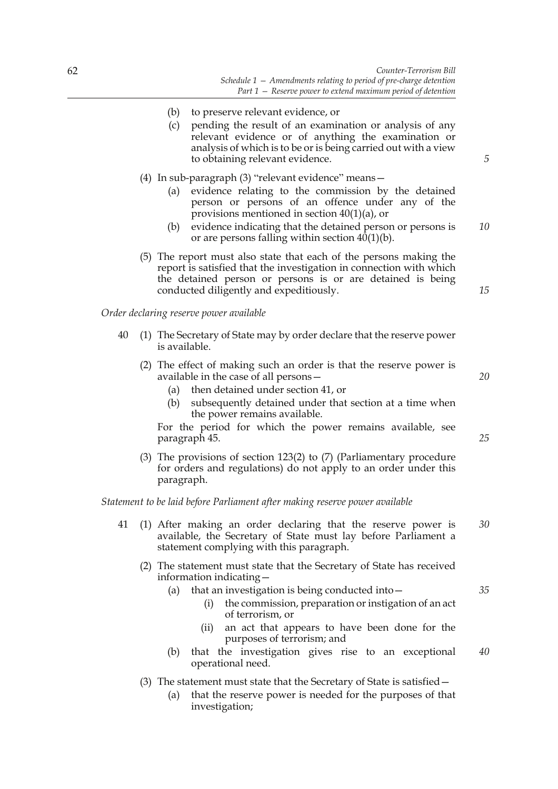- (b) to preserve relevant evidence, or
- (c) pending the result of an examination or analysis of any relevant evidence or of anything the examination or analysis of which is to be or is being carried out with a view to obtaining relevant evidence.
- (4) In sub-paragraph (3) "relevant evidence" means—
	- (a) evidence relating to the commission by the detained person or persons of an offence under any of the provisions mentioned in section 40(1)(a), or
	- (b) evidence indicating that the detained person or persons is or are persons falling within section  $40(1)(b)$ . *10*
- (5) The report must also state that each of the persons making the report is satisfied that the investigation in connection with which the detained person or persons is or are detained is being conducted diligently and expeditiously.

#### *Order declaring reserve power available*

- 40 (1) The Secretary of State may by order declare that the reserve power is available.
	- (2) The effect of making such an order is that the reserve power is available in the case of all persons—
		- (a) then detained under section 41, or
		- (b) subsequently detained under that section at a time when the power remains available.

For the period for which the power remains available, see paragraph 45.

(3) The provisions of section 123(2) to (7) (Parliamentary procedure for orders and regulations) do not apply to an order under this paragraph.

*Statement to be laid before Parliament after making reserve power available*

- 41 (1) After making an order declaring that the reserve power is available, the Secretary of State must lay before Parliament a statement complying with this paragraph. *30*
	- (2) The statement must state that the Secretary of State has received information indicating—
		- (a) that an investigation is being conducted into—
			- (i) the commission, preparation or instigation of an act of terrorism, or
			- (ii) an act that appears to have been done for the purposes of terrorism; and
		- (b) that the investigation gives rise to an exceptional operational need. *40*
	- (3) The statement must state that the Secretary of State is satisfied—
		- (a) that the reserve power is needed for the purposes of that investigation;

*25*

*20*

*15*

*5*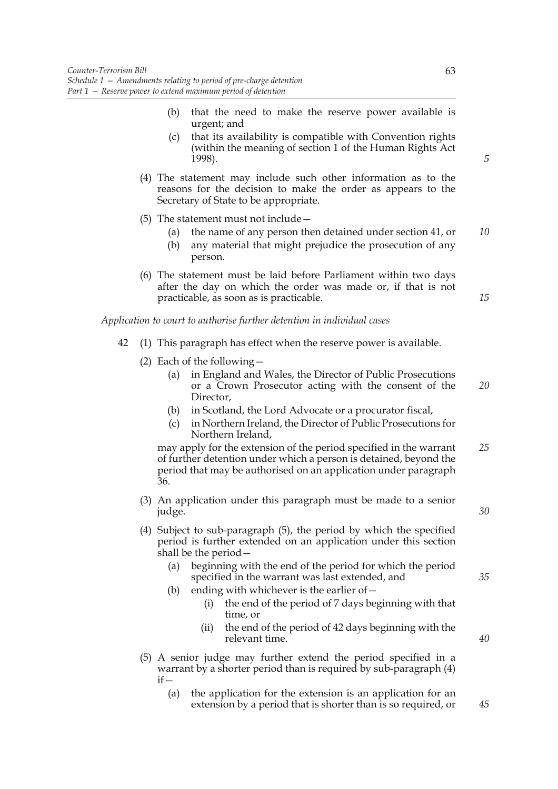- (b) that the need to make the reserve power available is urgent; and
- (c) that its availability is compatible with Convention rights (within the meaning of section 1 of the Human Rights Act 1998).
- (4) The statement may include such other information as to the reasons for the decision to make the order as appears to the Secretary of State to be appropriate.
- (5) The statement must not include—
	- (a) the name of any person then detained under section 41, or *10*
	- (b) any material that might prejudice the prosecution of any person.
- (6) The statement must be laid before Parliament within two days after the day on which the order was made or, if that is not practicable, as soon as is practicable.

*Application to court to authorise further detention in individual cases*

- 42 (1) This paragraph has effect when the reserve power is available.
	- (2) Each of the following—
		- (a) in England and Wales, the Director of Public Prosecutions or a Crown Prosecutor acting with the consent of the Director. *20*
		- (b) in Scotland, the Lord Advocate or a procurator fiscal,
		- (c) in Northern Ireland, the Director of Public Prosecutions for Northern Ireland,

may apply for the extension of the period specified in the warrant of further detention under which a person is detained, beyond the period that may be authorised on an application under paragraph 36. *25*

- (3) An application under this paragraph must be made to a senior judge.
- (4) Subject to sub-paragraph (5), the period by which the specified period is further extended on an application under this section shall be the period—
	- (a) beginning with the end of the period for which the period specified in the warrant was last extended, and
	- (b) ending with whichever is the earlier of  $-$ 
		- (i) the end of the period of 7 days beginning with that time, or
		- (ii) the end of the period of 42 days beginning with the relevant time.
- (5) A senior judge may further extend the period specified in a warrant by a shorter period than is required by sub-paragraph (4)  $if -$ 
	- (a) the application for the extension is an application for an extension by a period that is shorter than is so required, or *45*

*5*

*15*

*35*

*30*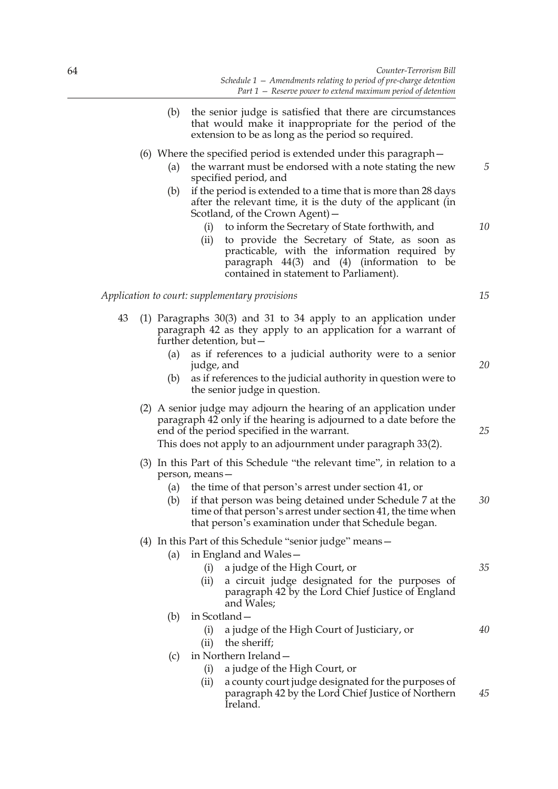- (b) the senior judge is satisfied that there are circumstances that would make it inappropriate for the period of the extension to be as long as the period so required.
- (6) Where the specified period is extended under this paragraph—
	- (a) the warrant must be endorsed with a note stating the new specified period, and
	- (b) if the period is extended to a time that is more than 28 days after the relevant time, it is the duty of the applicant (in Scotland, of the Crown Agent)—
		- (i) to inform the Secretary of State forthwith, and
		- (ii) to provide the Secretary of State, as soon as practicable, with the information required by paragraph 44(3) and (4) (information to be contained in statement to Parliament).

#### *Application to court: supplementary provisions*

- 43 (1) Paragraphs 30(3) and 31 to 34 apply to an application under paragraph 42 as they apply to an application for a warrant of further detention, but—
	- (a) as if references to a judicial authority were to a senior judge, and
	- (b) as if references to the judicial authority in question were to the senior judge in question.
	- (2) A senior judge may adjourn the hearing of an application under paragraph 42 only if the hearing is adjourned to a date before the end of the period specified in the warrant.

This does not apply to an adjournment under paragraph 33(2).

- (3) In this Part of this Schedule "the relevant time", in relation to a person, means—
	- (a) the time of that person's arrest under section 41, or
	- (b) if that person was being detained under Schedule 7 at the time of that person's arrest under section 41, the time when that person's examination under that Schedule began. *30*
- (4) In this Part of this Schedule "senior judge" means—
	- (a) in England and Wales—
		- (i) a judge of the High Court, or
		- (ii) a circuit judge designated for the purposes of paragraph 42 by the Lord Chief Justice of England and Wales;
	- (b) in Scotland—
		- (i) a judge of the High Court of Justiciary, or
		- (ii) the sheriff;
	- (c) in Northern Ireland—
		- (i) a judge of the High Court, or
		- (ii) a county court judge designated for the purposes of paragraph 42 by the Lord Chief Justice of Northern Ireland. *45*

*20*

*15*

*5*

*10*

- 
- *25*

*35*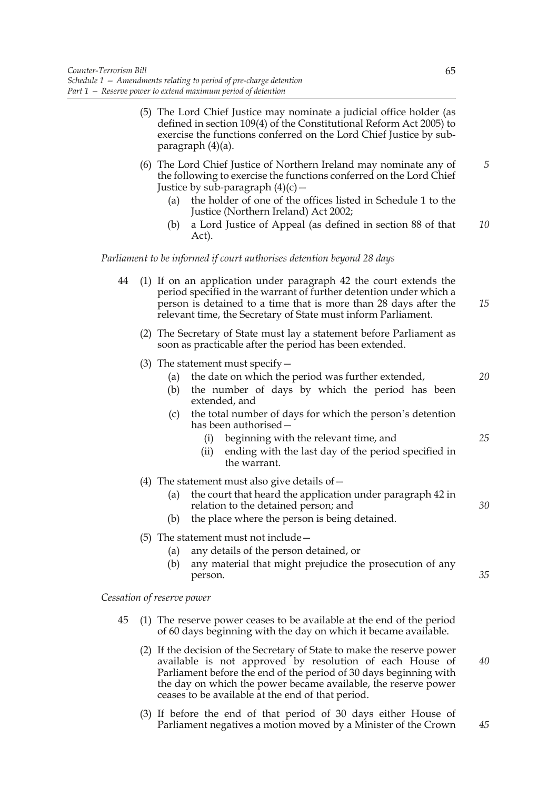- (5) The Lord Chief Justice may nominate a judicial office holder (as defined in section 109(4) of the Constitutional Reform Act 2005) to exercise the functions conferred on the Lord Chief Justice by subparagraph (4)(a).
- (6) The Lord Chief Justice of Northern Ireland may nominate any of the following to exercise the functions conferred on the Lord Chief Justice by sub-paragraph  $(4)(c)$  –
	- (a) the holder of one of the offices listed in Schedule 1 to the Justice (Northern Ireland) Act 2002;
	- (b) a Lord Justice of Appeal (as defined in section 88 of that Act). *10*

*Parliament to be informed if court authorises detention beyond 28 days*

| 44 | (1) If on an application under paragraph 42 the court extends the<br>period specified in the warrant of further detention under which a<br>person is detained to a time that is more than 28 days after the<br>relevant time, the Secretary of State must inform Parliament. |                                                                                                                                                                                                                          |    |
|----|------------------------------------------------------------------------------------------------------------------------------------------------------------------------------------------------------------------------------------------------------------------------------|--------------------------------------------------------------------------------------------------------------------------------------------------------------------------------------------------------------------------|----|
|    |                                                                                                                                                                                                                                                                              | (2) The Secretary of State must lay a statement before Parliament as<br>soon as practicable after the period has been extended.                                                                                          |    |
|    |                                                                                                                                                                                                                                                                              | (3) The statement must specify $-$<br>the date on which the period was further extended,<br>(a)<br>the number of days by which the period has been<br>(b)<br>extended, and                                               | 20 |
|    |                                                                                                                                                                                                                                                                              | the total number of days for which the person's detention<br>(c)<br>has been authorised -<br>beginning with the relevant time, and<br>(i)<br>ending with the last day of the period specified in<br>(ii)<br>the warrant. | 25 |
|    |                                                                                                                                                                                                                                                                              | (4) The statement must also give details of $-$                                                                                                                                                                          |    |
|    |                                                                                                                                                                                                                                                                              | the court that heard the application under paragraph 42 in<br>(a)<br>relation to the detained person; and<br>the place where the person is being detained.<br>(b)                                                        | 30 |
|    |                                                                                                                                                                                                                                                                              | $(5)$ The statement must not include $-$<br>any details of the person detained, or<br>(a)<br>any material that might prejudice the prosecution of any<br>(b)<br>person.                                                  | 35 |
|    |                                                                                                                                                                                                                                                                              | Cessation of reserve power                                                                                                                                                                                               |    |
| 45 |                                                                                                                                                                                                                                                                              | (1) The reserve power ceases to be available at the end of the period<br>of 60 days beginning with the day on which it became available.                                                                                 |    |

- (2) If the decision of the Secretary of State to make the reserve power available is not approved by resolution of each House of Parliament before the end of the period of 30 days beginning with the day on which the power became available, the reserve power ceases to be available at the end of that period. *40*
- (3) If before the end of that period of 30 days either House of Parliament negatives a motion moved by a Minister of the Crown *45*

65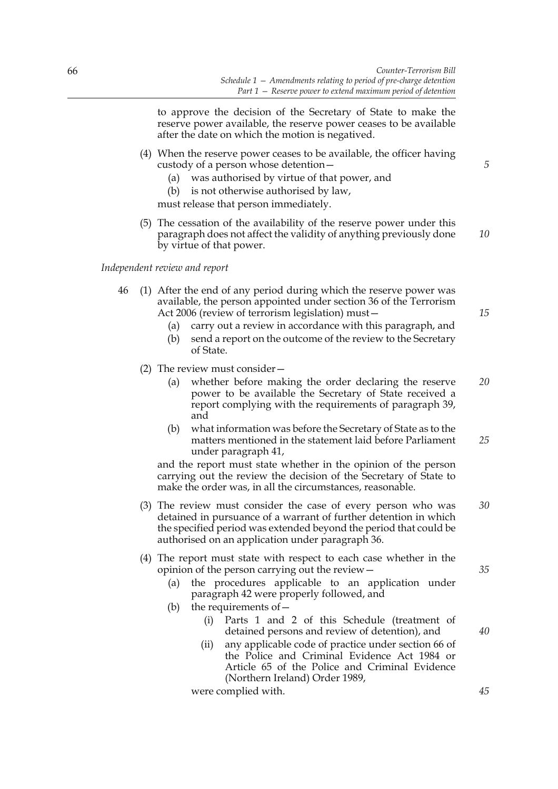to approve the decision of the Secretary of State to make the reserve power available, the reserve power ceases to be available after the date on which the motion is negatived.

- (4) When the reserve power ceases to be available, the officer having custody of a person whose detention—
	- (a) was authorised by virtue of that power, and
	- (b) is not otherwise authorised by law,

must release that person immediately.

(5) The cessation of the availability of the reserve power under this paragraph does not affect the validity of anything previously done by virtue of that power.

#### *Independent review and report*

- 46 (1) After the end of any period during which the reserve power was available, the person appointed under section 36 of the Terrorism Act 2006 (review of terrorism legislation) must—
	- (a) carry out a review in accordance with this paragraph, and
	- (b) send a report on the outcome of the review to the Secretary of State.
	- (2) The review must consider—
		- (a) whether before making the order declaring the reserve power to be available the Secretary of State received a report complying with the requirements of paragraph 39, and *20*
		- (b) what information was before the Secretary of State as to the matters mentioned in the statement laid before Parliament under paragraph 41, *25*

and the report must state whether in the opinion of the person carrying out the review the decision of the Secretary of State to make the order was, in all the circumstances, reasonable.

- (3) The review must consider the case of every person who was detained in pursuance of a warrant of further detention in which the specified period was extended beyond the period that could be authorised on an application under paragraph 36. *30*
- (4) The report must state with respect to each case whether in the opinion of the person carrying out the review—
	- (a) the procedures applicable to an application under paragraph 42 were properly followed, and
	- (b) the requirements of  $-$ 
		- (i) Parts 1 and 2 of this Schedule (treatment of detained persons and review of detention), and
		- (ii) any applicable code of practice under section 66 of the Police and Criminal Evidence Act 1984 or Article 65 of the Police and Criminal Evidence (Northern Ireland) Order 1989,

were complied with.

*15*

*5*

*10*

*35*

*45*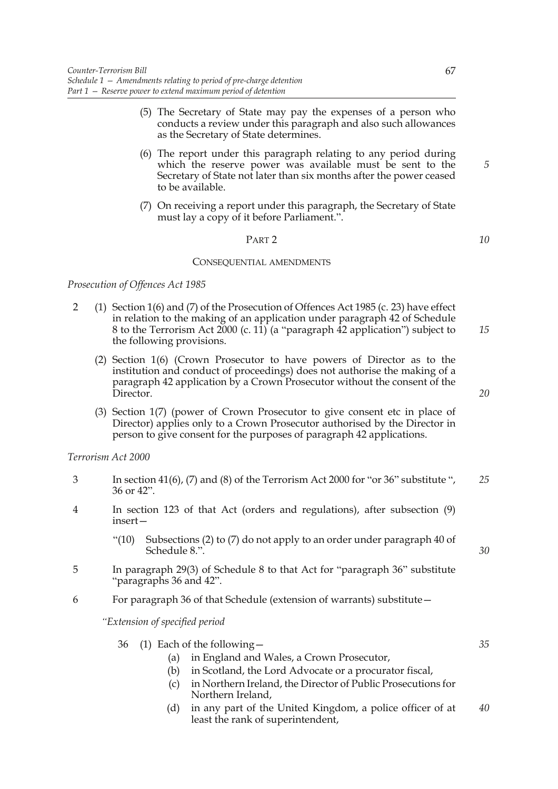- (5) The Secretary of State may pay the expenses of a person who conducts a review under this paragraph and also such allowances as the Secretary of State determines.
- (6) The report under this paragraph relating to any period during which the reserve power was available must be sent to the Secretary of State not later than six months after the power ceased to be available.
- (7) On receiving a report under this paragraph, the Secretary of State must lay a copy of it before Parliament.".

## PART 2

#### CONSEQUENTIAL AMENDMENTS

*Prosecution of Offences Act 1985*

- 2 (1) Section 1(6) and (7) of the Prosecution of Offences Act 1985 (c. 23) have effect in relation to the making of an application under paragraph 42 of Schedule 8 to the Terrorism Act  $2000$  (c. 11) (a "paragraph 42 application") subject to the following provisions. *15*
	- (2) Section 1(6) (Crown Prosecutor to have powers of Director as to the institution and conduct of proceedings) does not authorise the making of a paragraph 42 application by a Crown Prosecutor without the consent of the Director.
	- (3) Section 1(7) (power of Crown Prosecutor to give consent etc in place of Director) applies only to a Crown Prosecutor authorised by the Director in person to give consent for the purposes of paragraph 42 applications.

## *Terrorism Act 2000*

- 3 In section 41(6), (7) and (8) of the Terrorism Act 2000 for "or 36" substitute ", 36 or 42". *25*
- 4 In section 123 of that Act (orders and regulations), after subsection (9) insert—
	- "(10) Subsections (2) to (7) do not apply to an order under paragraph 40 of Schedule 8.".
- 5 In paragraph 29(3) of Schedule 8 to that Act for "paragraph 36" substitute "paragraphs 36 and 42".
- 6 For paragraph 36 of that Schedule (extension of warrants) substitute—

*"Extension of specified period* 

|  | 36 (1) Each of the following - |  |  |               |  |  |  |
|--|--------------------------------|--|--|---------------|--|--|--|
|  |                                |  |  | - - - - - - - |  |  |  |

- (a) in England and Wales, a Crown Prosecutor,
- (b) in Scotland, the Lord Advocate or a procurator fiscal,
- (c) in Northern Ireland, the Director of Public Prosecutions for Northern Ireland,
- (d) in any part of the United Kingdom, a police officer of at least the rank of superintendent, *40*

*5*

*10*

*20*

*30*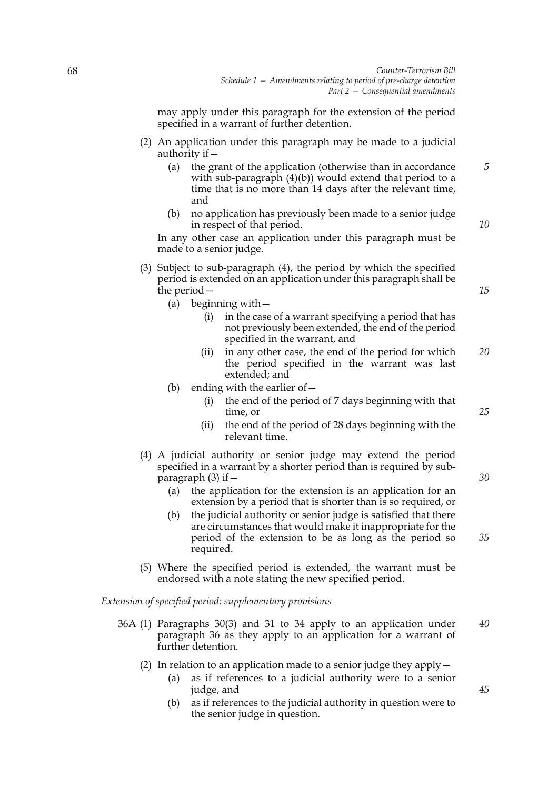may apply under this paragraph for the extension of the period specified in a warrant of further detention.

- (2) An application under this paragraph may be made to a judicial authority if—
	- (a) the grant of the application (otherwise than in accordance with sub-paragraph (4)(b)) would extend that period to a time that is no more than 14 days after the relevant time, and
	- (b) no application has previously been made to a senior judge in respect of that period.

In any other case an application under this paragraph must be made to a senior judge.

- (3) Subject to sub-paragraph (4), the period by which the specified period is extended on an application under this paragraph shall be the period—
	- (a) beginning with—
		- (i) in the case of a warrant specifying a period that has not previously been extended, the end of the period specified in the warrant, and
		- (ii) in any other case, the end of the period for which the period specified in the warrant was last extended; and *20*
	- (b) ending with the earlier of  $-$ 
		- (i) the end of the period of 7 days beginning with that time, or
		- (ii) the end of the period of 28 days beginning with the relevant time.
- (4) A judicial authority or senior judge may extend the period specified in a warrant by a shorter period than is required by subparagraph (3) if—
	- (a) the application for the extension is an application for an extension by a period that is shorter than is so required, or
	- (b) the judicial authority or senior judge is satisfied that there are circumstances that would make it inappropriate for the period of the extension to be as long as the period so required.
- (5) Where the specified period is extended, the warrant must be endorsed with a note stating the new specified period.

*Extension of specified period: supplementary provisions*

- 36A (1) Paragraphs 30(3) and 31 to 34 apply to an application under paragraph 36 as they apply to an application for a warrant of further detention. *40*
	- (2) In relation to an application made to a senior judge they apply  $-$ 
		- (a) as if references to a judicial authority were to a senior judge, and
		- (b) as if references to the judicial authority in question were to the senior judge in question.

*25*

*5*

*10*

*15*

*30*

*35*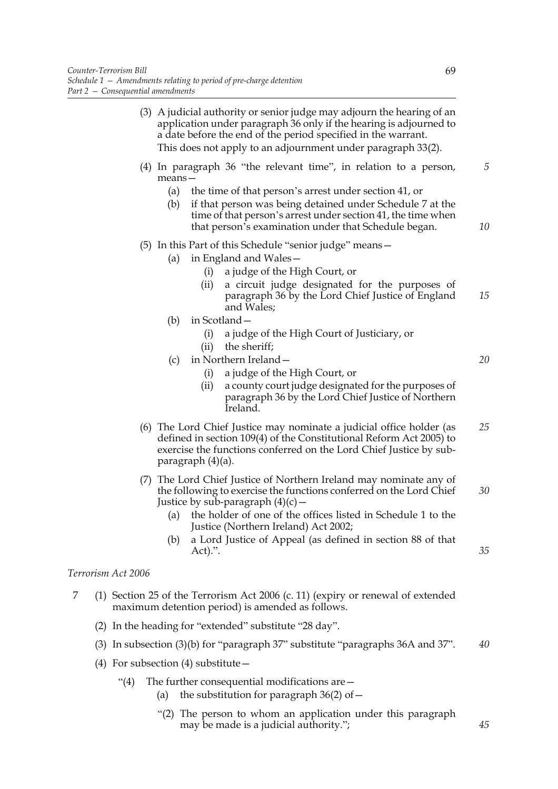$Terrorism$ 

|   |                   | (3) A judicial authority or senior judge may adjourn the hearing of an<br>application under paragraph 36 only if the hearing is adjourned to<br>a date before the end of the period specified in the warrant.<br>This does not apply to an adjournment under paragraph 33(2).                                                                |         |
|---|-------------------|----------------------------------------------------------------------------------------------------------------------------------------------------------------------------------------------------------------------------------------------------------------------------------------------------------------------------------------------|---------|
|   |                   | $(4)$ In paragraph 36 "the relevant time", in relation to a person,<br>$means -$<br>(a)<br>the time of that person's arrest under section 41, or<br>if that person was being detained under Schedule 7 at the<br>(b)<br>time of that person's arrest under section 41, the time when<br>that person's examination under that Schedule began. | 5<br>10 |
|   |                   | (5) In this Part of this Schedule "senior judge" means -<br>in England and Wales-<br>(a)<br>a judge of the High Court, or<br>(i)<br>a circuit judge designated for the purposes of<br>(ii)<br>paragraph 36 by the Lord Chief Justice of England<br>and Wales;                                                                                | 15      |
|   |                   | in Scotland-<br>(b)<br>(i)<br>a judge of the High Court of Justiciary, or<br>the sheriff;<br>(ii)<br>in Northern Ireland-<br>(c)<br>a judge of the High Court, or<br>(i)                                                                                                                                                                     | 20      |
|   |                   | a county court judge designated for the purposes of<br>(ii)<br>paragraph 36 by the Lord Chief Justice of Northern<br>Ireland.                                                                                                                                                                                                                |         |
|   |                   | (6) The Lord Chief Justice may nominate a judicial office holder (as<br>defined in section 109(4) of the Constitutional Reform Act 2005) to<br>exercise the functions conferred on the Lord Chief Justice by sub-<br>paragraph (4)(a).                                                                                                       | 25      |
|   |                   | (7) The Lord Chief Justice of Northern Ireland may nominate any of<br>the following to exercise the functions conferred on the Lord Chief<br>Justice by sub-paragraph $(4)(c)$ –<br>the holder of one of the offices listed in Schedule 1 to the<br>(a)<br>Justice (Northern Ireland) Act 2002;                                              | 30      |
|   |                   | a Lord Justice of Appeal (as defined in section 88 of that<br>(b)<br>Act).".                                                                                                                                                                                                                                                                 | 35      |
|   | errorism Act 2006 |                                                                                                                                                                                                                                                                                                                                              |         |
| 7 |                   | (1) Section 25 of the Terrorism Act 2006 (c. 11) (expiry or renewal of extended<br>maximum detention period) is amended as follows.                                                                                                                                                                                                          |         |
|   |                   | (2) In the heading for "extended" substitute "28 day".                                                                                                                                                                                                                                                                                       |         |
|   | (3)               | In subsection $(3)(b)$ for "paragraph 37" substitute "paragraphs 36A and 37".                                                                                                                                                                                                                                                                | 40      |
|   |                   | (4) For subsection (4) substitute $-$                                                                                                                                                                                                                                                                                                        |         |
|   | (4)               | The further consequential modifications are –<br>the substitution for paragraph $36(2)$ of $-$<br>(a)                                                                                                                                                                                                                                        |         |

 "(2) The person to whom an application under this paragraph may be made is a judicial authority.";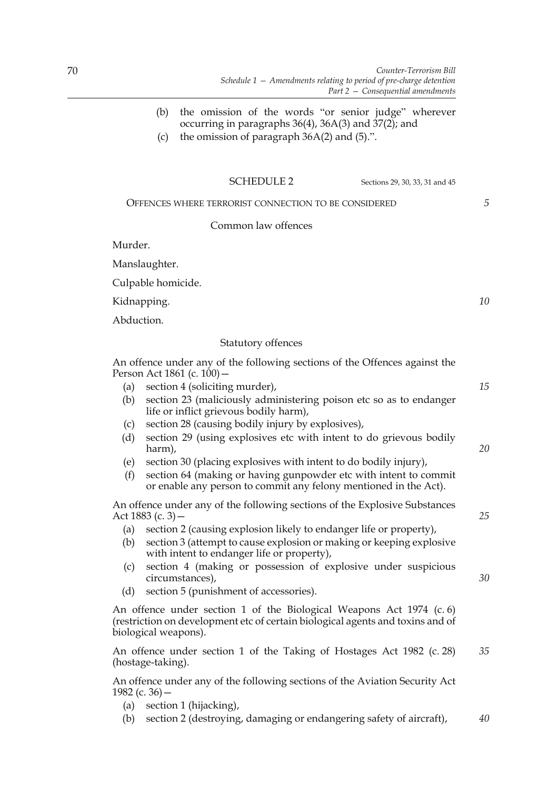- (b) the omission of the words "or senior judge" wherever occurring in paragraphs 36(4), 36A(3) and 37(2); and
- (c) the omission of paragraph  $36A(2)$  and  $(5)$ .".

OFFENCES WHERE TERRORIST CONNECTION TO BE CONSIDERED

## Common law offences

Murder.

Manslaughter.

Culpable homicide.

Kidnapping.

Abduction.

## Statutory offences

An offence under any of the following sections of the Offences against the Person Act 1861 (c. 100) –

- (a) section 4 (soliciting murder),
- (b) section 23 (maliciously administering poison etc so as to endanger life or inflict grievous bodily harm),
- (c) section 28 (causing bodily injury by explosives),
- (d) section 29 (using explosives etc with intent to do grievous bodily harm),
- (e) section 30 (placing explosives with intent to do bodily injury),
- (f) section 64 (making or having gunpowder etc with intent to commit or enable any person to commit any felony mentioned in the Act).

An offence under any of the following sections of the Explosive Substances Act 1883 (c. 3)—

- (a) section 2 (causing explosion likely to endanger life or property),
- (b) section 3 (attempt to cause explosion or making or keeping explosive with intent to endanger life or property),
- (c) section 4 (making or possession of explosive under suspicious circumstances),
- (d) section 5 (punishment of accessories).

An offence under section 1 of the Biological Weapons Act 1974 (c. 6) (restriction on development etc of certain biological agents and toxins and of biological weapons).

An offence under section 1 of the Taking of Hostages Act 1982 (c. 28) (hostage-taking). *35*

An offence under any of the following sections of the Aviation Security Act 1982 (c. 36)  $-$ 

- (a) section 1 (hijacking),
- (b) section 2 (destroying, damaging or endangering safety of aircraft), *40*

*15*

*5*

*10*

*25*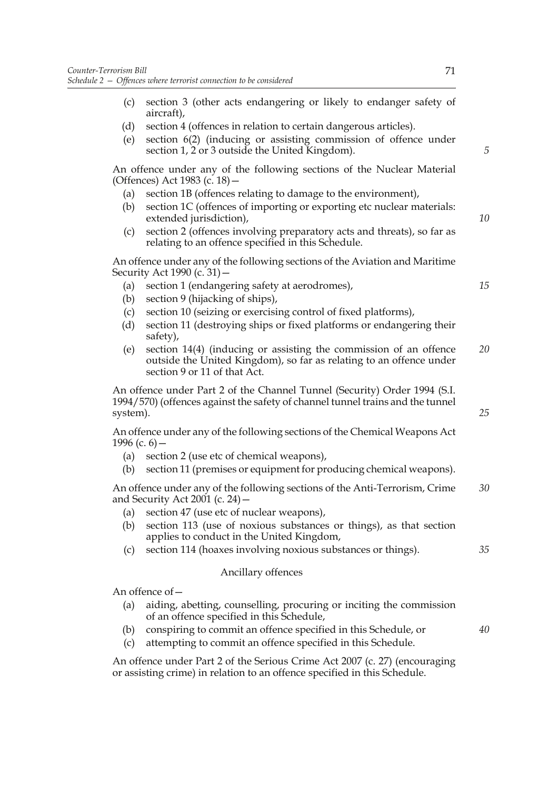- (c) section 3 (other acts endangering or likely to endanger safety of aircraft),
- (d) section 4 (offences in relation to certain dangerous articles).
- (e) section 6(2) (inducing or assisting commission of offence under section 1, 2 or 3 outside the United Kingdom).

An offence under any of the following sections of the Nuclear Material (Offences) Act 1983 (c. 18)—

- (a) section 1B (offences relating to damage to the environment),
- (b) section 1C (offences of importing or exporting etc nuclear materials: extended jurisdiction),
- (c) section 2 (offences involving preparatory acts and threats), so far as relating to an offence specified in this Schedule.

An offence under any of the following sections of the Aviation and Maritime Security Act 1990 (c. 31)—

- (a) section 1 (endangering safety at aerodromes),
- (b) section 9 (hijacking of ships),
- (c) section 10 (seizing or exercising control of fixed platforms),
- (d) section 11 (destroying ships or fixed platforms or endangering their safety),
- (e) section 14(4) (inducing or assisting the commission of an offence outside the United Kingdom), so far as relating to an offence under section 9 or 11 of that Act. *20*

An offence under Part 2 of the Channel Tunnel (Security) Order 1994 (S.I. 1994/570) (offences against the safety of channel tunnel trains and the tunnel system).

An offence under any of the following sections of the Chemical Weapons Act 1996 (c.  $6$ ) –

- (a) section 2 (use etc of chemical weapons),
- (b) section 11 (premises or equipment for producing chemical weapons).

An offence under any of the following sections of the Anti-Terrorism, Crime and Security Act 2001 (c. 24) $-$ *30*

- (a) section 47 (use etc of nuclear weapons),
- (b) section 113 (use of noxious substances or things), as that section applies to conduct in the United Kingdom,
- (c) section 114 (hoaxes involving noxious substances or things).

## Ancillary offences

An offence of—

- (a) aiding, abetting, counselling, procuring or inciting the commission of an offence specified in this Schedule,
- (b) conspiring to commit an offence specified in this Schedule, or
- (c) attempting to commit an offence specified in this Schedule.

An offence under Part 2 of the Serious Crime Act 2007 (c. 27) (encouraging or assisting crime) in relation to an offence specified in this Schedule.

*5*

*10*

*15*

*25*

*35*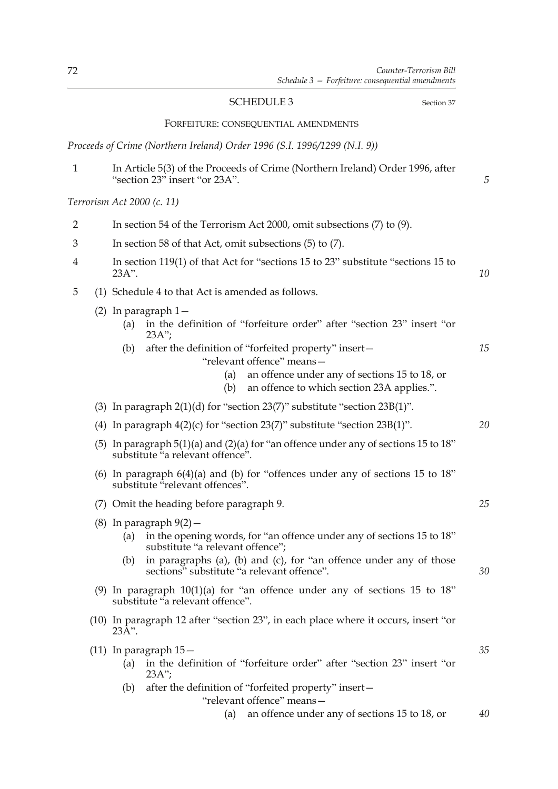|                            |            | <b>SCHEDULE 3</b><br>Section 37                                                                                                                                      |    |
|----------------------------|------------|----------------------------------------------------------------------------------------------------------------------------------------------------------------------|----|
|                            |            | FORFEITURE: CONSEQUENTIAL AMENDMENTS                                                                                                                                 |    |
|                            |            | Proceeds of Crime (Northern Ireland) Order 1996 (S.I. 1996/1299 (N.I. 9))                                                                                            |    |
| $\mathbf{1}$               |            | In Article 5(3) of the Proceeds of Crime (Northern Ireland) Order 1996, after<br>"section 23" insert "or 23A".                                                       | 5  |
| Terrorism Act 2000 (c. 11) |            |                                                                                                                                                                      |    |
| $\overline{2}$             |            | In section 54 of the Terrorism Act 2000, omit subsections $(7)$ to $(9)$ .                                                                                           |    |
| 3                          |            | In section 58 of that Act, omit subsections (5) to (7).                                                                                                              |    |
| 4                          | 23A".      | In section 119(1) of that Act for "sections 15 to 23" substitute "sections 15 to                                                                                     | 10 |
| 5                          |            | (1) Schedule 4 to that Act is amended as follows.                                                                                                                    |    |
|                            | (a)<br>(b) | $(2)$ In paragraph $1-$<br>in the definition of "forfeiture order" after "section 23" insert "or<br>$23A$ ";<br>after the definition of "forfeited property" insert- | 15 |
|                            |            | "relevant offence" means-<br>an offence under any of sections 15 to 18, or<br>(a)<br>an offence to which section 23A applies.".<br>(b)                               |    |
|                            |            | (3) In paragraph $2(1)(d)$ for "section $23(7)$ " substitute "section $23B(1)$ ".                                                                                    |    |
|                            |            | (4) In paragraph $4(2)(c)$ for "section $23(7)$ " substitute "section $23B(1)$ ".                                                                                    | 20 |
|                            |            | (5) In paragraph $5(1)(a)$ and $(2)(a)$ for "an offence under any of sections 15 to 18"<br>substitute "a relevant offence".                                          |    |
|                            |            | (6) In paragraph $6(4)(a)$ and (b) for "offences under any of sections 15 to 18"<br>substitute "relevant offences".                                                  |    |
|                            |            | (7) Omit the heading before paragraph 9.                                                                                                                             | 25 |
|                            | (a)        | $(8)$ In paragraph $9(2)$ -<br>in the opening words, for "an offence under any of sections 15 to 18"<br>substitute "a relevant offence";                             |    |
|                            | (b)        | in paragraphs (a), (b) and (c), for "an offence under any of those<br>sections" substitute "a relevant offence".                                                     | 30 |
|                            |            | (9) In paragraph $10(1)(a)$ for "an offence under any of sections 15 to 18"<br>substitute "a relevant offence".                                                      |    |
|                            | 23A".      | (10) In paragraph 12 after "section 23", in each place where it occurs, insert "or                                                                                   |    |
|                            | (a)        | $(11)$ In paragraph $15-$<br>in the definition of "forfeiture order" after "section 23" insert "or<br>$23A$ ";                                                       | 35 |
|                            | (b)        | after the definition of "forfeited property" insert-<br>"relevant offence" means-                                                                                    |    |
|                            |            | an offence under any of sections 15 to 18, or<br>(a)                                                                                                                 | 40 |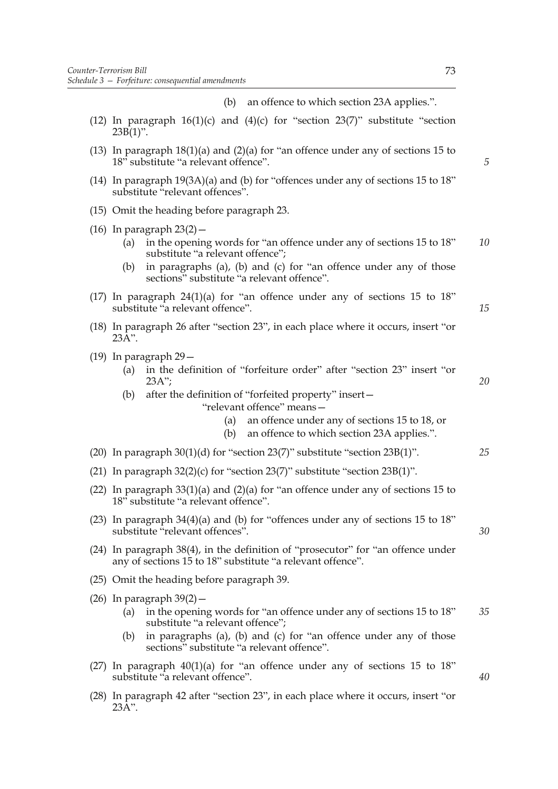(b) an offence to which section 23A applies.".

- (12) In paragraph  $16(1)(c)$  and  $(4)(c)$  for "section 23(7)" substitute "section  $23B(1)$ ".
- (13) In paragraph 18(1)(a) and (2)(a) for "an offence under any of sections 15 to 18<sup>"</sup> substitute "a relevant offence".
- (14) In paragraph 19(3A)(a) and (b) for "offences under any of sections 15 to 18" substitute "relevant offences".
- (15) Omit the heading before paragraph 23.
- (16) In paragraph  $23(2)$  -
	- (a) in the opening words for "an offence under any of sections 15 to 18" substitute "a relevant offence"; *10*
	- (b) in paragraphs (a), (b) and (c) for "an offence under any of those sections" substitute "a relevant offence".
- (17) In paragraph  $24(1)(a)$  for "an offence under any of sections 15 to 18" substitute "a relevant offence".
- (18) In paragraph 26 after "section 23", in each place where it occurs, insert "or  $23\overline{A}$ ".
- (19) In paragraph 29—
	- (a) in the definition of "forfeiture order" after "section 23" insert "or 23A";
	- (b) after the definition of "forfeited property" insert—

"relevant offence" means—

- (a) an offence under any of sections 15 to 18, or
- (b) an offence to which section 23A applies.".
- (20) In paragraph 30(1)(d) for "section 23(7)" substitute "section 23B(1)".
- (21) In paragraph  $32(2)(c)$  for "section  $23(7)$ " substitute "section  $23B(1)$ ".
- (22) In paragraph 33(1)(a) and (2)(a) for "an offence under any of sections 15 to 18" substitute "a relevant offence".
- (23) In paragraph 34(4)(a) and (b) for "offences under any of sections 15 to 18" substitute "relevant offences".
- (24) In paragraph 38(4), in the definition of "prosecutor" for "an offence under any of sections 15 to 18" substitute "a relevant offence".
- (25) Omit the heading before paragraph 39.
- (26) In paragraph 39(2)—
	- (a) in the opening words for "an offence under any of sections 15 to 18" substitute "a relevant offence"; *35*
	- (b) in paragraphs (a), (b) and (c) for "an offence under any of those sections" substitute "a relevant offence".
- (27) In paragraph  $40(1)(a)$  for "an offence under any of sections 15 to 18" substitute "a relevant offence".
- (28) In paragraph 42 after "section 23", in each place where it occurs, insert "or 23A".

*5*

*15*

*20*

*25*

*30*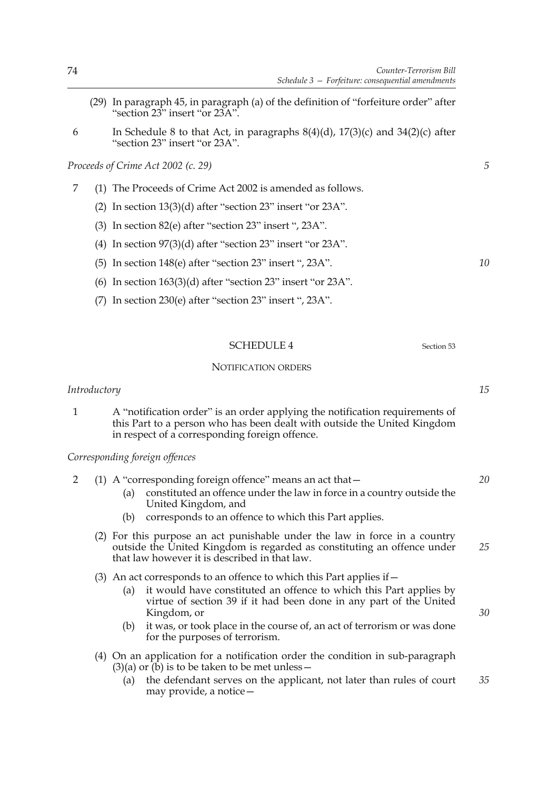- (29) In paragraph 45, in paragraph (a) of the definition of "forfeiture order" after "section 23" insert "or 23A".
- 6 In Schedule 8 to that Act, in paragraphs  $8(4)(d)$ ,  $17(3)(c)$  and  $34(2)(c)$  after "section 23" insert "or 23A".

## *Proceeds of Crime Act 2002 (c. 29)*

- 7 (1) The Proceeds of Crime Act 2002 is amended as follows.
	- (2) In section 13(3)(d) after "section 23" insert "or 23A".
	- (3) In section 82(e) after "section 23" insert ", 23A".
	- (4) In section 97(3)(d) after "section 23" insert "or 23A".
	- (5) In section 148(e) after "section 23" insert ", 23A".
	- (6) In section  $163(3)(d)$  after "section  $23$ " insert "or  $23A$ ".
	- (7) In section 230(e) after "section 23" insert ", 23A".

# SCHEDULE 4 Section 53

## NOTIFICATION ORDERS

## *Introductory*

1 A "notification order" is an order applying the notification requirements of this Part to a person who has been dealt with outside the United Kingdom in respect of a corresponding foreign offence.

# *Corresponding foreign offences*

- 2 (1) A "corresponding foreign offence" means an act that— (a) constituted an offence under the law in force in a country outside the United Kingdom, and *20*
	- (b) corresponds to an offence to which this Part applies.
	- (2) For this purpose an act punishable under the law in force in a country outside the United Kingdom is regarded as constituting an offence under that law however it is described in that law. *25*
	- (3) An act corresponds to an offence to which this Part applies if  $-$ 
		- (a) it would have constituted an offence to which this Part applies by virtue of section 39 if it had been done in any part of the United Kingdom, or
		- (b) it was, or took place in the course of, an act of terrorism or was done for the purposes of terrorism.
	- (4) On an application for a notification order the condition in sub-paragraph  $(3)(a)$  or  $(b)$  is to be taken to be met unless –
		- (a) the defendant serves on the applicant, not later than rules of court may provide, a notice— *35*

*5*

*10*

*15*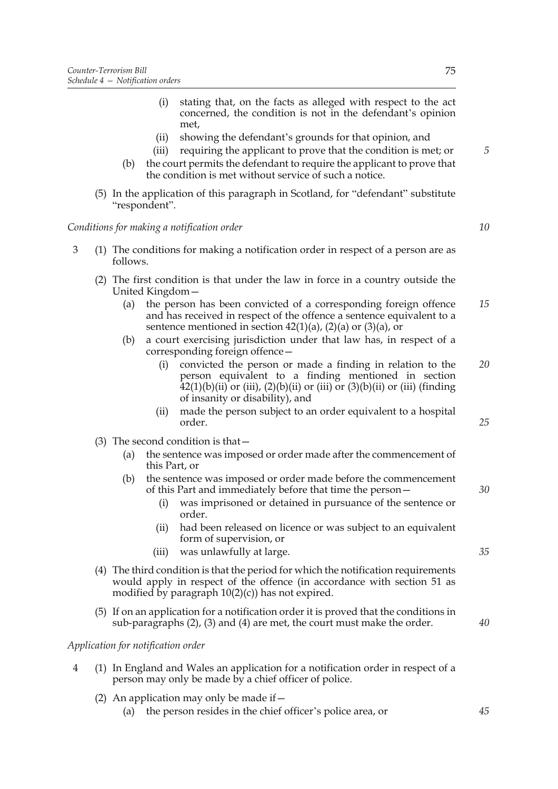- (i) stating that, on the facts as alleged with respect to the act concerned, the condition is not in the defendant's opinion met,
- (ii) showing the defendant's grounds for that opinion, and
- (iii) requiring the applicant to prove that the condition is met; or
- (b) the court permits the defendant to require the applicant to prove that the condition is met without service of such a notice.
- (5) In the application of this paragraph in Scotland, for "defendant" substitute "respondent".

# *Conditions for making a notification order*

- 3 (1) The conditions for making a notification order in respect of a person are as follows.
	- (2) The first condition is that under the law in force in a country outside the United Kingdom—
		- (a) the person has been convicted of a corresponding foreign offence and has received in respect of the offence a sentence equivalent to a sentence mentioned in section  $42(1)(a)$ ,  $(2)(a)$  or  $(3)(a)$ , or *15*
		- (b) a court exercising jurisdiction under that law has, in respect of a corresponding foreign offence—
			- (i) convicted the person or made a finding in relation to the person equivalent to a finding mentioned in section  $\overline{42(1)}$ (b)(ii) or (iii), (2)(b)(ii) or (iii) or (3)(b)(ii) or (iii) (finding of insanity or disability), and *20*
			- (ii) made the person subject to an order equivalent to a hospital order.
	- (3) The second condition is that—
		- (a) the sentence was imposed or order made after the commencement of this Part, or
		- (b) the sentence was imposed or order made before the commencement of this Part and immediately before that time the person—
			- (i) was imprisoned or detained in pursuance of the sentence or order.
			- (ii) had been released on licence or was subject to an equivalent form of supervision, or
			- (iii) was unlawfully at large.
	- (4) The third condition is that the period for which the notification requirements would apply in respect of the offence (in accordance with section 51 as modified by paragraph  $10(2)(c)$ ) has not expired.
	- (5) If on an application for a notification order it is proved that the conditions in sub-paragraphs (2), (3) and (4) are met, the court must make the order.

*Application for notification order*

- 4 (1) In England and Wales an application for a notification order in respect of a person may only be made by a chief officer of police.
	- (2) An application may only be made if  $-$ 
		- (a) the person resides in the chief officer's police area, or

*35*

*25*

*30*

- *40*
- *45*

*10*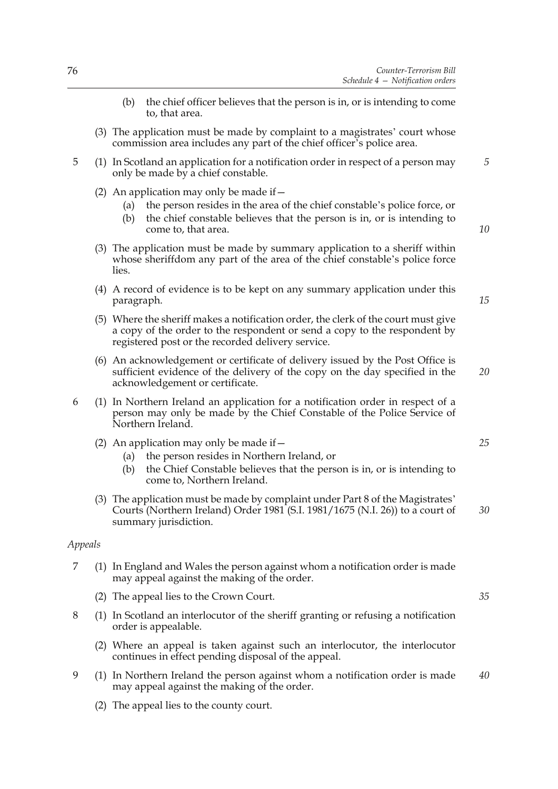- (b) the chief officer believes that the person is in, or is intending to come to, that area.
- (3) The application must be made by complaint to a magistrates' court whose commission area includes any part of the chief officer's police area.
- 5 (1) In Scotland an application for a notification order in respect of a person may only be made by a chief constable.
	- (2) An application may only be made if  $-$ 
		- (a) the person resides in the area of the chief constable's police force, or
		- (b) the chief constable believes that the person is in, or is intending to come to, that area.
	- (3) The application must be made by summary application to a sheriff within whose sheriffdom any part of the area of the chief constable's police force lies.
	- (4) A record of evidence is to be kept on any summary application under this paragraph.
	- (5) Where the sheriff makes a notification order, the clerk of the court must give a copy of the order to the respondent or send a copy to the respondent by registered post or the recorded delivery service.
	- (6) An acknowledgement or certificate of delivery issued by the Post Office is sufficient evidence of the delivery of the copy on the day specified in the acknowledgement or certificate.
- 6 (1) In Northern Ireland an application for a notification order in respect of a person may only be made by the Chief Constable of the Police Service of Northern Ireland.
	- (2) An application may only be made if  $-$ 
		- (a) the person resides in Northern Ireland, or
		- (b) the Chief Constable believes that the person is in, or is intending to come to, Northern Ireland.
	- (3) The application must be made by complaint under Part 8 of the Magistrates' Courts (Northern Ireland) Order 1981 (S.I. 1981/1675 (N.I. 26)) to a court of summary jurisdiction. *30*

## *Appeals*

- 7 (1) In England and Wales the person against whom a notification order is made may appeal against the making of the order.
	- (2) The appeal lies to the Crown Court.
- 8 (1) In Scotland an interlocutor of the sheriff granting or refusing a notification order is appealable.
	- (2) Where an appeal is taken against such an interlocutor, the interlocutor continues in effect pending disposal of the appeal.
- 9 (1) In Northern Ireland the person against whom a notification order is made may appeal against the making of the order. *40*
	- (2) The appeal lies to the county court.

*25*

*5*

*10*

*15*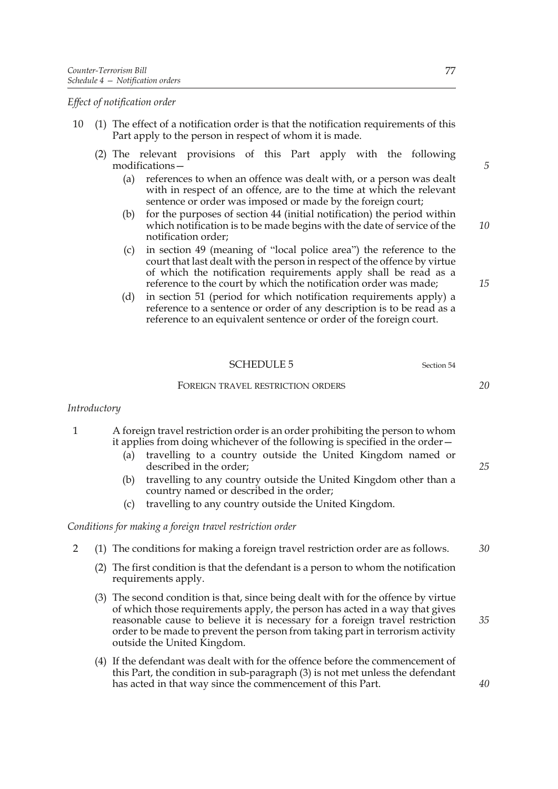*Effect of notification order*

- 10 (1) The effect of a notification order is that the notification requirements of this Part apply to the person in respect of whom it is made.
	- (2) The relevant provisions of this Part apply with the following modifications—
		- (a) references to when an offence was dealt with, or a person was dealt with in respect of an offence, are to the time at which the relevant sentence or order was imposed or made by the foreign court;
		- (b) for the purposes of section 44 (initial notification) the period within which notification is to be made begins with the date of service of the notification order;
		- (c) in section 49 (meaning of "local police area") the reference to the court that last dealt with the person in respect of the offence by virtue of which the notification requirements apply shall be read as a reference to the court by which the notification order was made;
		- (d) in section 51 (period for which notification requirements apply) a reference to a sentence or order of any description is to be read as a reference to an equivalent sentence or order of the foreign court.

| <b>SCHEDULE 5</b><br>Section 54 |
|---------------------------------|
|---------------------------------|

#### FOREIGN TRAVEL RESTRICTION ORDERS

## *Introductory*

- 1 A foreign travel restriction order is an order prohibiting the person to whom it applies from doing whichever of the following is specified in the order—
	- (a) travelling to a country outside the United Kingdom named or described in the order;
	- (b) travelling to any country outside the United Kingdom other than a country named or described in the order;
	- (c) travelling to any country outside the United Kingdom.

## *Conditions for making a foreign travel restriction order*

- 2 (1) The conditions for making a foreign travel restriction order are as follows.
	- (2) The first condition is that the defendant is a person to whom the notification requirements apply.
	- (3) The second condition is that, since being dealt with for the offence by virtue of which those requirements apply, the person has acted in a way that gives reasonable cause to believe it is necessary for a foreign travel restriction order to be made to prevent the person from taking part in terrorism activity outside the United Kingdom.
	- (4) If the defendant was dealt with for the offence before the commencement of this Part, the condition in sub-paragraph (3) is not met unless the defendant has acted in that way since the commencement of this Part.

*5*

*10*

*15*

*25*

*20*

*35*

*40*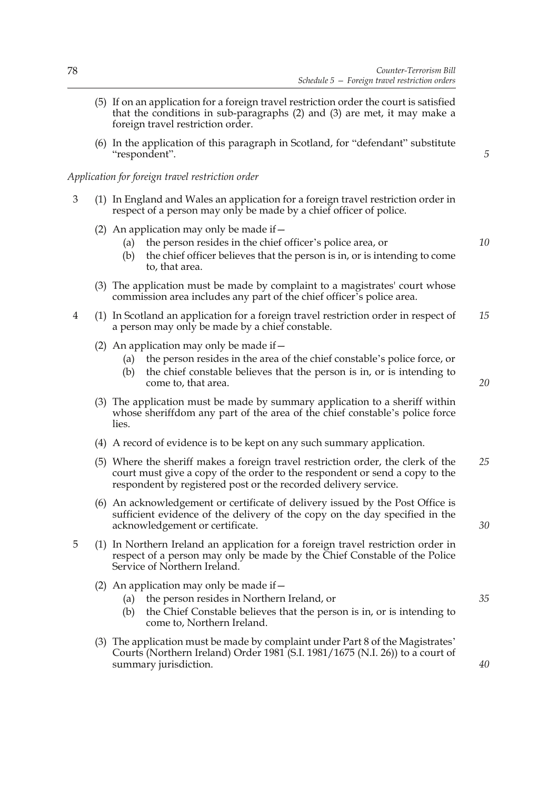- (5) If on an application for a foreign travel restriction order the court is satisfied that the conditions in sub-paragraphs (2) and (3) are met, it may make a foreign travel restriction order.
- (6) In the application of this paragraph in Scotland, for "defendant" substitute "respondent".

*5*

*10*

## *Application for foreign travel restriction order*

- 3 (1) In England and Wales an application for a foreign travel restriction order in respect of a person may only be made by a chief officer of police.
	- (2) An application may only be made if  $-$ 
		- (a) the person resides in the chief officer's police area, or
		- (b) the chief officer believes that the person is in, or is intending to come to, that area.
	- (3) The application must be made by complaint to a magistrates' court whose commission area includes any part of the chief officer's police area.
- 4 (1) In Scotland an application for a foreign travel restriction order in respect of a person may only be made by a chief constable. *15*
	- (2) An application may only be made if  $-$ 
		- (a) the person resides in the area of the chief constable's police force, or
		- (b) the chief constable believes that the person is in, or is intending to come to, that area.
	- (3) The application must be made by summary application to a sheriff within whose sheriffdom any part of the area of the chief constable's police force lies.
	- (4) A record of evidence is to be kept on any such summary application.
	- (5) Where the sheriff makes a foreign travel restriction order, the clerk of the court must give a copy of the order to the respondent or send a copy to the respondent by registered post or the recorded delivery service. *25*
	- (6) An acknowledgement or certificate of delivery issued by the Post Office is sufficient evidence of the delivery of the copy on the day specified in the acknowledgement or certificate.
- 5 (1) In Northern Ireland an application for a foreign travel restriction order in respect of a person may only be made by the Chief Constable of the Police Service of Northern Ireland.
	- (2) An application may only be made if  $-$ 
		- (a) the person resides in Northern Ireland, or
		- (b) the Chief Constable believes that the person is in, or is intending to come to, Northern Ireland.
	- (3) The application must be made by complaint under Part 8 of the Magistrates' Courts (Northern Ireland) Order 1981 (S.I. 1981/1675 (N.I. 26)) to a court of summary jurisdiction.

*20*

*30*

*35*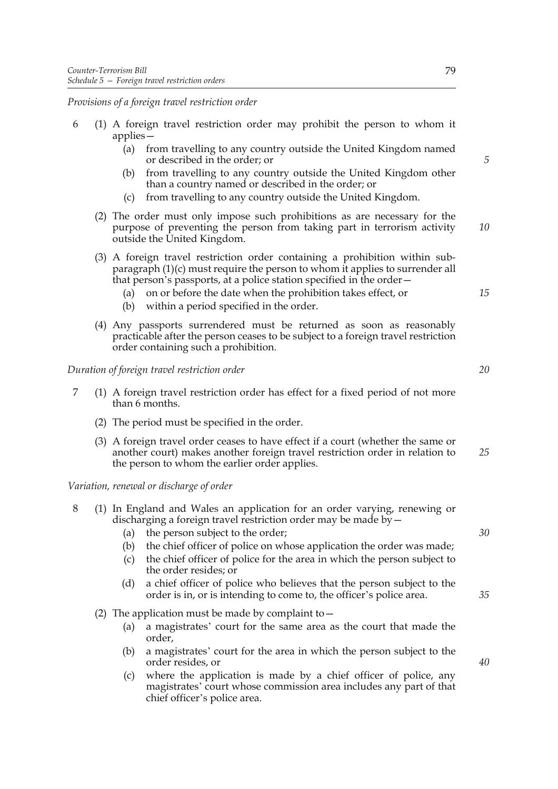*Provisions of a foreign travel restriction order*

|  |            | 6 (1) A foreign travel restriction order may prohibit the person to whom it |  |  |  |  |
|--|------------|-----------------------------------------------------------------------------|--|--|--|--|
|  | $applies-$ |                                                                             |  |  |  |  |

- (a) from travelling to any country outside the United Kingdom named or described in the order; or
- (b) from travelling to any country outside the United Kingdom other than a country named or described in the order; or
- (c) from travelling to any country outside the United Kingdom.
- (2) The order must only impose such prohibitions as are necessary for the purpose of preventing the person from taking part in terrorism activity outside the United Kingdom.
- (3) A foreign travel restriction order containing a prohibition within subparagraph (1)(c) must require the person to whom it applies to surrender all that person's passports, at a police station specified in the order—
	- (a) on or before the date when the prohibition takes effect, or
	- (b) within a period specified in the order.
- (4) Any passports surrendered must be returned as soon as reasonably practicable after the person ceases to be subject to a foreign travel restriction order containing such a prohibition.

*Duration of foreign travel restriction order*

- 7 (1) A foreign travel restriction order has effect for a fixed period of not more than 6 months.
	- (2) The period must be specified in the order.
	- (3) A foreign travel order ceases to have effect if a court (whether the same or another court) makes another foreign travel restriction order in relation to the person to whom the earlier order applies. *25*

*Variation, renewal or discharge of order*

|  |                                                                   |  |  | (1) In England and Wales an application for an order varying, renewing or |
|--|-------------------------------------------------------------------|--|--|---------------------------------------------------------------------------|
|  | discharging a foreign travel restriction order may be made by $-$ |  |  |                                                                           |

- (a) the person subject to the order;
- (b) the chief officer of police on whose application the order was made;
- (c) the chief officer of police for the area in which the person subject to the order resides; or
- (d) a chief officer of police who believes that the person subject to the order is in, or is intending to come to, the officer's police area.
- (2) The application must be made by complaint to  $-$ 
	- (a) a magistrates' court for the same area as the court that made the order,
	- (b) a magistrates' court for the area in which the person subject to the order resides, or
	- (c) where the application is made by a chief officer of police, any magistrates' court whose commission area includes any part of that chief officer's police area.

*5*

*10*

*15*

*20*

*30*

*35*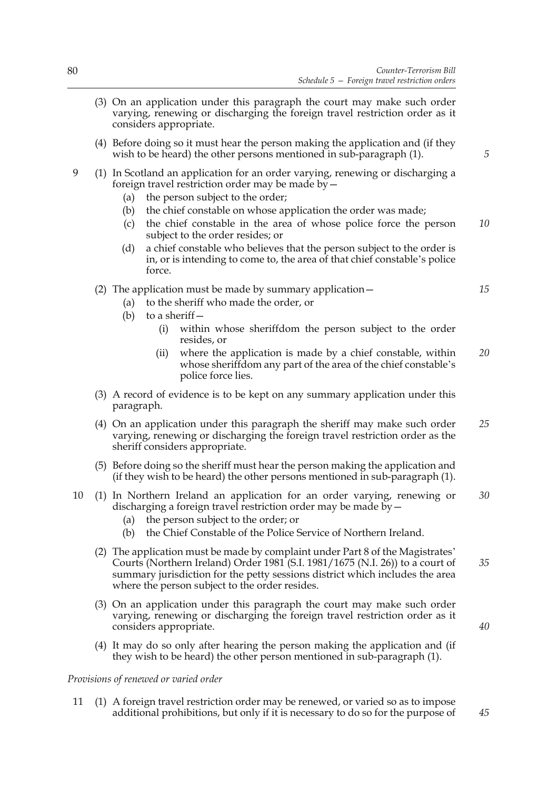- (3) On an application under this paragraph the court may make such order varying, renewing or discharging the foreign travel restriction order as it considers appropriate.
- (4) Before doing so it must hear the person making the application and (if they wish to be heard) the other persons mentioned in sub-paragraph (1).
- 9 (1) In Scotland an application for an order varying, renewing or discharging a foreign travel restriction order may be made by—
	- (a) the person subject to the order;
	- (b) the chief constable on whose application the order was made;
	- (c) the chief constable in the area of whose police force the person subject to the order resides; or *10*
	- (d) a chief constable who believes that the person subject to the order is in, or is intending to come to, the area of that chief constable's police force.

## (2) The application must be made by summary application—

- (a) to the sheriff who made the order, or
- (b) to a sheriff  $-$ 
	- (i) within whose sheriffdom the person subject to the order resides, or
	- (ii) where the application is made by a chief constable, within whose sheriftdom any part of the area of the chief constable's police force lies. *20*
- (3) A record of evidence is to be kept on any summary application under this paragraph.
- (4) On an application under this paragraph the sheriff may make such order varying, renewing or discharging the foreign travel restriction order as the sheriff considers appropriate. *25*
- (5) Before doing so the sheriff must hear the person making the application and (if they wish to be heard) the other persons mentioned in sub-paragraph (1).
- 10 (1) In Northern Ireland an application for an order varying, renewing or discharging a foreign travel restriction order may be made by  $-$ *30*
	- (a) the person subject to the order; or
	- (b) the Chief Constable of the Police Service of Northern Ireland.
	- (2) The application must be made by complaint under Part 8 of the Magistrates' Courts (Northern Ireland) Order 1981 (S.I. 1981/1675 (N.I. 26)) to a court of summary jurisdiction for the petty sessions district which includes the area where the person subject to the order resides. *35*
	- (3) On an application under this paragraph the court may make such order varying, renewing or discharging the foreign travel restriction order as it considers appropriate.
	- (4) It may do so only after hearing the person making the application and (if they wish to be heard) the other person mentioned in sub-paragraph (1).

#### *Provisions of renewed or varied order*

11 (1) A foreign travel restriction order may be renewed, or varied so as to impose additional prohibitions, but only if it is necessary to do so for the purpose of

*5*

*15*

*40*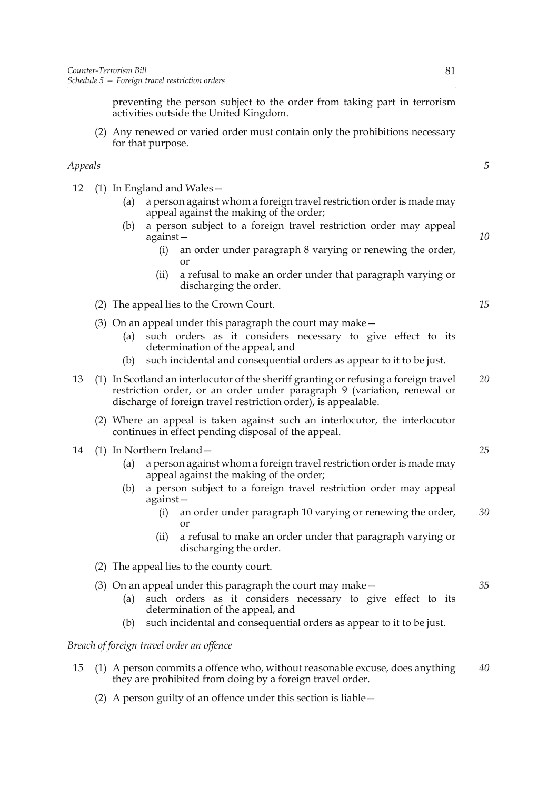preventing the person subject to the order from taking part in terrorism activities outside the United Kingdom.

(2) Any renewed or varied order must contain only the prohibitions necessary for that purpose.

# *Appeals*

- 12 (1) In England and Wales—
	- (a) a person against whom a foreign travel restriction order is made may appeal against the making of the order;
	- (b) a person subject to a foreign travel restriction order may appeal against—
		- (i) an order under paragraph 8 varying or renewing the order, or
		- (ii) a refusal to make an order under that paragraph varying or discharging the order.
	- (2) The appeal lies to the Crown Court.
	- (3) On an appeal under this paragraph the court may make—
		- (a) such orders as it considers necessary to give effect to its determination of the appeal, and
		- (b) such incidental and consequential orders as appear to it to be just.
- 13 (1) In Scotland an interlocutor of the sheriff granting or refusing a foreign travel restriction order, or an order under paragraph 9 (variation, renewal or discharge of foreign travel restriction order), is appealable. *20*
	- (2) Where an appeal is taken against such an interlocutor, the interlocutor continues in effect pending disposal of the appeal.
- 14 (1) In Northern Ireland—
	- (a) a person against whom a foreign travel restriction order is made may appeal against the making of the order;
	- (b) a person subject to a foreign travel restriction order may appeal against—
		- (i) an order under paragraph 10 varying or renewing the order, or *30*
		- (ii) a refusal to make an order under that paragraph varying or discharging the order.
	- (2) The appeal lies to the county court.
	- (3) On an appeal under this paragraph the court may make— *35*
		- (a) such orders as it considers necessary to give effect to its determination of the appeal, and
		- (b) such incidental and consequential orders as appear to it to be just.

## *Breach of foreign travel order an offence*

- 15 (1) A person commits a offence who, without reasonable excuse, does anything they are prohibited from doing by a foreign travel order. *40*
	- (2) A person guilty of an offence under this section is liable—

*5*

*10*

*15*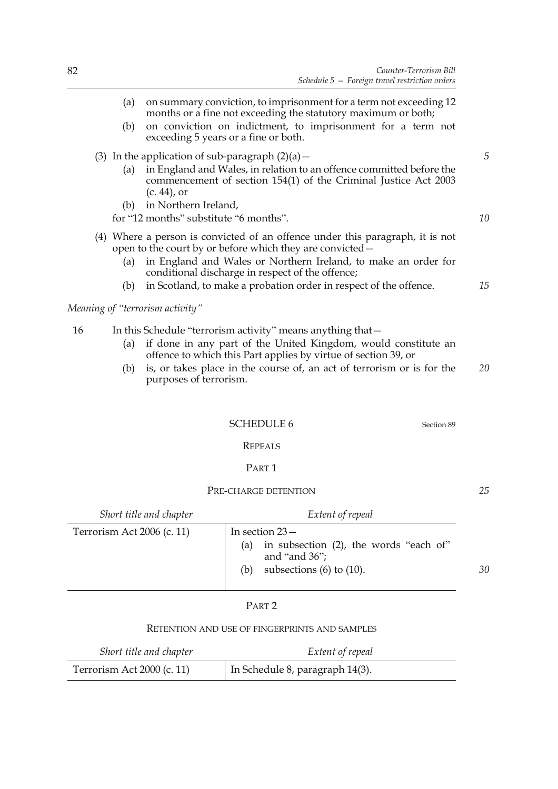|    | (a) | on summary conviction, to imprisonment for a term not exceeding 12                                                                                                   |    |
|----|-----|----------------------------------------------------------------------------------------------------------------------------------------------------------------------|----|
|    | (b) | months or a fine not exceeding the statutory maximum or both;<br>on conviction on indictment, to imprisonment for a term not<br>exceeding 5 years or a fine or both. |    |
|    |     | (3) In the application of sub-paragraph $(2)(a)$ –                                                                                                                   | 5  |
|    | (a) | in England and Wales, in relation to an offence committed before the<br>commencement of section 154(1) of the Criminal Justice Act 2003<br>$(c. 44)$ , or            |    |
|    | (b) | in Northern Ireland,                                                                                                                                                 |    |
|    |     | for "12 months" substitute "6 months".                                                                                                                               | 10 |
|    |     | (4) Where a person is convicted of an offence under this paragraph, it is not<br>open to the court by or before which they are convicted –                           |    |
|    | (a) | in England and Wales or Northern Ireland, to make an order for<br>conditional discharge in respect of the offence;                                                   |    |
|    | (b) | in Scotland, to make a probation order in respect of the offence.                                                                                                    | 15 |
|    |     | Meaning of "terrorism activity"                                                                                                                                      |    |
| 16 |     | In this Schedule "terrorism activity" means anything that -                                                                                                          |    |
|    | (a) | if done in any part of the United Kingdom, would constitute an<br>offence to which this Part applies by virtue of section 39, or                                     |    |

(b) is, or takes place in the course of, an act of terrorism or is for the purposes of terrorism. *20*

# SCHEDULE 6 Section 89

## REPEALS

# PART 1

## PRE-CHARGE DETENTION

*Short title and chapter Extent of repeal* Terrorism Act 2006 (c. 11)  $\boxed{\qquad}$  In section 23 – (a) in subsection (2), the words "each of" and "and 36"; (b) subsections  $(6)$  to  $(10)$ . *30*

# PART 2

## RETENTION AND USE OF FINGERPRINTS AND SAMPLES

| Short title and chapter    | Extent of repeal                |
|----------------------------|---------------------------------|
| Terrorism Act 2000 (c. 11) | In Schedule 8, paragraph 14(3). |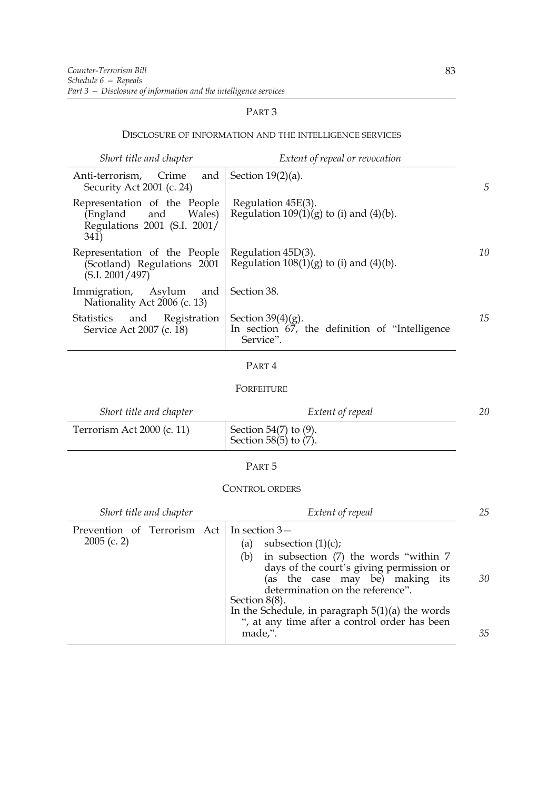# PART 3

## DISCLOSURE OF INFORMATION AND THE INTELLIGENCE SERVICES

| Short title and chapter                                                                        | Extent of repeal or revocation                                                          |    |
|------------------------------------------------------------------------------------------------|-----------------------------------------------------------------------------------------|----|
| and<br>Crime<br>Anti-terrorism,<br>Security Act 2001 (c. 24)                                   | Section $19(2)(a)$ .                                                                    | 5  |
| Representation of the People<br>Wales)<br>(England and<br>Regulations 2001 (S.I. 2001/<br>341) | Regulation 45E(3).<br>Regulation $109(1)(g)$ to (i) and (4)(b).                         |    |
| Representation of the People<br>(Scotland) Regulations 2001<br>(S.I. 2001/497)                 | Regulation $45D(3)$ .<br>Regulation $108(1)(g)$ to (i) and (4)(b).                      | 10 |
| Immigration, Asylum<br>and<br>Nationality Act 2006 (c. 13)                                     | Section 38.                                                                             |    |
| Registration<br>Statistics and<br>Service Act 2007 (c. 18)                                     | Section $39(4)(g)$ .<br>In section $67$ , the definition of "Intelligence"<br>Service". | 15 |

# PART 4

# FORFEITURE

| Short title and chapter    | Extent of repeal                                       | 20 |
|----------------------------|--------------------------------------------------------|----|
| Terrorism Act 2000 (c. 11) | Section $54(7)$ to (9).<br>Section 58 $(5)$ to $(7)$ . |    |

## PART 5

# CONTROL ORDERS

| 25 |
|----|
|    |
|    |
|    |
| 30 |
|    |
|    |
|    |
|    |
| 35 |
|    |